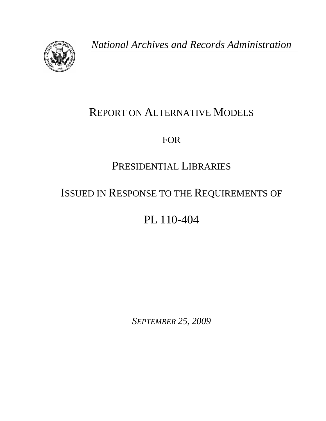

*National Archives and Records Administration* 

# REPORT ON ALTERNATIVE MODELS

FOR

# PRESIDENTIAL LIBRARIES

# ISSUED IN RESPONSE TO THE REQUIREMENTS OF

PL 110-404

*SEPTEMBER 25, 2009*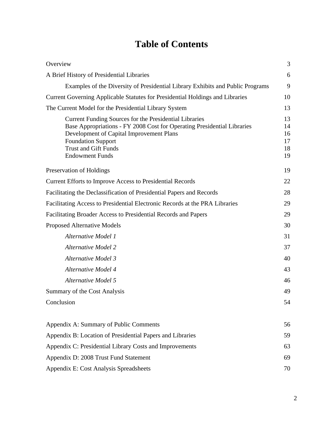# **Table of Contents**

| Overview                                                                                                                                                                                                                                                            | 3                                |  |  |  |  |
|---------------------------------------------------------------------------------------------------------------------------------------------------------------------------------------------------------------------------------------------------------------------|----------------------------------|--|--|--|--|
| A Brief History of Presidential Libraries                                                                                                                                                                                                                           | 6                                |  |  |  |  |
| Examples of the Diversity of Presidential Library Exhibits and Public Programs                                                                                                                                                                                      | 9                                |  |  |  |  |
| Current Governing Applicable Statutes for Presidential Holdings and Libraries                                                                                                                                                                                       |                                  |  |  |  |  |
| The Current Model for the Presidential Library System                                                                                                                                                                                                               | 13                               |  |  |  |  |
| Current Funding Sources for the Presidential Libraries<br>Base Appropriations - FY 2008 Cost for Operating Presidential Libraries<br>Development of Capital Improvement Plans<br><b>Foundation Support</b><br><b>Trust and Gift Funds</b><br><b>Endowment Funds</b> | 13<br>14<br>16<br>17<br>18<br>19 |  |  |  |  |
| Preservation of Holdings                                                                                                                                                                                                                                            | 19                               |  |  |  |  |
| <b>Current Efforts to Improve Access to Presidential Records</b>                                                                                                                                                                                                    |                                  |  |  |  |  |
| Facilitating the Declassification of Presidential Papers and Records                                                                                                                                                                                                |                                  |  |  |  |  |
| Facilitating Access to Presidential Electronic Records at the PRA Libraries                                                                                                                                                                                         |                                  |  |  |  |  |
| Facilitating Broader Access to Presidential Records and Papers                                                                                                                                                                                                      |                                  |  |  |  |  |
| <b>Proposed Alternative Models</b>                                                                                                                                                                                                                                  |                                  |  |  |  |  |
| Alternative Model 1                                                                                                                                                                                                                                                 | 31                               |  |  |  |  |
| <b>Alternative Model 2</b>                                                                                                                                                                                                                                          | 37                               |  |  |  |  |
| <b>Alternative Model 3</b>                                                                                                                                                                                                                                          | 40                               |  |  |  |  |
| <b>Alternative Model 4</b>                                                                                                                                                                                                                                          | 43                               |  |  |  |  |
| <b>Alternative Model 5</b>                                                                                                                                                                                                                                          | 46                               |  |  |  |  |
| Summary of the Cost Analysis                                                                                                                                                                                                                                        | 49                               |  |  |  |  |
| Conclusion                                                                                                                                                                                                                                                          | 54                               |  |  |  |  |
| Appendix A: Summary of Public Comments                                                                                                                                                                                                                              | 56                               |  |  |  |  |
| Appendix B: Location of Presidential Papers and Libraries                                                                                                                                                                                                           |                                  |  |  |  |  |
| Appendix C: Presidential Library Costs and Improvements                                                                                                                                                                                                             |                                  |  |  |  |  |
| Appendix D: 2008 Trust Fund Statement                                                                                                                                                                                                                               | 69                               |  |  |  |  |
| Appendix E: Cost Analysis Spreadsheets                                                                                                                                                                                                                              |                                  |  |  |  |  |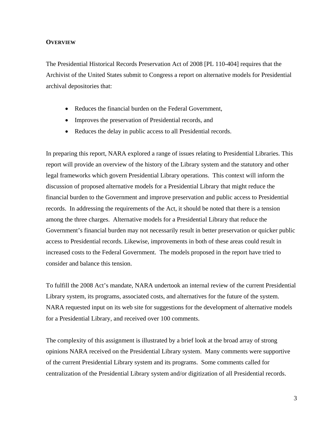#### **OVERVIEW**

The Presidential Historical Records Preservation Act of 2008 [PL 110-404] requires that the Archivist of the United States submit to Congress a report on alternative models for Presidential archival depositories that:

- Reduces the financial burden on the Federal Government,
- Improves the preservation of Presidential records, and
- Reduces the delay in public access to all Presidential records.

In preparing this report, NARA explored a range of issues relating to Presidential Libraries. This report will provide an overview of the history of the Library system and the statutory and other legal frameworks which govern Presidential Library operations. This context will inform the discussion of proposed alternative models for a Presidential Library that might reduce the financial burden to the Government and improve preservation and public access to Presidential records. In addressing the requirements of the Act, it should be noted that there is a tension among the three charges. Alternative models for a Presidential Library that reduce the Government's financial burden may not necessarily result in better preservation or quicker public access to Presidential records. Likewise, improvements in both of these areas could result in increased costs to the Federal Government. The models proposed in the report have tried to consider and balance this tension.

To fulfill the 2008 Act's mandate, NARA undertook an internal review of the current Presidential Library system, its programs, associated costs, and alternatives for the future of the system. NARA requested input on its web site for suggestions for the development of alternative models for a Presidential Library, and received over 100 comments.

The complexity of this assignment is illustrated by a brief look at the broad array of strong opinions NARA received on the Presidential Library system. Many comments were supportive of the current Presidential Library system and its programs. Some comments called for centralization of the Presidential Library system and/or digitization of all Presidential records.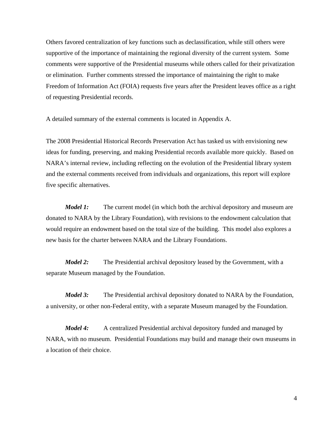Others favored centralization of key functions such as declassification, while still others were supportive of the importance of maintaining the regional diversity of the current system. Some comments were supportive of the Presidential museums while others called for their privatization or elimination. Further comments stressed the importance of maintaining the right to make Freedom of Information Act (FOIA) requests five years after the President leaves office as a right of requesting Presidential records.

A detailed summary of the external comments is located in Appendix A.

 five specific alternatives. The 2008 Presidential Historical Records Preservation Act has tasked us with envisioning new ideas for funding, preserving, and making Presidential records available more quickly. Based on NARA's internal review, including reflecting on the evolution of the Presidential library system and the external comments received from individuals and organizations, this report will explore

*Model 1:* The current model (in which both the archival depository and museum are donated to NARA by the Library Foundation), with revisions to the endowment calculation that would require an endowment based on the total size of the building. This model also explores a new basis for the charter between NARA and the Library Foundations.

*Model 2:* The Presidential archival depository leased by the Government, with a separate Museum managed by the Foundation.

*Model 3:* The Presidential archival depository donated to NARA by the Foundation, a university, or other non-Federal entity, with a separate Museum managed by the Foundation.

*Model 4:* A centralized Presidential archival depository funded and managed by NARA, with no museum. Presidential Foundations may build and manage their own museums in a location of their choice.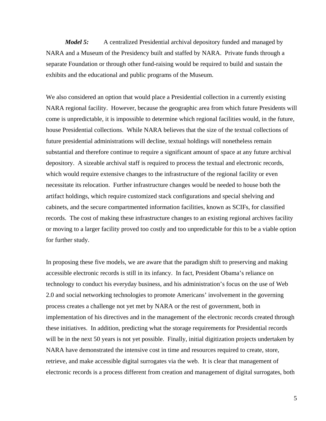*Model 5:* A centralized Presidential archival depository funded and managed by NARA and a Museum of the Presidency built and staffed by NARA. Private funds through a separate Foundation or through other fund-raising would be required to build and sustain the exhibits and the educational and public programs of the Museum.

We also considered an option that would place a Presidential collection in a currently existing NARA regional facility. However, because the geographic area from which future Presidents will come is unpredictable, it is impossible to determine which regional facilities would, in the future, house Presidential collections. While NARA believes that the size of the textual collections of future presidential administrations will decline, textual holdings will nonetheless remain substantial and therefore continue to require a significant amount of space at any future archival depository. A sizeable archival staff is required to process the textual and electronic records, which would require extensive changes to the infrastructure of the regional facility or even necessitate its relocation. Further infrastructure changes would be needed to house both the artifact holdings, which require customized stack configurations and special shelving and cabinets, and the secure compartmented information facilities, known as SCIFs, for classified records. The cost of making these infrastructure changes to an existing regional archives facility or moving to a larger facility proved too costly and too unpredictable for this to be a viable option for further study.

In proposing these five models, we are aware that the paradigm shift to preserving and making accessible electronic records is still in its infancy. In fact, President Obama's reliance on technology to conduct his everyday business, and his administration's focus on the use of Web 2.0 and social networking technologies to promote Americans' involvement in the governing process creates a challenge not yet met by NARA or the rest of government, both in implementation of his directives and in the management of the electronic records created through these initiatives. In addition, predicting what the storage requirements for Presidential records will be in the next 50 years is not yet possible. Finally, initial digitization projects undertaken by NARA have demonstrated the intensive cost in time and resources required to create, store, retrieve, and make accessible digital surrogates via the web. It is clear that management of electronic records is a process different from creation and management of digital surrogates, both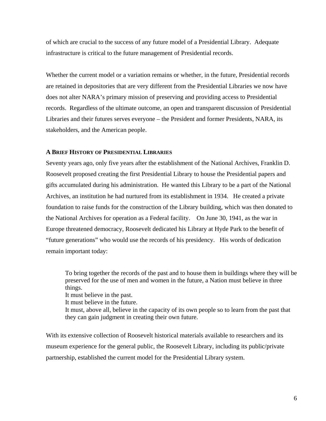of which are crucial to the success of any future model of a Presidential Library. Adequate infrastructure is critical to the future management of Presidential records.

Whether the current model or a variation remains or whether, in the future, Presidential records are retained in depositories that are very different from the Presidential Libraries we now have does not alter NARA's primary mission of preserving and providing access to Presidential records. Regardless of the ultimate outcome, an open and transparent discussion of Presidential Libraries and their futures serves everyone – the President and former Presidents, NARA, its stakeholders, and the American people.

#### **A BRIEF HISTORY OF PRESIDENTIAL LIBRARIES**

 the National Archives for operation as a Federal facility. On June 30, 1941, as the war in Seventy years ago, only five years after the establishment of the National Archives, Franklin D. Roosevelt proposed creating the first Presidential Library to house the Presidential papers and gifts accumulated during his administration. He wanted this Library to be a part of the National Archives, an institution he had nurtured from its establishment in 1934. He created a private foundation to raise funds for the construction of the Library building, which was then donated to Europe threatened democracy, Roosevelt dedicated his Library at Hyde Park to the benefit of "future generations" who would use the records of his presidency. His words of dedication remain important today:

To bring together the records of the past and to house them in buildings where they will be preserved for the use of men and women in the future, a Nation must believe in three things.

It must believe in the past.

It must believe in the future.

It must, above all, believe in the capacity of its own people so to learn from the past that they can gain judgment in creating their own future.

With its extensive collection of Roosevelt historical materials available to researchers and its museum experience for the general public, the Roosevelt Library, including its public/private partnership, established the current model for the Presidential Library system.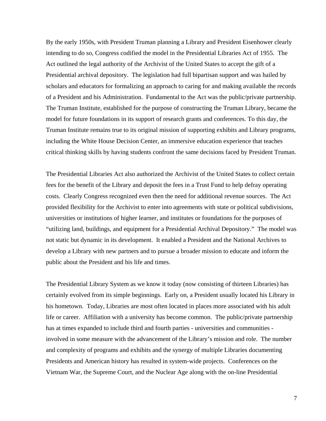By the early 1950s, with President Truman planning a Library and President Eisenhower clearly intending to do so, Congress codified the model in the Presidential Libraries Act of 1955. The Act outlined the legal authority of the Archivist of the United States to accept the gift of a Presidential archival depository. The legislation had full bipartisan support and was hailed by scholars and educators for formalizing an approach to caring for and making available the records of a President and his Administration. Fundamental to the Act was the public/private partnership. The Truman Institute, established for the purpose of constructing the Truman Library, became the model for future foundations in its support of research grants and conferences. To this day, the Truman Institute remains true to its original mission of supporting exhibits and Library programs, including the White House Decision Center, an immersive education experience that teaches critical thinking skills by having students confront the same decisions faced by President Truman.

The Presidential Libraries Act also authorized the Archivist of the United States to collect certain fees for the benefit of the Library and deposit the fees in a Trust Fund to help defray operating costs. Clearly Congress recognized even then the need for additional revenue sources. The Act provided flexibility for the Archivist to enter into agreements with state or political subdivisions, universities or institutions of higher learner, and institutes or foundations for the purposes of "utilizing land, buildings, and equipment for a Presidential Archival Depository." The model was not static but dynamic in its development. It enabled a President and the National Archives to develop a Library with new partners and to pursue a broader mission to educate and inform the public about the President and his life and times.

The Presidential Library System as we know it today (now consisting of thirteen Libraries) has certainly evolved from its simple beginnings. Early on, a President usually located his Library in his hometown. Today, Libraries are most often located in places more associated with his adult life or career. Affiliation with a university has become common. The public/private partnership has at times expanded to include third and fourth parties - universities and communities involved in some measure with the advancement of the Library's mission and role. The number and complexity of programs and exhibits and the synergy of multiple Libraries documenting Presidents and American history has resulted in system-wide projects. Conferences on the Vietnam War, the Supreme Court, and the Nuclear Age along with the on-line Presidential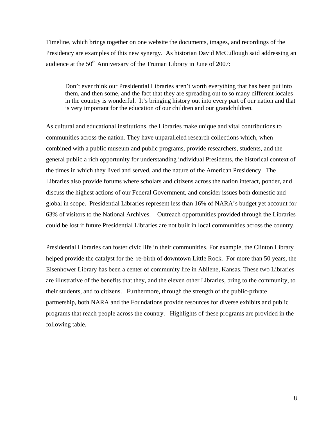Timeline, which brings together on one website the documents, images, and recordings of the Presidency are examples of this new synergy. As historian David McCullough said addressing an audience at the  $50<sup>th</sup>$  Anniversary of the Truman Library in June of 2007:

Don't ever think our Presidential Libraries aren't worth everything that has been put into them, and then some, and the fact that they are spreading out to so many different locales in the country is wonderful. It's bringing history out into every part of our nation and that is very important for the education of our children and our grandchildren.

As cultural and educational institutions, the Libraries make unique and vital contributions to communities across the nation. They have unparalleled research collections which, when combined with a public museum and public programs, provide researchers, students, and the general public a rich opportunity for understanding individual Presidents, the historical context of the times in which they lived and served, and the nature of the American Presidency. The Libraries also provide forums where scholars and citizens across the nation interact, ponder, and discuss the highest actions of our Federal Government, and consider issues both domestic and global in scope. Presidential Libraries represent less than 16% of NARA's budget yet account for 63% of visitors to the National Archives. Outreach opportunities provided through the Libraries could be lost if future Presidential Libraries are not built in local communities across the country.

Presidential Libraries can foster civic life in their communities. For example, the Clinton Library helped provide the catalyst for the re-birth of downtown Little Rock. For more than 50 years, the Eisenhower Library has been a center of community life in Abilene, Kansas. These two Libraries are illustrative of the benefits that they, and the eleven other Libraries, bring to the community, to their students, and to citizens. Furthermore, through the strength of the public-private partnership, both NARA and the Foundations provide resources for diverse exhibits and public programs that reach people across the country. Highlights of these programs are provided in the following table.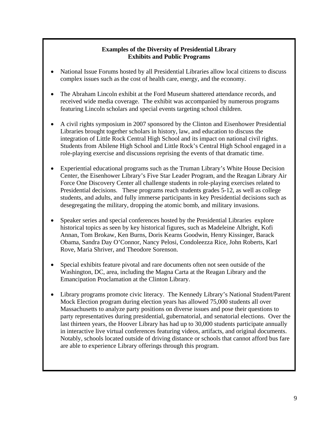# **Examples of the Diversity of Presidential Library Exhibits and Public Programs**

- National Issue Forums hosted by all Presidential Libraries allow local citizens to discuss complex issues such as the cost of health care, energy, and the economy.
- The Abraham Lincoln exhibit at the Ford Museum shattered attendance records, and received wide media coverage. The exhibit was accompanied by numerous programs featuring Lincoln scholars and special events targeting school children.
- A civil rights symposium in 2007 sponsored by the Clinton and Eisenhower Presidential Libraries brought together scholars in history, law, and education to discuss the integration of Little Rock Central High School and its impact on national civil rights. Students from Abilene High School and Little Rock's Central High School engaged in a role-playing exercise and discussions reprising the events of that dramatic time.
- Experiential educational programs such as the Truman Library's White House Decision Center, the Eisenhower Library's Five Star Leader Program, and the Reagan Library Air Force One Discovery Center all challenge students in role-playing exercises related to Presidential decisions. These programs reach students grades 5-12, as well as college students, and adults, and fully immerse participants in key Presidential decisions such as desegregating the military, dropping the atomic bomb, and military invasions.
- Speaker series and special conferences hosted by the Presidential Libraries explore historical topics as seen by key historical figures, such as Madeleine Albright, Kofi Annan, Tom Brokaw, Ken Burns, Doris Kearns Goodwin, Henry Kissinger, Barack Obama, Sandra Day O'Connor, Nancy Pelosi, Condoleezza Rice, John Roberts, Karl Rove, Maria Shriver, and Theodore Sorenson.
- Special exhibits feature pivotal and rare documents often not seen outside of the Washington, DC, area, including the Magna Carta at the Reagan Library and the Emancipation Proclamation at the Clinton Library.
- Library programs promote civic literacy. The Kennedy Library's National Student/Parent Mock Election program during election years has allowed 75,000 students all over Massachusetts to analyze party positions on diverse issues and pose their questions to party representatives during presidential, gubernatorial, and senatorial elections. Over the last thirteen years, the Hoover Library has had up to 30,000 students participate annually in interactive live virtual conferences featuring videos, artifacts, and original documents. Notably, schools located outside of driving distance or schools that cannot afford bus fare are able to experience Library offerings through this program.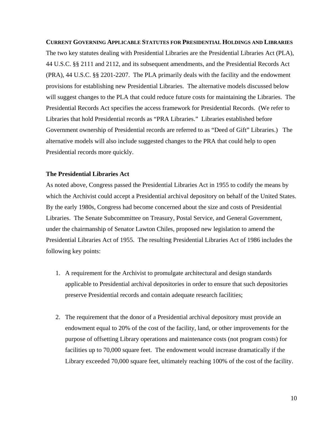**CURRENT GOVERNING APPLICABLE STATUTES FOR PRESIDENTIAL HOLDINGS AND LIBRARIES**  The two key statutes dealing with Presidential Libraries are the Presidential Libraries Act (PLA), 44 U.S.C. §§ 2111 and 2112, and its subsequent amendments, and the Presidential Records Act (PRA), 44 U.S.C. §§ 2201-2207. The PLA primarily deals with the facility and the endowment provisions for establishing new Presidential Libraries. The alternative models discussed below will suggest changes to the PLA that could reduce future costs for maintaining the Libraries. The Presidential Records Act specifies the access framework for Presidential Records. (We refer to Libraries that hold Presidential records as "PRA Libraries." Libraries established before Government ownership of Presidential records are referred to as "Deed of Gift" Libraries.) The alternative models will also include suggested changes to the PRA that could help to open Presidential records more quickly.

### **The Presidential Libraries Act**

As noted above, Congress passed the Presidential Libraries Act in 1955 to codify the means by which the Archivist could accept a Presidential archival depository on behalf of the United States. By the early 1980s, Congress had become concerned about the size and costs of Presidential Libraries. The Senate Subcommittee on Treasury, Postal Service, and General Government, under the chairmanship of Senator Lawton Chiles, proposed new legislation to amend the Presidential Libraries Act of 1955. The resulting Presidential Libraries Act of 1986 includes the following key points:

- 1. A requirement for the Archivist to promulgate architectural and design standards applicable to Presidential archival depositories in order to ensure that such depositories preserve Presidential records and contain adequate research facilities;
- 2. The requirement that the donor of a Presidential archival depository must provide an endowment equal to 20% of the cost of the facility, land, or other improvements for the purpose of offsetting Library operations and maintenance costs (not program costs) for facilities up to 70,000 square feet. The endowment would increase dramatically if the Library exceeded 70,000 square feet, ultimately reaching 100% of the cost of the facility.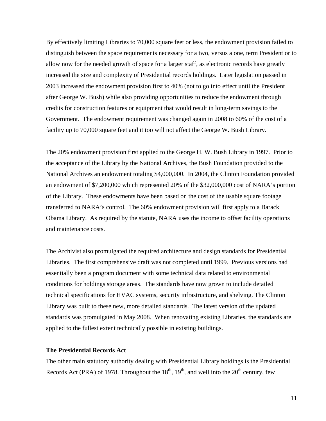By effectively limiting Libraries to 70,000 square feet or less, the endowment provision failed to distinguish between the space requirements necessary for a two, versus a one, term President or to allow now for the needed growth of space for a larger staff, as electronic records have greatly increased the size and complexity of Presidential records holdings. Later legislation passed in 2003 increased the endowment provision first to 40% (not to go into effect until the President after George W. Bush) while also providing opportunities to reduce the endowment through credits for construction features or equipment that would result in long-term savings to the Government. The endowment requirement was changed again in 2008 to 60% of the cost of a facility up to 70,000 square feet and it too will not affect the George W. Bush Library.

The 20% endowment provision first applied to the George H. W. Bush Library in 1997. Prior to the acceptance of the Library by the National Archives, the Bush Foundation provided to the National Archives an endowment totaling \$4,000,000. In 2004, the Clinton Foundation provided an endowment of \$7,200,000 which represented 20% of the \$32,000,000 cost of NARA's portion of the Library. These endowments have been based on the cost of the usable square footage transferred to NARA's control. The 60% endowment provision will first apply to a Barack Obama Library. As required by the statute, NARA uses the income to offset facility operations and maintenance costs.

The Archivist also promulgated the required architecture and design standards for Presidential Libraries. The first comprehensive draft was not completed until 1999. Previous versions had essentially been a program document with some technical data related to environmental conditions for holdings storage areas. The standards have now grown to include detailed technical specifications for HVAC systems, security infrastructure, and shelving. The Clinton Library was built to these new, more detailed standards. The latest version of the updated standards was promulgated in May 2008. When renovating existing Libraries, the standards are applied to the fullest extent technically possible in existing buildings.

#### **The Presidential Records Act**

The other main statutory authority dealing with Presidential Library holdings is the Presidential Records Act (PRA) of 1978. Throughout the  $18<sup>th</sup>$ ,  $19<sup>th</sup>$ , and well into the  $20<sup>th</sup>$  century, few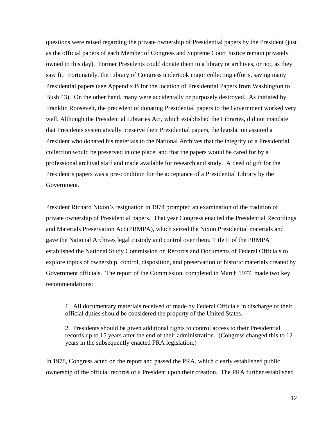questions were raised regarding the private ownership of Presidential papers by the President (just as the official papers of each Member of Congress and Supreme Court Justice remain privately owned to this day). Former Presidents could donate them to a library or archives, or not, as they saw fit. Fortunately, the Library of Congress undertook major collecting efforts, saving many Presidential papers (see Appendix B for the location of Presidential Papers from Washington to Bush 43). On the other hand, many were accidentally or purposely destroyed. As initiated by Franklin Roosevelt, the precedent of donating Presidential papers to the Government worked very well. Although the Presidential Libraries Act, which established the Libraries, did not mandate that Presidents systematically preserve their Presidential papers, the legislation assured a President who donated his materials to the National Archives that the integrity of a Presidential collection would be preserved in one place, and that the papers would be cared for by a professional archival staff and made available for research and study. A deed of gift for the President's papers was a pre-condition for the acceptance of a Presidential Library by the Government.

President Richard Nixon's resignation in 1974 prompted an examination of the tradition of private ownership of Presidential papers. That year Congress enacted the Presidential Recordings and Materials Preservation Act (PRMPA), which seized the Nixon Presidential materials and gave the National Archives legal custody and control over them. Title II of the PRMPA established the National Study Commission on Records and Documents of Federal Officials to explore topics of ownership, control, disposition, and preservation of historic materials created by Government officials. The report of the Commission, completed in March 1977, made two key recommendations:

1. All documentary materials received or made by Federal Officials in discharge of their official duties should be considered the property of the United States.

2. Presidents should be given additional rights to control access to their Presidential records up to 15 years after the end of their administration. (Congress changed this to 12 years in the subsequently enacted PRA legislation.)

In 1978, Congress acted on the report and passed the PRA, which clearly established public ownership of the official records of a President upon their creation. The PRA further established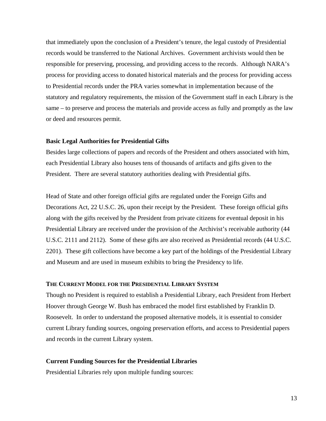that immediately upon the conclusion of a President's tenure, the legal custody of Presidential records would be transferred to the National Archives. Government archivists would then be responsible for preserving, processing, and providing access to the records. Although NARA's process for providing access to donated historical materials and the process for providing access to Presidential records under the PRA varies somewhat in implementation because of the statutory and regulatory requirements, the mission of the Government staff in each Library is the same – to preserve and process the materials and provide access as fully and promptly as the law or deed and resources permit.

#### **Basic Legal Authorities for Presidential Gifts**

Besides large collections of papers and records of the President and others associated with him, each Presidential Library also houses tens of thousands of artifacts and gifts given to the President. There are several statutory authorities dealing with Presidential gifts.

Head of State and other foreign official gifts are regulated under the Foreign Gifts and Decorations Act, 22 U.S.C. 26, upon their receipt by the President*.* These foreign official gifts along with the gifts received by the President from private citizens for eventual deposit in his Presidential Library are received under the provision of the Archivist's receivable authority (44 U.S.C. 2111 and 2112). Some of these gifts are also received as Presidential records (44 U.S.C. 2201). These gift collections have become a key part of the holdings of the Presidential Library and Museum and are used in museum exhibits to bring the Presidency to life.

### **THE CURRENT MODEL FOR THE PRESIDENTIAL LIBRARY SYSTEM**

Though no President is required to establish a Presidential Library, each President from Herbert Hoover through George W. Bush has embraced the model first established by Franklin D. Roosevelt. In order to understand the proposed alternative models, it is essential to consider current Library funding sources, ongoing preservation efforts, and access to Presidential papers and records in the current Library system.

#### **Current Funding Sources for the Presidential Libraries**

Presidential Libraries rely upon multiple funding sources: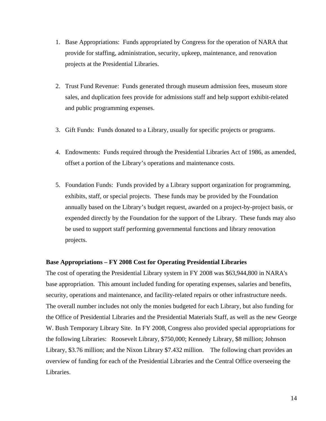- 1. Base Appropriations: Funds appropriated by Congress for the operation of NARA that provide for staffing, administration, security, upkeep, maintenance, and renovation projects at the Presidential Libraries.
- 2. Trust Fund Revenue: Funds generated through museum admission fees, museum store sales, and duplication fees provide for admissions staff and help support exhibit-related and public programming expenses.
- 3. Gift Funds: Funds donated to a Library, usually for specific projects or programs.
- 4. Endowments: Funds required through the Presidential Libraries Act of 1986, as amended, offset a portion of the Library's operations and maintenance costs.
- 5. Foundation Funds: Funds provided by a Library support organization for programming, exhibits, staff, or special projects. These funds may be provided by the Foundation annually based on the Library's budget request, awarded on a project-by-project basis, or expended directly by the Foundation for the support of the Library. These funds may also be used to support staff performing governmental functions and library renovation projects.

#### **Base Appropriations – FY 2008 Cost for Operating Presidential Libraries**

The cost of operating the Presidential Library system in FY 2008 was \$63,944,800 in NARA's base appropriation. This amount included funding for operating expenses, salaries and benefits, security, operations and maintenance, and facility-related repairs or other infrastructure needs. The overall number includes not only the monies budgeted for each Library, but also funding for the Office of Presidential Libraries and the Presidential Materials Staff, as well as the new George W. Bush Temporary Library Site. In FY 2008, Congress also provided special appropriations for the following Libraries: Roosevelt Library, \$750,000; Kennedy Library, \$8 million; Johnson Library, \$3.76 million; and the Nixon Library \$7.432 million. The following chart provides an overview of funding for each of the Presidential Libraries and the Central Office overseeing the Libraries.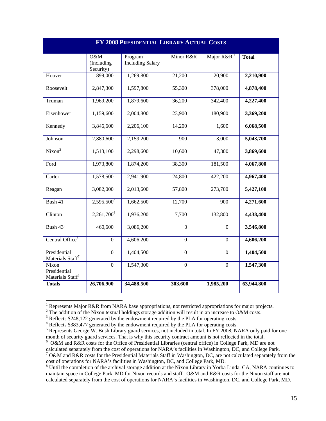| FY 2008 PRESIDENTIAL LIBRARY ACTUAL COSTS             |                                |                                    |                  |                |              |  |
|-------------------------------------------------------|--------------------------------|------------------------------------|------------------|----------------|--------------|--|
|                                                       | O&M<br>(Including<br>Security) | Program<br><b>Including Salary</b> | Minor R&R        | Major $R\&R1$  | <b>Total</b> |  |
| Hoover                                                | 899,000                        | 1,269,800                          | 21,200           | 20,900         | 2,210,900    |  |
| Roosevelt                                             | 2,847,300                      | 1,597,800                          | 55,300           | 378,000        | 4,878,400    |  |
| Truman                                                | 1,969,200                      | 1,879,600                          | 36,200           | 342,400        | 4,227,400    |  |
| Eisenhower                                            | 1,159,600                      | 2,004,800                          | 23,900           | 180,900        | 3,369,200    |  |
| Kennedy                                               | 3,846,600                      | 2,206,100                          | 14,200           | 1,600          | 6,068,500    |  |
| Johnson                                               | 2,880,600                      | 2,159,200                          | 900              | 3,000          | 5,043,700    |  |
| Nixon <sup>2</sup>                                    | 1,513,100                      | 2,298,600                          | 10,600           | 47,300         | 3,869,600    |  |
| Ford                                                  | 1,973,800                      | 1,874,200                          | 38,300           | 181,500        | 4,067,800    |  |
| Carter                                                | 1,578,500                      | 2,941,900                          | 24,800           | 422,200        | 4,967,400    |  |
| Reagan                                                | 3,082,000                      | 2,013,600                          | 57,800           | 273,700        | 5,427,100    |  |
| Bush 41                                               | $2,595,500^3$                  | 1,662,500                          | 12,700           | 900            | 4,271,600    |  |
| Clinton                                               | 2,261,700 <sup>4</sup>         | 1,936,200                          | 7,700            | 132,800        | 4,438,400    |  |
| Bush $43^5$                                           | 460,600                        | 3,086,200                          | $\overline{0}$   | $\overline{0}$ | 3,546,800    |  |
| Central Office <sup>6</sup>                           | $\mathbf{0}$                   | 4,606,200                          | $\mathbf{0}$     | $\mathbf{0}$   | 4,606,200    |  |
| Presidential<br>Materials Staff <sup>7</sup>          | $\boldsymbol{0}$               | 1,404,500                          | $\boldsymbol{0}$ | $\overline{0}$ | 1,404,500    |  |
| Nixon<br>Presidential<br>Materials Staff <sup>8</sup> | $\overline{0}$                 | 1,547,300                          | $\overline{0}$   | $\overline{0}$ | 1,547,300    |  |
| <b>Totals</b>                                         | 26,706,900                     | 34,488,500                         | 303,600          | 1,985,200      | 63,944,800   |  |

[<sup>1</sup>](#page-74-0) Represents Major R&R from NARA base appropriations, not restricted appropriations for major projects.

 $\overline{a}$ 

<sup>&</sup>lt;sup>[2](#page-74-0)</sup>The addition of the Nixon textual holdings storage addition will result in an increase to O&M costs.

<sup>&</sup>lt;sup>3</sup> Reflects \$2[4](#page-74-0)8,122 generated by the endowment required by the PLA for operating costs.<br><sup>4</sup> Reflects \$383,477 generated by the endowment required by the PLA for operating costs.

<sup>&</sup>lt;sup>4</sup> Reflects \$383,477 generated by the endowment required by the PLA for operating costs.<br><sup>[5](#page-74-0)</sup> Benezeants George W. Bush Librery quart services, not included in total In EV 2008, NA

 month of security guard services. That is why this security contract amount is not reflected in the total. <sup>5</sup> Represents George W. Bush Library guard services, not included in total. In FY 2008, NARA only paid for one

[<sup>6</sup>](#page-74-0) O&M and R&R costs for the Office of Presidential Libraries (central office) in College Park, MD are not calculated separately from the cost of operations for NARA's facilities in Washington, DC, and College Park.

<sup>&</sup>lt;sup>[7](#page-74-0)</sup> O&M and R&R costs for the Presidential Materials Staff in Washington, DC, are not calculated separately from the cost of operations for NARA's facilities in Washington, DC, and College Park, MD.

<sup>&</sup>lt;sup>[8](#page-74-0)</sup> Until the completion of the archival storage addition at the Nixon Library in Yorba Linda, CA, NARA continues to maintain space in College Park, MD for Nixon records and staff. O&M and R&R costs for the Nixon staff are not calculated separately from the cost of operations for NARA's facilities in Washington, DC, and College Park, MD.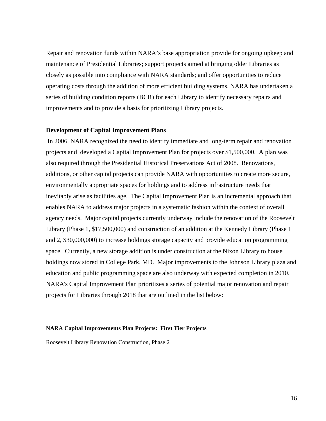Repair and renovation funds within NARA's base appropriation provide for ongoing upkeep and maintenance of Presidential Libraries; support projects aimed at bringing older Libraries as closely as possible into compliance with NARA standards; and offer opportunities to reduce operating costs through the addition of more efficient building systems. NARA has undertaken a series of building condition reports (BCR) for each Library to identify necessary repairs and improvements and to provide a basis for prioritizing Library projects.

#### **Development of Capital Improvement Plans**

 In 2006, NARA recognized the need to identify immediate and long-term repair and renovation projects and developed a Capital Improvement Plan for projects over \$1,500,000. A plan was also required through the Presidential Historical Preservations Act of 2008. Renovations, additions, or other capital projects can provide NARA with opportunities to create more secure, environmentally appropriate spaces for holdings and to address infrastructure needs that inevitably arise as facilities age. The Capital Improvement Plan is an incremental approach that enables NARA to address major projects in a systematic fashion within the context of overall agency needs. Major capital projects currently underway include the renovation of the Roosevelt Library (Phase 1, \$17,500,000) and construction of an addition at the Kennedy Library (Phase 1 and 2, \$30,000,000) to increase holdings storage capacity and provide education programming space. Currently, a new storage addition is under construction at the Nixon Library to house holdings now stored in College Park, MD. Major improvements to the Johnson Library plaza and education and public programming space are also underway with expected completion in 2010. NARA's Capital Improvement Plan prioritizes a series of potential major renovation and repair projects for Libraries through 2018 that are outlined in the list below:

#### **NARA Capital Improvements Plan Projects: First Tier Projects**

Roosevelt Library Renovation Construction, Phase 2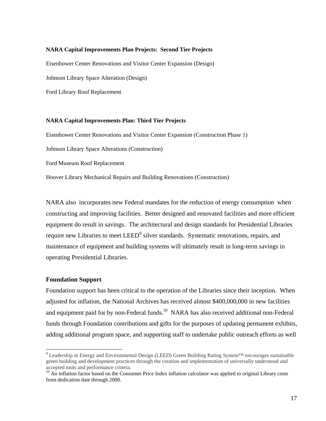#### **NARA Capital Improvements Plan Projects: Second Tier Projects**

Eisenhower Center Renovations and Visitor Center Expansion (Design)

Johnson Library Space Alteration (Design)

Ford Library Roof Replacement

#### **NARA Capital Improvements Plan: Third Tier Projects**

Eisenhower Center Renovations and Visitor Center Expansion (Construction Phase 1)

Johnson Library Space Alterations (Construction)

Ford Museum Roof Replacement

Hoover Library Mechanical Repairs and Building Renovations (Construction)

NARA also incorporates new Federal mandates for the reduction of energy consumption when constructing and improving facilities. Better designed and renovated facilities and more efficient equipment do result in savings. The architectural and design standards for Presidential Libraries require new Libraries to meet LEED<sup>9</sup> silver standards. Systematic renovations, repairs, and maintenance of equipment and building systems will ultimately result in long-term savings in operating Presidential Libraries.

#### **Foundation Support**

 $\overline{a}$ 

Foundation support has been critical to the operation of the Libraries since their inception. When adjusted for inflation, the National Archives has received almost \$400,000,000 in new facilities and equipment paid for by non-Federal funds.<sup>10</sup> NARA has also received additional non-Federal funds through Foundation contributions and gifts for the purposes of updating permanent exhibits, adding additional program space, and supporting staff to undertake public outreach efforts as well

<sup>9</sup> Leadership in Energy and Environmental Design (LEED) Green Building Rating System™ encourages sustainable green building and development practices through the creation and implementation of universally understood and accepted tools and performance criteria.

<sup>&</sup>lt;sup>10</sup> An inflation factor based on the Consumer Price Index inflation calculator was applied to original Library costs from dedication date through 2008.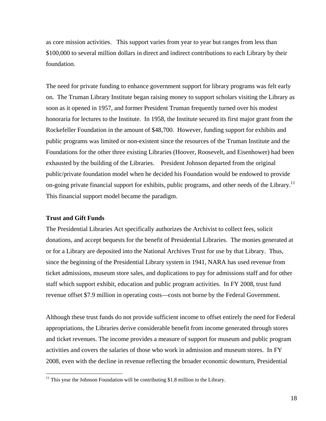as core mission activities. This support varies from year to year but ranges from less than \$100,000 to several million dollars in direct and indirect contributions to each Library by their foundation.

on-going private financial support for exhibits, public programs, and other needs of the Library.<sup>11</sup> The need for private funding to enhance government support for library programs was felt early on. The Truman Library Institute began raising money to support scholars visiting the Library as soon as it opened in 1957, and former President Truman frequently turned over his modest honoraria for lectures to the Institute. In 1958, the Institute secured its first major grant from the Rockefeller Foundation in the amount of \$48,700. However, funding support for exhibits and public programs was limited or non-existent since the resources of the Truman Institute and the Foundations for the other three existing Libraries (Hoover, Roosevelt, and Eisenhower) had been exhausted by the building of the Libraries. President Johnson departed from the original public/private foundation model when he decided his Foundation would be endowed to provide This financial support model became the paradigm.

#### **Trust and Gift Funds**

 $\overline{a}$ 

The Presidential Libraries Act specifically authorizes the Archivist to collect fees, solicit donations, and accept bequests for the benefit of Presidential Libraries. The monies generated at or for a Library are deposited into the National Archives Trust for use by that Library. Thus, since the beginning of the Presidential Library system in 1941, NARA has used revenue from ticket admissions, museum store sales, and duplications to pay for admissions staff and for other staff which support exhibit, education and public program activities. In FY 2008, trust fund revenue offset \$7.9 million in operating costs—costs not borne by the Federal Government.

Although these trust funds do not provide sufficient income to offset entirely the need for Federal appropriations, the Libraries derive considerable benefit from income generated through stores and ticket revenues. The income provides a measure of support for museum and public program activities and covers the salaries of those who work in admission and museum stores. In FY 2008, even with the decline in revenue reflecting the broader economic downturn, Presidential

<sup>&</sup>lt;sup>11</sup> This year the Johnson Foundation will be contributing \$1.8 million to the Library.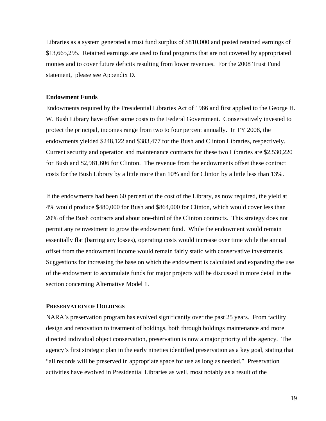Libraries as a system generated a trust fund surplus of \$810,000 and posted retained earnings of \$13,665,295. Retained earnings are used to fund programs that are not covered by appropriated monies and to cover future deficits resulting from lower revenues. For the 2008 Trust Fund statement, please see Appendix D.

#### **Endowment Funds**

Endowments required by the Presidential Libraries Act of 1986 and first applied to the George H. W. Bush Library have offset some costs to the Federal Government. Conservatively invested to protect the principal, incomes range from two to four percent annually. In FY 2008, the endowments yielded \$248,122 and \$383,477 for the Bush and Clinton Libraries, respectively. Current security and operation and maintenance contracts for these two Libraries are \$2,530,220 for Bush and \$2,981,606 for Clinton. The revenue from the endowments offset these contract costs for the Bush Library by a little more than 10% and for Clinton by a little less than 13%.

If the endowments had been 60 percent of the cost of the Library, as now required, the yield at 4% would produce \$480,000 for Bush and \$864,000 for Clinton, which would cover less than 20% of the Bush contracts and about one-third of the Clinton contracts. This strategy does not permit any reinvestment to grow the endowment fund. While the endowment would remain essentially flat (barring any losses), operating costs would increase over time while the annual offset from the endowment income would remain fairly static with conservative investments. Suggestions for increasing the base on which the endowment is calculated and expanding the use of the endowment to accumulate funds for major projects will be discussed in more detail in the section concerning Alternative Model 1.

#### **PRESERVATION OF HOLDINGS**

NARA's preservation program has evolved significantly over the past 25 years. From facility design and renovation to treatment of holdings, both through holdings maintenance and more directed individual object conservation, preservation is now a major priority of the agency. The agency's first strategic plan in the early nineties identified preservation as a key goal, stating that "all records will be preserved in appropriate space for use as long as needed." Preservation activities have evolved in Presidential Libraries as well, most notably as a result of the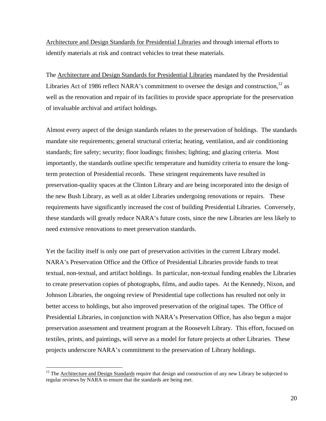Architecture and Design Standards for Presidential Libraries and through internal efforts to identify materials at risk and contract vehicles to treat these materials.

The Architecture and Design Standards for Presidential Libraries mandated by the Presidential Libraries Act of 1986 reflect NARA's commitment to oversee the design and construction,  $12$  as well as the renovation and repair of its facilities to provide space appropriate for the preservation of invaluable archival and artifact holdings.

Almost every aspect of the design standards relates to the preservation of holdings. The standards mandate site requirements; general structural criteria; heating, ventilation, and air conditioning standards; fire safety; security; floor loadings; finishes; lighting; and glazing criteria. Most importantly, the standards outline specific temperature and humidity criteria to ensure the longterm protection of Presidential records. These stringent requirements have resulted in preservation-quality spaces at the Clinton Library and are being incorporated into the design of the new Bush Library, as well as at older Libraries undergoing renovations or repairs. These requirements have significantly increased the cost of building Presidential Libraries. Conversely, these standards will greatly reduce NARA's future costs, since the new Libraries are less likely to need extensive renovations to meet preservation standards.

Yet the facility itself is only one part of preservation activities in the current Library model. NARA's Preservation Office and the Office of Presidential Libraries provide funds to treat textual, non-textual, and artifact holdings. In particular, non-textual funding enables the Libraries to create preservation copies of photographs, films, and audio tapes. At the Kennedy, Nixon, and Johnson Libraries, the ongoing review of Presidential tape collections has resulted not only in better access to holdings, but also improved preservation of the original tapes. The Office of Presidential Libraries, in conjunction with NARA's Preservation Office, has also begun a major preservation assessment and treatment program at the Roosevelt Library. This effort, focused on textiles, prints, and paintings, will serve as a model for future projects at other Libraries. These projects underscore NARA's commitment to the preservation of Library holdings.

 $\overline{a}$ 

 $12$  The Architecture and Design Standards require that design and construction of any new Library be subjected to regular reviews by NARA to ensure that the standards are being met.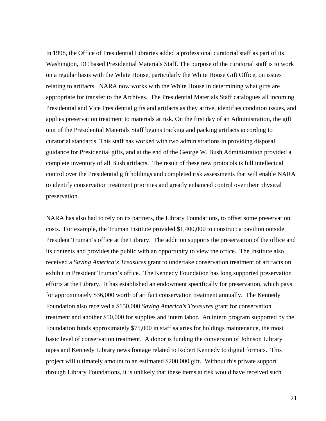In 1998, the Office of Presidential Libraries added a professional curatorial staff as part of its Washington, DC based Presidential Materials Staff. The purpose of the curatorial staff is to work on a regular basis with the White House, particularly the White House Gift Office, on issues relating to artifacts. NARA now works with the White House in determining what gifts are appropriate for transfer to the Archives. The Presidential Materials Staff catalogues all incoming Presidential and Vice Presidential gifts and artifacts as they arrive, identifies condition issues, and applies preservation treatment to materials at risk. On the first day of an Administration, the gift unit of the Presidential Materials Staff begins tracking and packing artifacts according to curatorial standards. This staff has worked with two administrations in providing disposal guidance for Presidential gifts, and at the end of the George W. Bush Administration provided a complete inventory of all Bush artifacts. The result of these new protocols is full intellectual control over the Presidential gift holdings and completed risk assessments that will enable NARA to identify conservation treatment priorities and greatly enhanced control over their physical preservation.

NARA has also had to rely on its partners, the Library Foundations, to offset some preservation costs. For example, the Truman Institute provided \$1,400,000 to construct a pavilion outside President Truman's office at the Library. The addition supports the preservation of the office and its contents and provides the public with an opportunity to view the office. The Institute also received a *Saving America's Treasures* grant to undertake conservation treatment of artifacts on exhibit in President Truman's office. The Kennedy Foundation has long supported preservation efforts at the Library. It has established an endowment specifically for preservation, which pays for approximately \$36,000 worth of artifact conservation treatment annually. The Kennedy Foundation also received a \$150,000 *Saving America's Treasures* grant for conservation treatment and another \$50,000 for supplies and intern labor. An intern program supported by the Foundation funds approximately \$75,000 in staff salaries for holdings maintenance, the most basic level of conservation treatment. A donor is funding the conversion of Johnson Library tapes and Kennedy Library news footage related to Robert Kennedy to digital formats. This project will ultimately amount to an estimated \$200,000 gift. Without this private support through Library Foundations, it is unlikely that these items at risk would have received such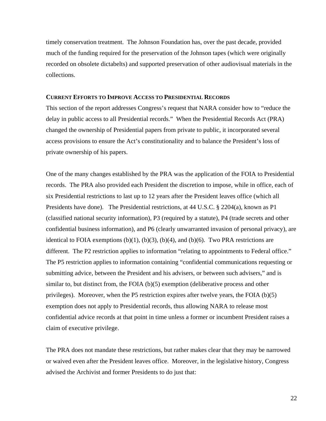timely conservation treatment. The Johnson Foundation has, over the past decade, provided much of the funding required for the preservation of the Johnson tapes (which were originally recorded on obsolete dictabelts) and supported preservation of other audiovisual materials in the collections.

#### **CURRENT EFFORTS TO IMPROVE ACCESS TO PRESIDENTIAL RECORDS**

This section of the report addresses Congress's request that NARA consider how to "reduce the delay in public access to all Presidential records." When the Presidential Records Act (PRA) changed the ownership of Presidential papers from private to public, it incorporated several access provisions to ensure the Act's constitutionality and to balance the President's loss of private ownership of his papers.

One of the many changes established by the PRA was the application of the FOIA to Presidential records. The PRA also provided each President the discretion to impose, while in office, each of six Presidential restrictions to last up to 12 years after the President leaves office (which all Presidents have done). The Presidential restrictions, at 44 U.S.C. § 2204(a), known as P1 (classified national security information), P3 (required by a statute), P4 (trade secrets and other confidential business information), and P6 (clearly unwarranted invasion of personal privacy), are identical to FOIA exemptions  $(b)(1)$ ,  $(b)(3)$ ,  $(b)(4)$ , and  $(b)(6)$ . Two PRA restrictions are different. The P2 restriction applies to information "relating to appointments to Federal office." The P5 restriction applies to information containing "confidential communications requesting or submitting advice, between the President and his advisers, or between such advisers," and is similar to, but distinct from, the FOIA (b)(5) exemption (deliberative process and other privileges). Moreover, when the P5 restriction expires after twelve years, the FOIA (b)(5) exemption does not apply to Presidential records, thus allowing NARA to release most confidential advice records at that point in time unless a former or incumbent President raises a claim of executive privilege.

The PRA does not mandate these restrictions, but rather makes clear that they may be narrowed or waived even after the President leaves office. Moreover, in the legislative history, Congress advised the Archivist and former Presidents to do just that: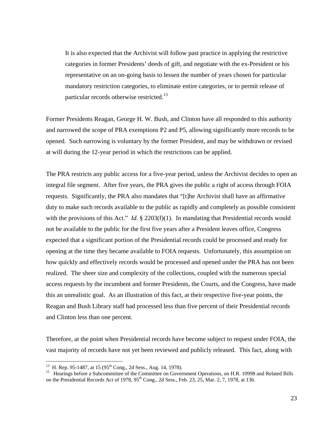particular records otherwise restricted.<sup>13</sup> It is also expected that the Archivist will follow past practice in applying the restrictive categories in former Presidents' deeds of gift, and negotiate with the ex-President or his representative on an on-going basis to lessen the number of years chosen for particular mandatory restriction categories, to eliminate entire categories, or to permit release of

Former Presidents Reagan, George H. W. Bush, and Clinton have all responded to this authority and narrowed the scope of PRA exemptions P2 and P5, allowing significantly more records to be opened. Such narrowing is voluntary by the former President, and may be withdrawn or revised at will during the 12-year period in which the restrictions can be applied.

The PRA restricts any public access for a five-year period, unless the Archivist decides to open an integral file segment. After five years, the PRA gives the public a right of access through FOIA requests. Significantly, the PRA also mandates that "[t]he Archivist shall have an affirmative duty to make such records available to the public as rapidly and completely as possible consistent with the provisions of this Act." *Id.* § 2203(f)(1). In mandating that Presidential records would not be available to the public for the first five years after a President leaves office, Congress expected that a significant portion of the Presidential records could be processed and ready for opening at the time they became available to FOIA requests. Unfortunately, this assumption on how quickly and effectively records would be processed and opened under the PRA has not been realized. The sheer size and complexity of the collections, coupled with the numerous special access requests by the incumbent and former Presidents, the Courts, and the Congress, have made this an unrealistic goal. As an illustration of this fact, at their respective five-year points, the Reagan and Bush Library staff had processed less than five percent of their Presidential records and Clinton less than one percent.

Therefore, at the point when Presidential records have become subject to request under FOIA, the vast majority of records have not yet been reviewed and publicly released. This fact, along with

 $\overline{a}$ 

<sup>&</sup>lt;sup>13</sup> H. Rep. 95-1487, at [15](#page-74-0) (95<sup>th</sup> Cong., 2d Sess., Aug. 14, 1978).<br><sup>15</sup> Hearings before a Subcommittee of the Committee on Government Operations, on H.R. 10998 and Related Bills on the Presidential Records Act of 1978, 95<sup>th</sup> Cong., 2d Sess., Feb. 23, 25, Mar. 2, 7, 1978, at 136.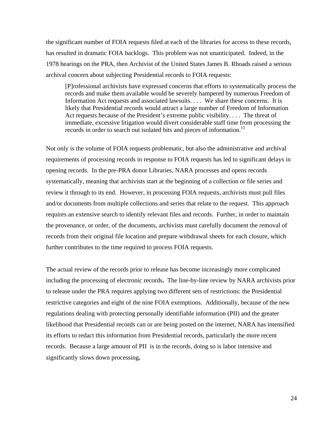the significant number of FOIA requests filed at each of the libraries for access to these records, has resulted in dramatic FOIA backlogs. This problem was not unanticipated. Indeed, in the 1978 hearings on the PRA, then Archivist of the United States James B. Rhoads raised a serious archival concern about subjecting Presidential records to FOIA requests:

[P]rofessional archivists have expressed concerns that efforts to systematically process the records and make them available would be severely hampered by numerous Freedom of Information Act requests and associated lawsuits. . . . We share these concerns. It is likely that Presidential records would attract a large number of Freedom of Information Act requests because of the President's extreme public visibility. . . . The threat of immediate, excessive litigation would divert considerable staff time from processing the records in order to search out isolated bits and pieces of information.<sup>15</sup>

Not only is the volume of FOIA requests problematic, but also the administrative and archival requirements of processing records in response to FOIA requests has led to significant delays in opening records. In the pre-PRA donor Libraries, NARA processes and opens records systematically, meaning that archivists start at the beginning of a collection or file series and review it through to its end. However, in processing FOIA requests, archivists must pull files and/or documents from multiple collections and series that relate to the request. This approach requires an extensive search to identify relevant files and records. Further, in order to maintain the provenance, or order, of the documents, archivists must carefully document the removal of records from their original file location and prepare withdrawal sheets for each closure, which further contributes to the time required to process FOIA requests.

The actual review of the records prior to release has become increasingly more complicated including the processing of electronic records**.** The line-by-line review by NARA archivists prior to release under the PRA requires applying two different sets of restrictions: the Presidential restrictive categories and eight of the nine FOIA exemptions. Additionally, because of the new regulations dealing with protecting personally identifiable information (PII) and the greater likelihood that Presidential records can or are being posted on the internet, NARA has intensified its efforts to redact this information from Presidential records, particularly the more recent records. Because a large amount of PII is in the records, doing so is labor intensive and significantly slows down processing**.**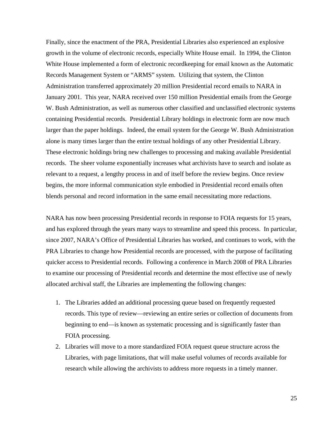Finally, since the enactment of the PRA, Presidential Libraries also experienced an explosive growth in the volume of electronic records, especially White House email. In 1994, the Clinton White House implemented a form of electronic recordkeeping for email known as the Automatic Records Management System or "ARMS" system. Utilizing that system, the Clinton Administration transferred approximately 20 million Presidential record emails to NARA in January 2001. This year, NARA received over 150 million Presidential emails from the George W. Bush Administration, as well as numerous other classified and unclassified electronic systems containing Presidential records. Presidential Library holdings in electronic form are now much larger than the paper holdings. Indeed, the email system for the George W. Bush Administration alone is many times larger than the entire textual holdings of any other Presidential Library. These electronic holdings bring new challenges to processing and making available Presidential records. The sheer volume exponentially increases what archivists have to search and isolate as relevant to a request, a lengthy process in and of itself before the review begins. Once review begins, the more informal communication style embodied in Presidential record emails often blends personal and record information in the same email necessitating more redactions.

NARA has now been processing Presidential records in response to FOIA requests for 15 years, and has explored through the years many ways to streamline and speed this process. In particular, since 2007, NARA's Office of Presidential Libraries has worked, and continues to work, with the PRA Libraries to change how Presidential records are processed, with the purpose of facilitating quicker access to Presidential records. Following a conference in March 2008 of PRA Libraries to examine our processing of Presidential records and determine the most effective use of newly allocated archival staff, the Libraries are implementing the following changes:

- 1. The Libraries added an additional processing queue based on frequently requested records. This type of review—reviewing an entire series or collection of documents from beginning to end—is known as systematic processing and is significantly faster than FOIA processing.
- 2. Libraries will move to a more standardized FOIA request queue structure across the Libraries, with page limitations, that will make useful volumes of records available for research while allowing the archivists to address more requests in a timely manner.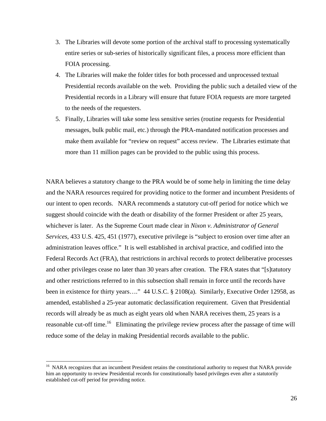- 3. The Libraries will devote some portion of the archival staff to processing systematically entire series or sub-series of historically significant files, a process more efficient than FOIA processing.
- 4. The Libraries will make the folder titles for both processed and unprocessed textual Presidential records available on the web. Providing the public such a detailed view of the Presidential records in a Library will ensure that future FOIA requests are more targeted to the needs of the requesters.
- 5. Finally, Libraries will take some less sensitive series (routine requests for Presidential messages, bulk public mail, etc.) through the PRA-mandated notification processes and make them available for "review on request" access review. The Libraries estimate that more than 11 million pages can be provided to the public using this process.

NARA believes a statutory change to the PRA would be of some help in limiting the time delay and the NARA resources required for providing notice to the former and incumbent Presidents of our intent to open records. NARA recommends a statutory cut-off period for notice which we suggest should coincide with the death or disability of the former President or after 25 years, whichever is later. As the Supreme Court made clear in *Nixon v. Administrator of General Services*, 433 U.S. 425, 451 (1977), executive privilege is "subject to erosion over time after an administration leaves office." It is well established in archival practice, and codified into the Federal Records Act (FRA), that restrictions in archival records to protect deliberative processes and other privileges cease no later than 30 years after creation. The FRA states that "[s]tatutory and other restrictions referred to in this subsection shall remain in force until the records have been in existence for thirty years...." 44 U.S.C. § 2108(a). Similarly, Executive Order 12958, as amended, established a 25-year automatic declassification requirement. Given that Presidential records will already be as much as eight years old when NARA receives them, 25 years is a reasonable cut-off [time.](#page-74-0)<sup>16</sup> Eliminating the privilege review process after the passage of time will reduce some of the delay in making Presidential records available to the public.

 $\overline{a}$ 

<sup>&</sup>lt;sup>16</sup> NARA recognizes that an incumbent President retains the constitutional authority to request that NARA provide him an opportunity to review Presidential records for constitutionally based privileges even after a statutorily established cut-off period for providing notice.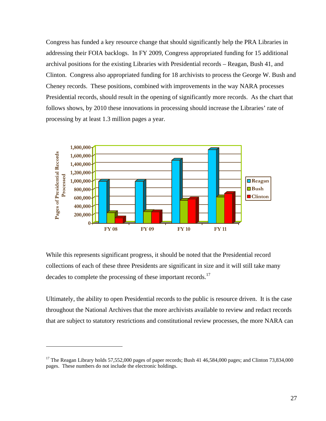Congress has funded a key resource change that should significantly help the PRA Libraries in addressing their FOIA backlogs. In FY 2009, Congress appropriated funding for 15 additional archival positions for the existing Libraries with Presidential records – Reagan, Bush 41, and Clinton. Congress also appropriated funding for 18 archivists to process the George W. Bush and Cheney records. These positions, combined with improvements in the way NARA processes Presidential records, should result in the opening of significantly more records. As the chart that follows shows, by 2010 these innovations in processing should increase the Libraries' rate of processing by at least 1.3 million pages a year.



decades to complete the processing of these important records.<sup>17</sup> While this represents significant progress, it should be noted that the Presidential record collections of each of these three Presidents are significant in size and it will still take many

Ultimately, the ability to open Presidential records to the public is resource driven. It is the case throughout the National Archives that the more archivists available to review and redact records that are subject to statutory restrictions and constitutional review processes, the more NARA can

 $\overline{a}$ 

<sup>&</sup>lt;sup>17</sup> The Reagan Library holds 57,552,000 pages of paper records; Bush 41 46,584,000 pages; and Clinton 73,834,000 pages. These numbers do not include the electronic holdings.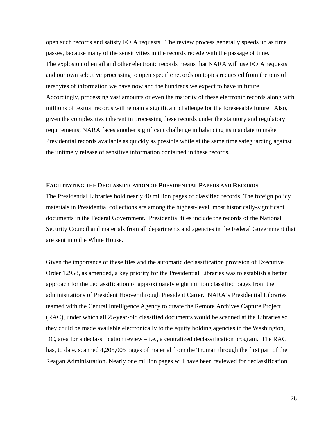open such records and satisfy FOIA requests. The review process generally speeds up as time passes, because many of the sensitivities in the records recede with the passage of time. The explosion of email and other electronic records means that NARA will use FOIA requests and our own selective processing to open specific records on topics requested from the tens of terabytes of information we have now and the hundreds we expect to have in future. Accordingly, processing vast amounts or even the majority of these electronic records along with millions of textual records will remain a significant challenge for the foreseeable future. Also, given the complexities inherent in processing these records under the statutory and regulatory requirements, NARA faces another significant challenge in balancing its mandate to make Presidential records available as quickly as possible while at the same time safeguarding against the untimely release of sensitive information contained in these records.

#### **FACILITATING THE DECLASSIFICATION OF PRESIDENTIAL PAPERS AND RECORDS**

The Presidential Libraries hold nearly 40 million pages of classified records. The foreign policy materials in Presidential collections are among the highest-level, most historically-significant documents in the Federal Government. Presidential files include the records of the National Security Council and materials from all departments and agencies in the Federal Government that are sent into the White House.

Given the importance of these files and the automatic declassification provision of Executive Order 12958, as amended, a key priority for the Presidential Libraries was to establish a better approach for the declassification of approximately eight million classified pages from the administrations of President Hoover through President Carter. NARA's Presidential Libraries teamed with the Central Intelligence Agency to create the Remote Archives Capture Project (RAC), under which all 25-year-old classified documents would be scanned at the Libraries so they could be made available electronically to the equity holding agencies in the Washington, DC, area for a declassification review – i.e., a centralized declassification program. The RAC has, to date, scanned 4,205,005 pages of material from the Truman through the first part of the Reagan Administration. Nearly one million pages will have been reviewed for declassification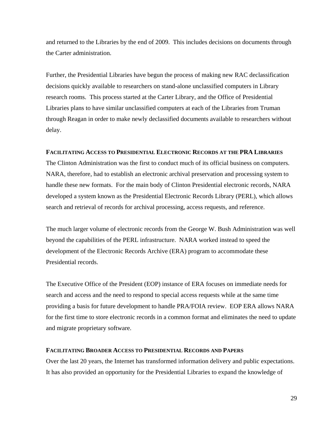and returned to the Libraries by the end of 2009. This includes decisions on documents through the Carter administration.

Further, the Presidential Libraries have begun the process of making new RAC declassification decisions quickly available to researchers on stand-alone unclassified computers in Library research rooms. This process started at the Carter Library, and the Office of Presidential Libraries plans to have similar unclassified computers at each of the Libraries from Truman through Reagan in order to make newly declassified documents available to researchers without delay.

### **FACILITATING ACCESS TO PRESIDENTIAL ELECTRONIC RECORDS AT THE PRA LIBRARIES**

The Clinton Administration was the first to conduct much of its official business on computers. NARA, therefore, had to establish an electronic archival preservation and processing system to handle these new formats. For the main body of Clinton Presidential electronic records, NARA developed a system known as the Presidential Electronic Records Library (PERL), which allows search and retrieval of records for archival processing, access requests, and reference.

The much larger volume of electronic records from the George W. Bush Administration was well beyond the capabilities of the PERL infrastructure. NARA worked instead to speed the development of the Electronic Records Archive (ERA) program to accommodate these Presidential records.

The Executive Office of the President (EOP) instance of ERA focuses on immediate needs for search and access and the need to respond to special access requests while at the same time providing a basis for future development to handle PRA/FOIA review. EOP ERA allows NARA for the first time to store electronic records in a common format and eliminates the need to update and migrate proprietary software.

### **FACILITATING BROADER ACCESS TO PRESIDENTIAL RECORDS AND PAPERS**

Over the last 20 years, the Internet has transformed information delivery and public expectations. It has also provided an opportunity for the Presidential Libraries to expand the knowledge of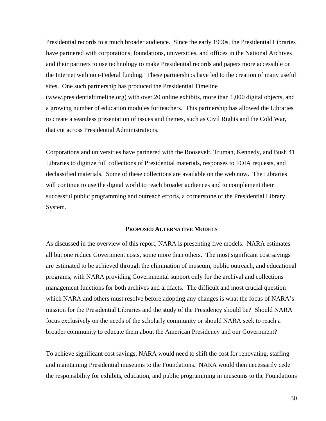Presidential records to a much broader audience. Since the early 1990s, the Presidential Libraries have partnered with corporations, foundations, universities, and offices in the National Archives and their partners to use technology to make Presidential records and papers more accessible on the Internet with non-Federal funding. These partnerships have led to the creation of many useful sites. One such partnership has produced the Presidential Timeline

(www.presidentialtimeline.org) with over 20 online exhibits, more than 1,000 digital objects, and a growing number of education modules for teachers. This partnership has allowed the Libraries to create a seamless presentation of issues and themes, such as Civil Rights and the Cold War, that cut across Presidential Administrations.

Corporations and universities have partnered with the Roosevelt, Truman, Kennedy, and Bush 41 Libraries to digitize full collections of Presidential materials, responses to FOIA requests, and declassified materials. Some of these collections are available on the web now. The Libraries will continue to use the digital world to reach broader audiences and to complement their successful public programming and outreach efforts, a cornerstone of the Presidential Library System.

#### **PROPOSED ALTERNATIVE MODELS**

As discussed in the overview of this report, NARA is presenting five models. NARA estimates all but one reduce Government costs, some more than others. The most significant cost savings are estimated to be achieved through the elimination of museum, public outreach, and educational programs, with NARA providing Governmental support only for the archival and collections management functions for both archives and artifacts. The difficult and most crucial question which NARA and others must resolve before adopting any changes is what the focus of NARA's mission for the Presidential Libraries and the study of the Presidency should be? Should NARA focus exclusively on the needs of the scholarly community or should NARA seek to reach a broader community to educate them about the American Presidency and our Government?

To achieve significant cost savings, NARA would need to shift the cost for renovating, staffing and maintaining Presidential museums to the Foundations. NARA would then necessarily cede the responsibility for exhibits, education, and public programming in museums to the Foundations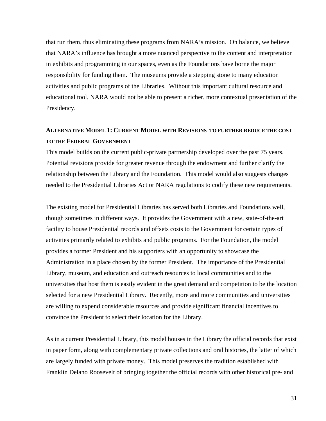that run them, thus eliminating these programs from NARA's mission. On balance, we believe that NARA's influence has brought a more nuanced perspective to the content and interpretation in exhibits and programming in our spaces, even as the Foundations have borne the major responsibility for funding them. The museums provide a stepping stone to many education activities and public programs of the Libraries. Without this important cultural resource and educational tool, NARA would not be able to present a richer, more contextual presentation of the Presidency.

# **ALTERNATIVE MODEL 1: CURRENT MODEL WITH REVISIONS TO FURTHER REDUCE THE COST TO THE FEDERAL GOVERNMENT**

This model builds on the current public-private partnership developed over the past 75 years. Potential revisions provide for greater revenue through the endowment and further clarify the relationship between the Library and the Foundation. This model would also suggests changes needed to the Presidential Libraries Act or NARA regulations to codify these new requirements.

The existing model for Presidential Libraries has served both Libraries and Foundations well, though sometimes in different ways. It provides the Government with a new, state-of-the-art facility to house Presidential records and offsets costs to the Government for certain types of activities primarily related to exhibits and public programs. For the Foundation, the model provides a former President and his supporters with an opportunity to showcase the Administration in a place chosen by the former President. The importance of the Presidential Library, museum, and education and outreach resources to local communities and to the universities that host them is easily evident in the great demand and competition to be the location selected for a new Presidential Library. Recently, more and more communities and universities are willing to expend considerable resources and provide significant financial incentives to convince the President to select their location for the Library.

As in a current Presidential Library, this model houses in the Library the official records that exist in paper form, along with complementary private collections and oral histories, the latter of which are largely funded with private money. This model preserves the tradition established with Franklin Delano Roosevelt of bringing together the official records with other historical pre- and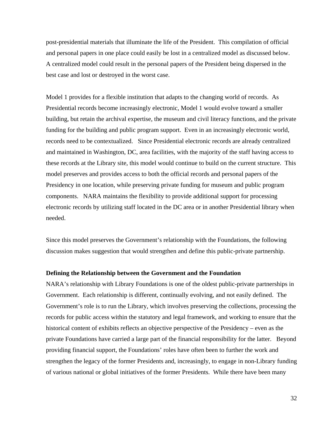post-presidential materials that illuminate the life of the President. This compilation of official and personal papers in one place could easily be lost in a centralized model as discussed below. A centralized model could result in the personal papers of the President being dispersed in the best case and lost or destroyed in the worst case.

Model 1 provides for a flexible institution that adapts to the changing world of records. As Presidential records become increasingly electronic, Model 1 would evolve toward a smaller building, but retain the archival expertise, the museum and civil literacy functions, and the private funding for the building and public program support. Even in an increasingly electronic world, records need to be contextualized. Since Presidential electronic records are already centralized and maintained in Washington, DC, area facilities, with the majority of the staff having access to these records at the Library site, this model would continue to build on the current structure. This model preserves and provides access to both the official records and personal papers of the Presidency in one location, while preserving private funding for museum and public program components. NARA maintains the flexibility to provide additional support for processing electronic records by utilizing staff located in the DC area or in another Presidential library when needed.

Since this model preserves the Government's relationship with the Foundations, the following discussion makes suggestion that would strengthen and define this public-private partnership.

#### **Defining the Relationship between the Government and the Foundation**

NARA's relationship with Library Foundations is one of the oldest public-private partnerships in Government. Each relationship is different, continually evolving, and not easily defined. The Government's role is to run the Library, which involves preserving the collections, processing the records for public access within the statutory and legal framework, and working to ensure that the historical content of exhibits reflects an objective perspective of the Presidency – even as the private Foundations have carried a large part of the financial responsibility for the latter. Beyond providing financial support, the Foundations' roles have often been to further the work and strengthen the legacy of the former Presidents and, increasingly, to engage in non-Library funding of various national or global initiatives of the former Presidents. While there have been many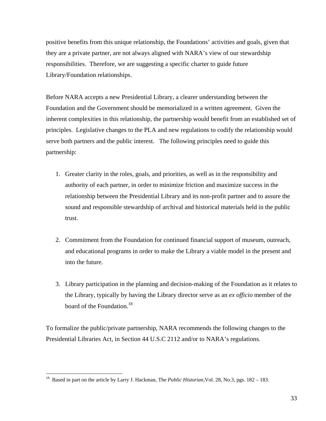positive benefits from this unique relationship, the Foundations' activities and goals, given that they are a private partner, are not always aligned with NARA's view of our stewardship responsibilities. Therefore, we are suggesting a specific charter to guide future Library/Foundation relationships.

Before NARA accepts a new Presidential Library, a clearer understanding between the Foundation and the Government should be memorialized in a written agreement. Given the inherent complexities in this relationship, the partnership would benefit from an established set of principles. Legislative changes to the PLA and new regulations to codify the relationship would serve both partners and the public interest. The following principles need to guide this partnership:

- 1. Greater clarity in the roles, goals, and priorities, as well as in the responsibility and authority of each partner, in order to minimize friction and maximize success in the relationship between the Presidential Library and its non-profit partner and to assure the sound and responsible stewardship of archival and historical materials held in the public trust.
- 2. Commitment from the Foundation for continued financial support of museum, outreach, and educational programs in order to make the Library a viable model in the present and into the future.
- 3. Library participation in the planning and decision-making of the Foundation as it relates to the Library, typically by having the Library director serve as an *ex officio* member of the board of the Foundation.<sup>18</sup>

To formalize the public/private partnership, NARA recommends the following changes to the Presidential Libraries Act, in Section 44 U.S.C 2112 and/or to NARA's regulations.

 $\overline{a}$ 

[<sup>18</sup>](#page-74-0) Based in part on the article by Larry J. Hackman, The *Public Historian,*Vol. 28, No.3, pgs. 182 – 183.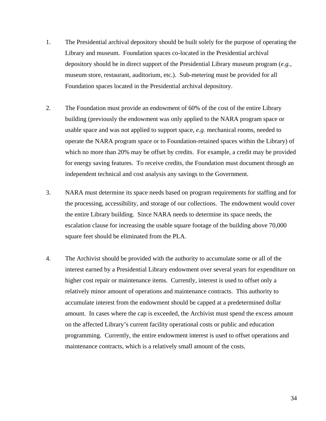- 1. The Presidential archival depository should be built solely for the purpose of operating the Library and museum. Foundation spaces co-located in the Presidential archival depository should be in direct support of the Presidential Library museum program (*e.g.,*  museum store, restaurant, auditorium, etc.). Sub-metering must be provided for all Foundation spaces located in the Presidential archival depository.
- 2. The Foundation must provide an endowment of 60% of the cost of the entire Library building (previously the endowment was only applied to the NARA program space or usable space and was not applied to support space, *e.g.* mechanical rooms, needed to operate the NARA program space or to Foundation-retained spaces within the Library) of which no more than 20% may be offset by credits. For example, a credit may be provided for energy saving features. To receive credits, the Foundation must document through an independent technical and cost analysis any savings to the Government.
- 3. NARA must determine its space needs based on program requirements for staffing and for the processing, accessibility, and storage of our collections. The endowment would cover the entire Library building. Since NARA needs to determine its space needs, the escalation clause for increasing the usable square footage of the building above 70,000 square feet should be eliminated from the PLA.
- 4. The Archivist should be provided with the authority to accumulate some or all of the interest earned by a Presidential Library endowment over several years for expenditure on higher cost repair or maintenance items. Currently, interest is used to offset only a relatively minor amount of operations and maintenance contracts. This authority to accumulate interest from the endowment should be capped at a predetermined dollar amount. In cases where the cap is exceeded, the Archivist must spend the excess amount on the affected Library's current facility operational costs or public and education programming. Currently, the entire endowment interest is used to offset operations and maintenance contracts, which is a relatively small amount of the costs.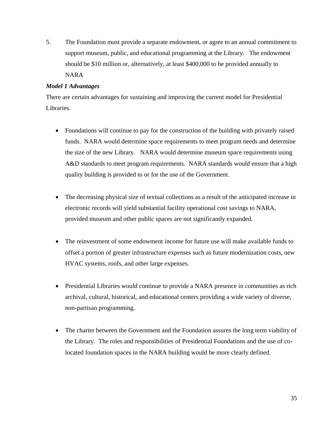5. The Foundation must provide a separate endowment, or agree to an annual commitment to support museum, public, and educational programming at the Library. The endowment should be \$10 million or, alternatively, at least \$400,000 to be provided annually to NARA

# *Model 1 Advantages*

There are certain advantages for sustaining and improving the current model for Presidential Libraries.

- Foundations will continue to pay for the construction of the building with privately raised funds. NARA would determine space requirements to meet program needs and determine the size of the new Library. NARA would determine museum space requirements using A&D standards to meet program requirements. NARA standards would ensure that a high quality building is provided to or for the use of the Government.
- The decreasing physical size of textual collections as a result of the anticipated increase in electronic records will yield substantial facility operational cost savings to NARA, provided museum and other public spaces are not significantly expanded.
- The reinvestment of some endowment income for future use will make available funds to offset a portion of greater infrastructure expenses such as future modernization costs, new HVAC systems, roofs, and other large expenses.
- Presidential Libraries would continue to provide a NARA presence in communities as rich archival, cultural, historical, and educational centers providing a wide variety of diverse, non-partisan programming.
- The charter between the Government and the Foundation assures the long term viability of the Library. The roles and responsibilities of Presidential Foundations and the use of colocated foundation spaces in the NARA building would be more clearly defined.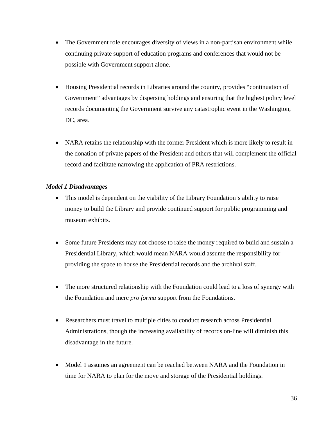- The Government role encourages diversity of views in a non-partisan environment while continuing private support of education programs and conferences that would not be possible with Government support alone.
- Housing Presidential records in Libraries around the country, provides "continuation of Government" advantages by dispersing holdings and ensuring that the highest policy level records documenting the Government survive any catastrophic event in the Washington, DC, area.
- NARA retains the relationship with the former President which is more likely to result in the donation of private papers of the President and others that will complement the official record and facilitate narrowing the application of PRA restrictions.

# *Model 1 Disadvantages*

- This model is dependent on the viability of the Library Foundation's ability to raise money to build the Library and provide continued support for public programming and museum exhibits.
- Some future Presidents may not choose to raise the money required to build and sustain a Presidential Library, which would mean NARA would assume the responsibility for providing the space to house the Presidential records and the archival staff.
- The more structured relationship with the Foundation could lead to a loss of synergy with the Foundation and mere *pro forma* support from the Foundations.
- Researchers must travel to multiple cities to conduct research across Presidential Administrations, though the increasing availability of records on-line will diminish this disadvantage in the future.
- Model 1 assumes an agreement can be reached between NARA and the Foundation in time for NARA to plan for the move and storage of the Presidential holdings.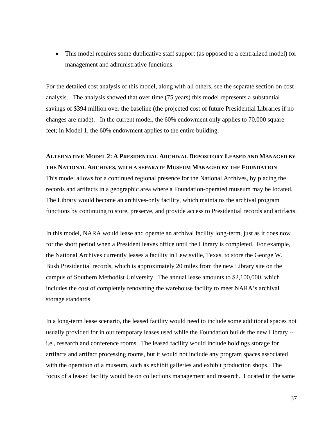This model requires some duplicative staff support (as opposed to a centralized model) for management and administrative functions.

For the detailed cost analysis of this model, along with all others, see the separate section on cost analysis. The analysis showed that over time (75 years) this model represents a substantial savings of \$394 million over the baseline (the projected cost of future Presidential Libraries if no changes are made). In the current model, the 60% endowment only applies to 70,000 square feet; in Model 1, the 60% endowment applies to the entire building.

# **ALTERNATIVE MODEL 2: A PRESIDENTIAL ARCHIVAL DEPOSITORY LEASED AND MANAGED BY THE NATIONAL ARCHIVES, WITH A SEPARATE MUSEUM MANAGED BY THE FOUNDATION**  This model allows for a continued regional presence for the National Archives, by placing the records and artifacts in a geographic area where a Foundation-operated museum may be located. The Library would become an archives-only facility, which maintains the archival program functions by continuing to store, preserve, and provide access to Presidential records and artifacts.

In this model, NARA would lease and operate an archival facility long-term, just as it does now for the short period when a President leaves office until the Library is completed. For example, the National Archives currently leases a facility in Lewisville, Texas, to store the George W. Bush Presidential records, which is approximately 20 miles from the new Library site on the campus of Southern Methodist University. The annual lease amounts to \$2,100,000, which includes the cost of completely renovating the warehouse facility to meet NARA's archival storage standards.

In a long-term lease scenario, the leased facility would need to include some additional spaces not usually provided for in our temporary leases used while the Foundation builds the new Library - i.e., research and conference rooms. The leased facility would include holdings storage for artifacts and artifact processing rooms, but it would not include any program spaces associated with the operation of a museum, such as exhibit galleries and exhibit production shops. The focus of a leased facility would be on collections management and research. Located in the same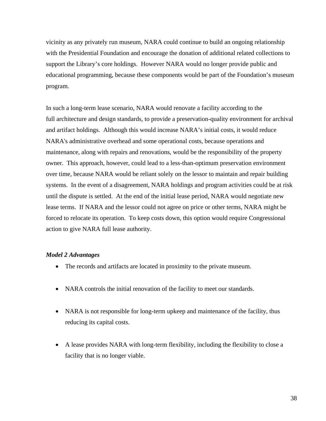vicinity as any privately run museum, NARA could continue to build an ongoing relationship with the Presidential Foundation and encourage the donation of additional related collections to support the Library's core holdings. However NARA would no longer provide public and educational programming, because these components would be part of the Foundation's museum program.

In such a long-term lease scenario, NARA would renovate a facility according to the full architecture and design standards, to provide a preservation-quality environment for archival and artifact holdings. Although this would increase NARA's initial costs, it would reduce NARA's administrative overhead and some operational costs, because operations and maintenance, along with repairs and renovations, would be the responsibility of the property owner. This approach, however, could lead to a less-than-optimum preservation environment over time, because NARA would be reliant solely on the lessor to maintain and repair building systems. In the event of a disagreement, NARA holdings and program activities could be at risk until the dispute is settled. At the end of the initial lease period, NARA would negotiate new lease terms. If NARA and the lessor could not agree on price or other terms, NARA might be forced to relocate its operation. To keep costs down, this option would require Congressional action to give NARA full lease authority.

#### *Model 2 Advantages*

- The records and artifacts are located in proximity to the private museum.
- NARA controls the initial renovation of the facility to meet our standards.
- NARA is not responsible for long-term upkeep and maintenance of the facility, thus reducing its capital costs.
- A lease provides NARA with long-term flexibility, including the flexibility to close a facility that is no longer viable.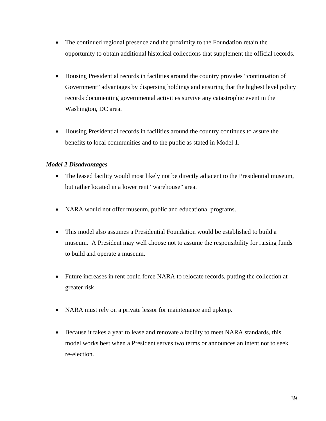- The continued regional presence and the proximity to the Foundation retain the opportunity to obtain additional historical collections that supplement the official records.
- Housing Presidential records in facilities around the country provides "continuation of Government" advantages by dispersing holdings and ensuring that the highest level policy records documenting governmental activities survive any catastrophic event in the Washington, DC area.
- Housing Presidential records in facilities around the country continues to assure the benefits to local communities and to the public as stated in Model 1.

### *Model 2 Disadvantages*

- The leased facility would most likely not be directly adjacent to the Presidential museum, but rather located in a lower rent "warehouse" area.
- NARA would not offer museum, public and educational programs.
- This model also assumes a Presidential Foundation would be established to build a museum. A President may well choose not to assume the responsibility for raising funds to build and operate a museum.
- Future increases in rent could force NARA to relocate records, putting the collection at greater risk.
- NARA must rely on a private lessor for maintenance and upkeep.
- Because it takes a year to lease and renovate a facility to meet NARA standards, this model works best when a President serves two terms or announces an intent not to seek re-election.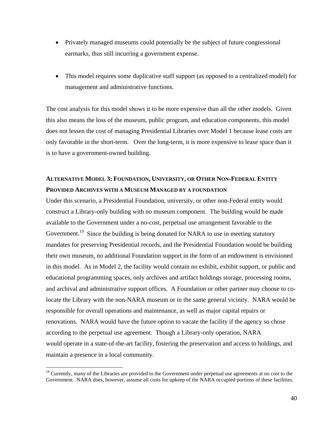- Privately managed museums could potentially be the subject of future congressional earmarks, thus still incurring a government expense.
- This model requires some duplicative staff support (as opposed to a centralized model) for management and administrative functions.

The cost analysis for this model shows it to be more expensive than all the other models. Given this also means the loss of the museum, public program, and education components, this model does not lessen the cost of managing Presidential Libraries over Model 1 because lease costs are only favorable in the short-term. Over the long-term, it is more expensive to lease space than it is to have a government-owned building.

## **ALTERNATIVE MODEL 3: FOUNDATION, UNIVERSITY, OR OTHER NON-FEDERAL ENTITY PROVIDED ARCHIVES WITH A MUSEUM MANAGED BY A FOUNDATION**

Under this scenario, a Presidential Foundation, university, or other non-Federal entity would construct a Library-only building with no museum component. The building would be made available to the Government under a no-cost, perpetual use arrangement favorable to the Government.<sup>19</sup> Since the building is being donated for NARA to use in meeting statutory mandates for preserving Presidential records, and the Presidential Foundation would be building their own museum, no additional Foundation support in the form of an endowment is envisioned in this model. As in Model 2, the facility would contain no exhibit, exhibit support, or public and educational programming spaces, only archives and artifact holdings storage, processing rooms, and archival and administrative support offices. A Foundation or other partner may choose to colocate the Library with the non-NARA museum or in the same general vicinity. NARA would be responsible for overall operations and maintenance, as well as major capital repairs or renovations. NARA would have the future option to vacate the facility if the agency so chose according to the perpetual use agreement. Though a Library-only operation, NARA would operate in a state-of-the-art facility, fostering the preservation and access to holdings, and maintain a presence in a local community.

 $\overline{a}$ 

<sup>&</sup>lt;sup>19</sup> Currently, many of the Libraries are provided to the Government under perpetual use agreements at no cost to the Government. NARA does, however, assume all costs for upkeep of the NARA occupied portions of these facilities.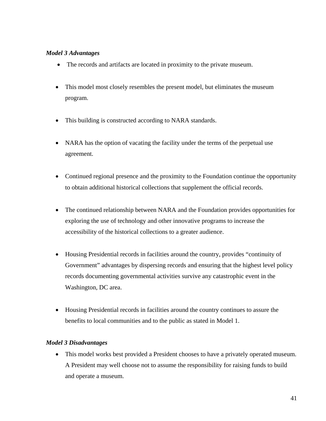### *Model 3 Advantages*

- The records and artifacts are located in proximity to the private museum.
- This model most closely resembles the present model, but eliminates the museum program.
- This building is constructed according to NARA standards.
- NARA has the option of vacating the facility under the terms of the perpetual use agreement.
- Continued regional presence and the proximity to the Foundation continue the opportunity to obtain additional historical collections that supplement the official records.
- The continued relationship between NARA and the Foundation provides opportunities for exploring the use of technology and other innovative programs to increase the accessibility of the historical collections to a greater audience.
- Housing Presidential records in facilities around the country, provides "continuity of Government" advantages by dispersing records and ensuring that the highest level policy records documenting governmental activities survive any catastrophic event in the Washington, DC area.
- Housing Presidential records in facilities around the country continues to assure the benefits to local communities and to the public as stated in Model 1.

### *Model 3 Disadvantages*

 This model works best provided a President chooses to have a privately operated museum. A President may well choose not to assume the responsibility for raising funds to build and operate a museum.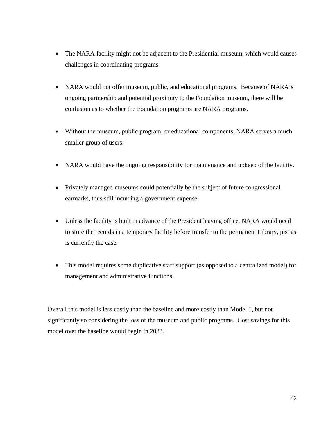- The NARA facility might not be adjacent to the Presidential museum, which would causes challenges in coordinating programs.
- NARA would not offer museum, public, and educational programs. Because of NARA's ongoing partnership and potential proximity to the Foundation museum, there will be confusion as to whether the Foundation programs are NARA programs.
- Without the museum, public program, or educational components, NARA serves a much smaller group of users.
- NARA would have the ongoing responsibility for maintenance and upkeep of the facility.
- Privately managed museums could potentially be the subject of future congressional earmarks, thus still incurring a government expense.
- Unless the facility is built in advance of the President leaving office, NARA would need to store the records in a temporary facility before transfer to the permanent Library, just as is currently the case.
- This model requires some duplicative staff support (as opposed to a centralized model) for management and administrative functions.

Overall this model is less costly than the baseline and more costly than Model 1, but not significantly so considering the loss of the museum and public programs. Cost savings for this model over the baseline would begin in 2033.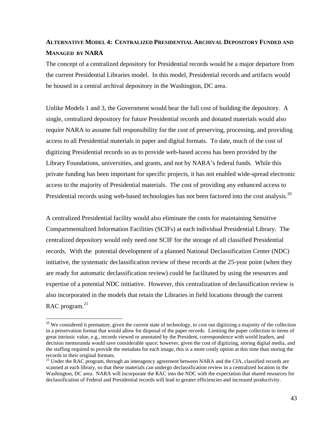## **ALTERNATIVE MODEL 4: CENTRALIZED PRESIDENTIAL ARCHIVAL DEPOSITORY FUNDED AND MANAGED BY NARA**

The concept of a centralized depository for Presidential records would be a major departure from the current Presidential Libraries model. In this model, Presidential records and artifacts would be housed in a central archival depository in the Washington, DC area.

Presidential records using web-based technologies has not been factored into the cost analysis.<sup>20</sup> Unlike Models 1 and 3, the Government would bear the full cost of building the depository. A single, centralized depository for future Presidential records and donated materials would also require NARA to assume full responsibility for the cost of preserving, processing, and providing access to all Presidential materials in paper and digital formats. To date, much of the cost of digitizing Presidential records so as to provide web-based access has been provided by the Library Foundations, universities, and grants, and not by NARA's federal funds. While this private funding has been important for specific projects, it has not enabled wide-spread electronic access to the majority of Presidential materials. The cost of providing any enhanced access to

A centralized Presidential facility would also eliminate the costs for maintaining Sensitive Compartmentalized Information Facilities (SCIFs) at each individual Presidential Library. The centralized depository would only need one SCIF for the storage of all classified Presidential records. With the potential development of a planned National Declassification Center (NDC) initiative, the systematic declassification review of these records at the 25-year point (when they are ready for automatic declassification review) could be facilitated by using the resources and expertise of a potential NDC initiative. However, this centralization of declassification review is also incorporated in the models that retain the Libraries in field locations through the current RAC program.<sup>21</sup>

 $\overline{a}$ 

 $20$  We considered it premature, given the current state of technology, to cost out digitizing a majority of the collection in a preservation format that would allow for disposal of the paper records. Limiting the paper collection to items of great intrinsic value, e.g., records viewed or annotated by the President, correspondence with world leaders, and decision memoranda would save considerable space; however, given the cost of digitizing, storing digital media, and the staffing required to provide the metadata for each image, this is a more costly option at this time than storing the records in their original formats.

<sup>&</sup>lt;sup>21</sup> Under the RAC program, through an interagency agreement between NARA and the CIA, classified records are scanned at each library, so that these materials can undergo declassification review in a centralized location in the Washington, DC area. NARA will incorporate the RAC into the NDC with the expectation that shared resources for declassification of Federal and Presidential records will lead to greater efficiencies and increased productivity.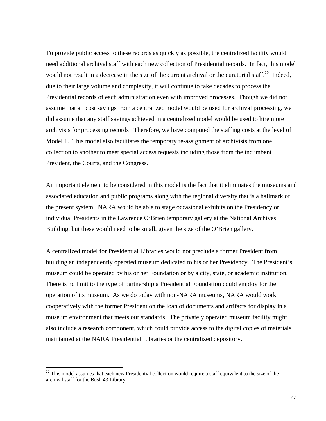To provide public access to these records as quickly as possible, the centralized facility would need additional archival staff with each new collection of Presidential records. In fact, this model would not result in a decrease in the size of the current archival or the curatorial staff.<sup>22</sup> Indeed, due to their large volume and complexity, it will continue to take decades to process the Presidential records of each administration even with improved processes. Though we did not assume that all cost savings from a centralized model would be used for archival processing, we did assume that any staff savings achieved in a centralized model would be used to hire more archivists for processing records Therefore, we have computed the staffing costs at the level of Model 1. This model also facilitates the temporary re-assignment of archivists from one collection to another to meet special access requests including those from the incumbent President, the Courts, and the Congress.

An important element to be considered in this model is the fact that it eliminates the museums and associated education and public programs along with the regional diversity that is a hallmark of the present system. NARA would be able to stage occasional exhibits on the Presidency or individual Presidents in the Lawrence O'Brien temporary gallery at the National Archives Building, but these would need to be small, given the size of the O'Brien gallery.

A centralized model for Presidential Libraries would not preclude a former President from building an independently operated museum dedicated to his or her Presidency. The President's museum could be operated by his or her Foundation or by a city, state, or academic institution. There is no limit to the type of partnership a Presidential Foundation could employ for the operation of its museum. As we do today with non-NARA museums, NARA would work cooperatively with the former President on the loan of documents and artifacts for display in a museum environment that meets our standards. The privately operated museum facility might also include a research component, which could provide access to the digital copies of materials maintained at the NARA Presidential Libraries or the centralized depository.

 $\overline{a}$ 

 $22$  This model assumes that each new Presidential collection would require a staff equivalent to the size of the archival staff for the Bush 43 Library.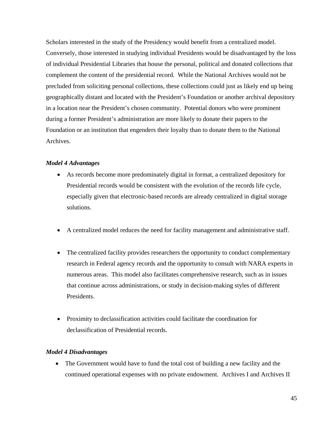Scholars interested in the study of the Presidency would benefit from a centralized model. Conversely, those interested in studying individual Presidents would be disadvantaged by the loss of individual Presidential Libraries that house the personal, political and donated collections that complement the content of the presidential record. While the National Archives would not be precluded from soliciting personal collections, these collections could just as likely end up being geographically distant and located with the President's Foundation or another archival depository in a location near the President's chosen community. Potential donors who were prominent during a former President's administration are more likely to donate their papers to the Foundation or an institution that engenders their loyalty than to donate them to the National Archives.

### *Model 4 Advantages*

- As records become more predominately digital in format, a centralized depository for Presidential records would be consistent with the evolution of the records life cycle, especially given that electronic-based records are already centralized in digital storage solutions.
- A centralized model reduces the need for facility management and administrative staff.
- The centralized facility provides researchers the opportunity to conduct complementary research in Federal agency records and the opportunity to consult with NARA experts in numerous areas. This model also facilitates comprehensive research, such as in issues that continue across administrations, or study in decision-making styles of different Presidents.
- Proximity to declassification activities could facilitate the coordination for declassification of Presidential records.

#### *Model 4 Disadvantages*

 The Government would have to fund the total cost of building a new facility and the continued operational expenses with no private endowment. Archives I and Archives II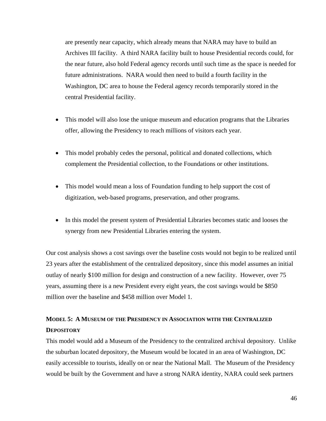are presently near capacity, which already means that NARA may have to build an Archives III facility. A third NARA facility built to house Presidential records could, for the near future, also hold Federal agency records until such time as the space is needed for future administrations. NARA would then need to build a fourth facility in the Washington, DC area to house the Federal agency records temporarily stored in the central Presidential facility.

- This model will also lose the unique museum and education programs that the Libraries offer, allowing the Presidency to reach millions of visitors each year.
- This model probably cedes the personal, political and donated collections, which complement the Presidential collection, to the Foundations or other institutions.
- This model would mean a loss of Foundation funding to help support the cost of digitization, web-based programs, preservation, and other programs.
- In this model the present system of Presidential Libraries becomes static and looses the synergy from new Presidential Libraries entering the system.

Our cost analysis shows a cost savings over the baseline costs would not begin to be realized until 23 years after the establishment of the centralized depository, since this model assumes an initial outlay of nearly \$100 million for design and construction of a new facility. However, over 75 years, assuming there is a new President every eight years, the cost savings would be \$850 million over the baseline and \$458 million over Model 1.

## **MODEL 5: A MUSEUM OF THE PRESIDENCY IN ASSOCIATION WITH THE CENTRALIZED DEPOSITORY**

This model would add a Museum of the Presidency to the centralized archival depository. Unlike the suburban located depository, the Museum would be located in an area of Washington, DC easily accessible to tourists, ideally on or near the National Mall. The Museum of the Presidency would be built by the Government and have a strong NARA identity, NARA could seek partners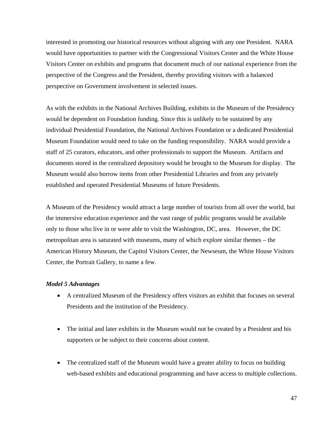interested in promoting our historical resources without aligning with any one President. NARA would have opportunities to partner with the Congressional Visitors Center and the White House Visitors Center on exhibits and programs that document much of our national experience from the perspective of the Congress and the President, thereby providing visitors with a balanced perspective on Government involvement in selected issues.

As with the exhibits in the National Archives Building, exhibits in the Museum of the Presidency would be dependent on Foundation funding. Since this is unlikely to be sustained by any individual Presidential Foundation, the National Archives Foundation or a dedicated Presidential Museum Foundation would need to take on the funding responsibility. NARA would provide a staff of 25 curators, educators, and other professionals to support the Museum. Artifacts and documents stored in the centralized depository would be brought to the Museum for display. The Museum would also borrow items from other Presidential Libraries and from any privately established and operated Presidential Museums of future Presidents.

A Museum of the Presidency would attract a large number of tourists from all over the world, but the immersive education experience and the vast range of public programs would be available only to those who live in or were able to visit the Washington, DC, area. However, the DC metropolitan area is saturated with museums, many of which explore similar themes – the American History Museum, the Capitol Visitors Center, the Newseum, the White House Visitors Center, the Portrait Gallery, to name a few.

#### *Model 5 Advantages*

- A centralized Museum of the Presidency offers visitors an exhibit that focuses on several Presidents and the institution of the Presidency.
- The initial and later exhibits in the Museum would not be created by a President and his supporters or be subject to their concerns about content.
- The centralized staff of the Museum would have a greater ability to focus on building web-based exhibits and educational programming and have access to multiple collections.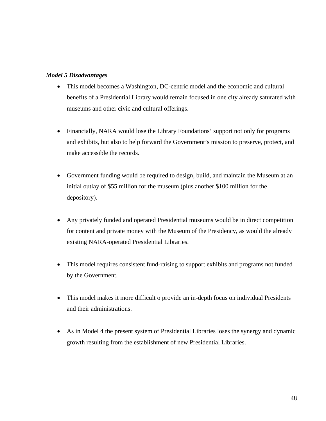### *Model 5 Disadvantages*

- This model becomes a Washington, DC-centric model and the economic and cultural benefits of a Presidential Library would remain focused in one city already saturated with museums and other civic and cultural offerings.
- Financially, NARA would lose the Library Foundations' support not only for programs and exhibits, but also to help forward the Government's mission to preserve, protect, and make accessible the records.
- Government funding would be required to design, build, and maintain the Museum at an initial outlay of \$55 million for the museum (plus another \$100 million for the depository).
- Any privately funded and operated Presidential museums would be in direct competition for content and private money with the Museum of the Presidency, as would the already existing NARA-operated Presidential Libraries.
- This model requires consistent fund-raising to support exhibits and programs not funded by the Government.
- This model makes it more difficult o provide an in-depth focus on individual Presidents and their administrations.
- As in Model 4 the present system of Presidential Libraries loses the synergy and dynamic growth resulting from the establishment of new Presidential Libraries.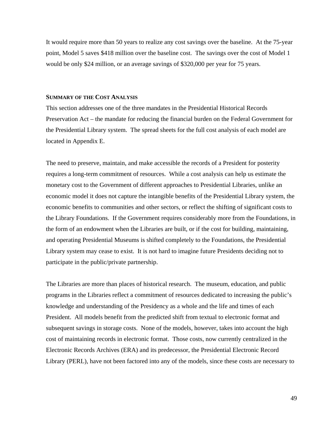It would require more than 50 years to realize any cost savings over the baseline. At the 75-year point, Model 5 saves \$418 million over the baseline cost. The savings over the cost of Model 1 would be only \$24 million, or an average savings of \$320,000 per year for 75 years.

#### **SUMMARY OF THE COST ANALYSIS**

This section addresses one of the three mandates in the Presidential Historical Records Preservation Act – the mandate for reducing the financial burden on the Federal Government for the Presidential Library system. The spread sheets for the full cost analysis of each model are located in Appendix E.

The need to preserve, maintain, and make accessible the records of a President for posterity requires a long-term commitment of resources. While a cost analysis can help us estimate the monetary cost to the Government of different approaches to Presidential Libraries, unlike an economic model it does not capture the intangible benefits of the Presidential Library system, the economic benefits to communities and other sectors, or reflect the shifting of significant costs to the Library Foundations. If the Government requires considerably more from the Foundations, in the form of an endowment when the Libraries are built, or if the cost for building, maintaining, and operating Presidential Museums is shifted completely to the Foundations, the Presidential Library system may cease to exist. It is not hard to imagine future Presidents deciding not to participate in the public/private partnership.

The Libraries are more than places of historical research. The museum, education, and public programs in the Libraries reflect a commitment of resources dedicated to increasing the public's knowledge and understanding of the Presidency as a whole and the life and times of each President. All models benefit from the predicted shift from textual to electronic format and subsequent savings in storage costs. None of the models, however, takes into account the high cost of maintaining records in electronic format. Those costs, now currently centralized in the Electronic Records Archives (ERA) and its predecessor, the Presidential Electronic Record Library (PERL), have not been factored into any of the models, since these costs are necessary to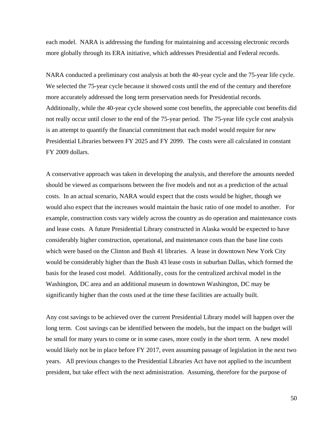each model. NARA is addressing the funding for maintaining and accessing electronic records more globally through its ERA initiative, which addresses Presidential and Federal records.

NARA conducted a preliminary cost analysis at both the 40-year cycle and the 75-year life cycle. We selected the 75-year cycle because it showed costs until the end of the century and therefore more accurately addressed the long term preservation needs for Presidential records. Additionally, while the 40-year cycle showed some cost benefits, the appreciable cost benefits did not really occur until closer to the end of the 75-year period. The 75-year life cycle cost analysis is an attempt to quantify the financial commitment that each model would require for new Presidential Libraries between FY 2025 and FY 2099. The costs were all calculated in constant FY 2009 dollars.

A conservative approach was taken in developing the analysis, and therefore the amounts needed should be viewed as comparisons between the five models and not as a prediction of the actual costs. In an actual scenario, NARA would expect that the costs would be higher, though we would also expect that the increases would maintain the basic ratio of one model to another. For example, construction costs vary widely across the country as do operation and maintenance costs and lease costs. A future Presidential Library constructed in Alaska would be expected to have considerably higher construction, operational, and maintenance costs than the base line costs which were based on the Clinton and Bush 41 libraries. A lease in downtown New York City would be considerably higher than the Bush 43 lease costs in suburban Dallas, which formed the basis for the leased cost model. Additionally, costs for the centralized archival model in the Washington, DC area and an additional museum in downtown Washington, DC may be significantly higher than the costs used at the time these facilities are actually built.

Any cost savings to be achieved over the current Presidential Library model will happen over the long term. Cost savings can be identified between the models, but the impact on the budget will be small for many years to come or in some cases, more costly in the short term. A new model would likely not be in place before FY 2017, even assuming passage of legislation in the next two years. All previous changes to the Presidential Libraries Act have not applied to the incumbent president, but take effect with the next administration. Assuming, therefore for the purpose of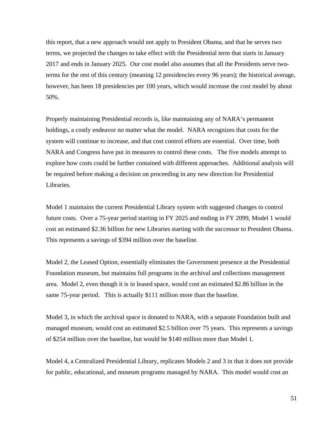this report, that a new approach would not apply to President Obama, and that he serves two terms, we projected the changes to take effect with the Presidential term that starts in January 2017 and ends in January 2025. Our cost model also assumes that all the Presidents serve twoterms for the rest of this century (meaning 12 presidencies every 96 years); the historical average, however, has been 18 presidencies per 100 years, which would increase the cost model by about 50%.

Properly maintaining Presidential records is, like maintaining any of NARA's permanent holdings, a costly endeavor no matter what the model. NARA recognizes that costs for the system will continue to increase, and that cost control efforts are essential. Over time, both NARA and Congress have put in measures to control these costs. The five models attempt to explore how costs could be further contained with different approaches. Additional analysis will be required before making a decision on proceeding in any new direction for Presidential Libraries.

Model 1 maintains the current Presidential Library system with suggested changes to control future costs. Over a 75-year period starting in FY 2025 and ending in FY 2099, Model 1 would cost an estimated \$2.36 billion for new Libraries starting with the successor to President Obama. This represents a savings of \$394 million over the baseline.

Model 2, the Leased Option, essentially eliminates the Government presence at the Presidential Foundation museum, but maintains full programs in the archival and collections management area. Model 2, even though it is in leased space, would cost an estimated \$2.86 billion in the same 75-year period. This is actually \$111 million more than the baseline.

Model 3, in which the archival space is donated to NARA, with a separate Foundation built and managed museum, would cost an estimated \$2.5 billion over 75 years. This represents a savings of \$254 million over the baseline, but would be \$140 million more than Model 1.

Model 4, a Centralized Presidential Library, replicates Models 2 and 3 in that it does not provide for public, educational, and museum programs managed by NARA. This model would cost an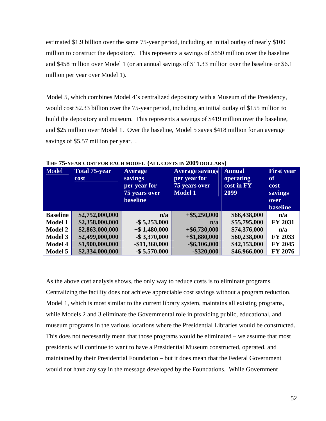estimated \$1.9 billion over the same 75-year period, including an initial outlay of nearly \$100 million to construct the depository. This represents a savings of \$850 million over the baseline and \$458 million over Model 1 (or an annual savings of \$11.33 million over the baseline or \$6.1 million per year over Model 1).

Model 5, which combines Model 4's centralized depository with a Museum of the Presidency, would cost \$2.33 billion over the 75-year period, including an initial outlay of \$155 million to build the depository and museum. This represents a savings of \$419 million over the baseline, and \$25 million over Model 1. Over the baseline, Model 5 saves \$418 million for an average savings of \$5.57 million per year...

| Model           | <b>Total 75-year</b> | <b>Average</b>       | <b>Average savings</b> | <b>Annual</b> | <b>First year</b> |
|-----------------|----------------------|----------------------|------------------------|---------------|-------------------|
|                 | cost                 | savings              | per year for           | operating     | of                |
|                 |                      | per year for         | 75 years over          | cost in FY    | <b>cost</b>       |
|                 |                      | <b>75 years over</b> | <b>Model 1</b>         | 2099          | savings           |
|                 |                      | <b>baseline</b>      |                        |               | over              |
|                 |                      |                      |                        |               | <b>baseline</b>   |
| <b>Baseline</b> | \$2,752,000,000      | n/a                  | $+$ \$5,250,000        | \$66,438,000  | n/a               |
| <b>Model 1</b>  | \$2,358,000,000      | $-$ \$ 5,253,000     | n/a                    | \$55,795,000  | <b>FY 2031</b>    |
| <b>Model 2</b>  | \$2,863,000,000      | $+$ \$1,480,000      | $+$ \$6,730,000        | \$74,376,000  | n/a               |
| <b>Model 3</b>  | \$2,499,000,000      | $-$ \$ 3,370,000     | $+ $1,880,000$         | \$60,238,000  | FY 2033           |
| Model 4         | \$1,900,000,000      | $-$11,360,000$       | $-$ \$6,106,000        | \$42,153,000  | FY 2045           |
| Model 5         | \$2,334,000,000      | $-$ \$5,570,000      | $-$ \$320,000          | \$46,966,000  | FY 2076           |

**THE 75-YEAR COST FOR EACH MODEL (ALL COSTS IN 2009 DOLLARS)** 

As the above cost analysis shows, the only way to reduce costs is to eliminate programs. Centralizing the facility does not achieve appreciable cost savings without a program reduction. Model 1, which is most similar to the current library system, maintains all existing programs, while Models 2 and 3 eliminate the Governmental role in providing public, educational, and museum programs in the various locations where the Presidential Libraries would be constructed. This does not necessarily mean that those programs would be eliminated – we assume that most presidents will continue to want to have a Presidential Museum constructed, operated, and maintained by their Presidential Foundation – but it does mean that the Federal Government would not have any say in the message developed by the Foundations. While Government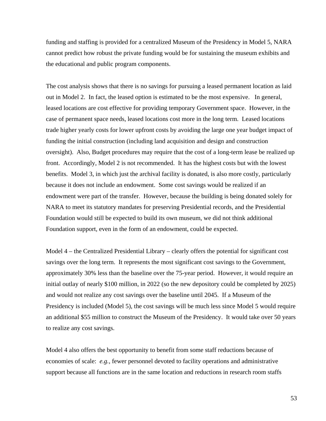funding and staffing is provided for a centralized Museum of the Presidency in Model 5, NARA cannot predict how robust the private funding would be for sustaining the museum exhibits and the educational and public program components.

The cost analysis shows that there is no savings for pursuing a leased permanent location as laid out in Model 2. In fact, the leased option is estimated to be the most expensive. In general, leased locations are cost effective for providing temporary Government space. However, in the case of permanent space needs, leased locations cost more in the long term. Leased locations trade higher yearly costs for lower upfront costs by avoiding the large one year budget impact of funding the initial construction (including land acquisition and design and construction oversight). Also, Budget procedures may require that the cost of a long-term lease be realized up front. Accordingly, Model 2 is not recommended. It has the highest costs but with the lowest benefits. Model 3, in which just the archival facility is donated, is also more costly, particularly because it does not include an endowment. Some cost savings would be realized if an endowment were part of the transfer. However, because the building is being donated solely for NARA to meet its statutory mandates for preserving Presidential records, and the Presidential Foundation would still be expected to build its own museum, we did not think additional Foundation support, even in the form of an endowment, could be expected.

Model 4 – the Centralized Presidential Library – clearly offers the potential for significant cost savings over the long term. It represents the most significant cost savings to the Government, approximately 30% less than the baseline over the 75-year period. However, it would require an initial outlay of nearly \$100 million, in 2022 (so the new depository could be completed by 2025) and would not realize any cost savings over the baseline until 2045. If a Museum of the Presidency is included (Model 5), the cost savings will be much less since Model 5 would require an additional \$55 million to construct the Museum of the Presidency. It would take over 50 years to realize any cost savings.

Model 4 also offers the best opportunity to benefit from some staff reductions because of economies of scale: *e.g.,* fewer personnel devoted to facility operations and administrative support because all functions are in the same location and reductions in research room staffs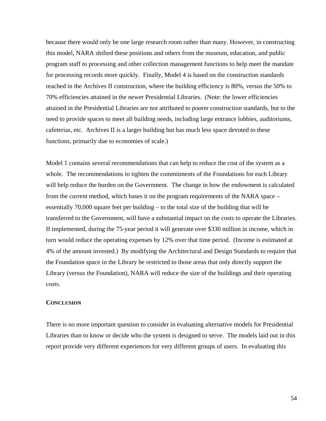because there would only be one large research room rather than many. However, in constructing this model, NARA shifted these positions and others from the museum, education, and public program staff to processing and other collection management functions to help meet the mandate for processing records more quickly. Finally, Model 4 is based on the construction standards reached in the Archives II construction, where the building efficiency is 80%, versus the 50% to 70% efficiencies attained in the newer Presidential Libraries. (Note: the lower efficiencies attained in the Presidential Libraries are not attributed to poorer construction standards, but to the need to provide spaces to meet all building needs, including large entrance lobbies, auditoriums, cafeterias, etc. Archives II is a larger building but has much less space devoted to these functions, primarily due to economies of scale.)

transferred to the Government, will have a substantial impact on the costs to operate the Libraries. Model 1 contains several recommendations that can help to reduce the cost of the system as a whole. The recommendations to tighten the commitments of the Foundations for each Library will help reduce the burden on the Government. The change in how the endowment is calculated from the current method, which bases it on the program requirements of the NARA space – essentially 70,000 square feet per building – to the total size of the building that will be If implemented, during the 75-year period it will generate over \$330 million in income, which in turn would reduce the operating expenses by 12% over that time period. (Income is estimated at 4% of the amount invested.) By modifying the Architectural and Design Standards to require that the Foundation space in the Library be restricted to those areas that only directly support the Library (versus the Foundation), NARA will reduce the size of the buildings and their operating costs.

#### **CONCLUSION**

There is no more important question to consider in evaluating alternative models for Presidential Libraries than to know or decide who the system is designed to serve. The models laid out in this report provide very different experiences for very different groups of users. In evaluating this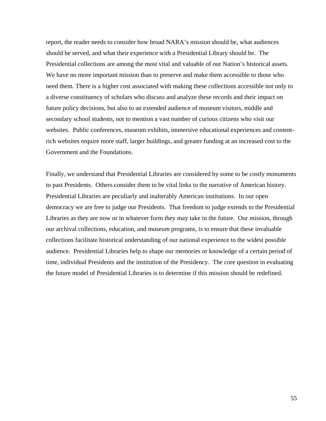report, the reader needs to consider how broad NARA's mission should be, what audiences should be served, and what their experience with a Presidential Library should be. The Presidential collections are among the most vital and valuable of our Nation's historical assets. We have no more important mission than to preserve and make them accessible to those who need them. There is a higher cost associated with making these collections accessible not only to a diverse constituency of scholars who discuss and analyze these records and their impact on future policy decisions, but also to an extended audience of museum visitors, middle and secondary school students, not to mention a vast number of curious citizens who visit our websites. Public conferences, museum exhibits, immersive educational experiences and contentrich websites require more staff, larger buildings, and greater funding at an increased cost to the Government and the Foundations.

Finally, we understand that Presidential Libraries are considered by some to be costly monuments to past Presidents. Others consider them to be vital links to the narrative of American history. Presidential Libraries are peculiarly and inalterably American institutions. In our open democracy we are free to judge our Presidents. That freedom to judge extends to the Presidential Libraries as they are now or in whatever form they may take in the future. Our mission, through our archival collections, education, and museum programs, is to ensure that these invaluable collections facilitate historical understanding of our national experience to the widest possible audience. Presidential Libraries help to shape our memories or knowledge of a certain period of time, individual Presidents and the institution of the Presidency. The core question in evaluating the future model of Presidential Libraries is to determine if this mission should be redefined.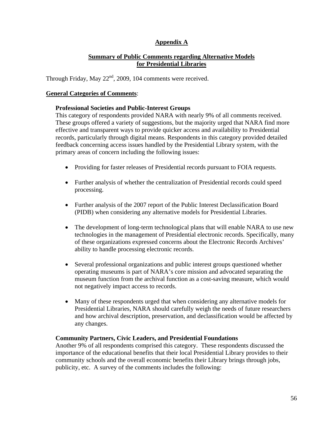### **Appendix A**

### **Summary of Public Comments regarding Alternative Models for Presidential Libraries**

Through Friday, May 22<sup>nd</sup>, 2009, 104 comments were received.

### **General Categories of Comments**:

#### **Professional Societies and Public-Interest Groups**

This category of respondents provided NARA with nearly 9% of all comments received. These groups offered a variety of suggestions, but the majority urged that NARA find more effective and transparent ways to provide quicker access and availability to Presidential records, particularly through digital means. Respondents in this category provided detailed feedback concerning access issues handled by the Presidential Library system, with the primary areas of concern including the following issues:

- Providing for faster releases of Presidential records pursuant to FOIA requests.
- Further analysis of whether the centralization of Presidential records could speed processing.
- Further analysis of the 2007 report of the Public Interest Declassification Board (PIDB) when considering any alternative models for Presidential Libraries.
- The development of long-term technological plans that will enable NARA to use new technologies in the management of Presidential electronic records. Specifically, many of these organizations expressed concerns about the Electronic Records Archives' ability to handle processing electronic records.
- Several professional organizations and public interest groups questioned whether operating museums is part of NARA's core mission and advocated separating the museum function from the archival function as a cost-saving measure, which would not negatively impact access to records.
- Many of these respondents urged that when considering any alternative models for Presidential Libraries, NARA should carefully weigh the needs of future researchers and how archival description, preservation, and declassification would be affected by any changes.

#### **Community Partners, Civic Leaders, and Presidential Foundations**

Another 9% of all respondents comprised this category. These respondents discussed the importance of the educational benefits that their local Presidential Library provides to their community schools and the overall economic benefits their Library brings through jobs, publicity, etc. A survey of the comments includes the following: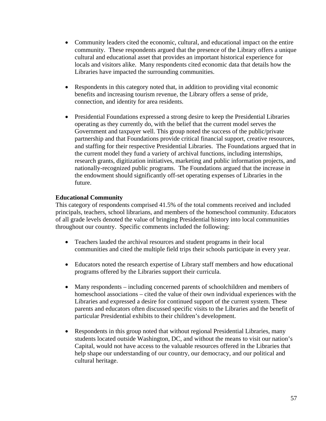- Community leaders cited the economic, cultural, and educational impact on the entire community. These respondents argued that the presence of the Library offers a unique cultural and educational asset that provides an important historical experience for locals and visitors alike. Many respondents cited economic data that details how the Libraries have impacted the surrounding communities.
- Respondents in this category noted that, in addition to providing vital economic benefits and increasing tourism revenue, the Library offers a sense of pride, connection, and identity for area residents.
- Presidential Foundations expressed a strong desire to keep the Presidential Libraries operating as they currently do, with the belief that the current model serves the Government and taxpayer well. This group noted the success of the public/private partnership and that Foundations provide critical financial support, creative resources, and staffing for their respective Presidential Libraries. The Foundations argued that in the current model they fund a variety of archival functions, including internships, research grants, digitization initiatives, marketing and public information projects, and nationally-recognized public programs. The Foundations argued that the increase in the endowment should significantly off-set operating expenses of Libraries in the future.

### **Educational Community**

This category of respondents comprised 41.5% of the total comments received and included principals, teachers, school librarians, and members of the homeschool community. Educators of all grade levels denoted the value of bringing Presidential history into local communities throughout our country. Specific comments included the following:

- Teachers lauded the archival resources and student programs in their local communities and cited the multiple field trips their schools participate in every year.
- Educators noted the research expertise of Library staff members and how educational programs offered by the Libraries support their curricula.
- Many respondents including concerned parents of schoolchildren and members of homeschool associations – cited the value of their own individual experiences with the Libraries and expressed a desire for continued support of the current system. These parents and educators often discussed specific visits to the Libraries and the benefit of particular Presidential exhibits to their children's development.
- Respondents in this group noted that without regional Presidential Libraries, many students located outside Washington, DC, and without the means to visit our nation's Capital, would not have access to the valuable resources offered in the Libraries that help shape our understanding of our country, our democracy, and our political and cultural heritage.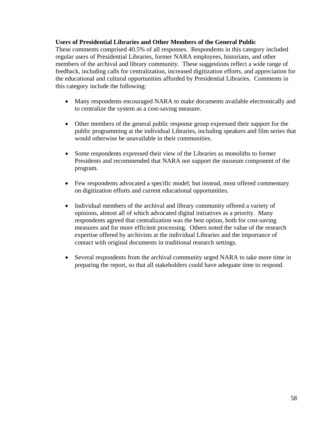#### **Users of Presidential Libraries and Other Members of the General Public**

These comments comprised 40.5% of all responses. Respondents in this category included regular users of Presidential Libraries, former NARA employees, historians, and other members of the archival and library community. These suggestions reflect a wide range of feedback, including calls for centralization, increased digitization efforts, and appreciation for the educational and cultural opportunities afforded by Presidential Libraries. Comments in this category include the following:

- Many respondents encouraged NARA to make documents available electronically and to centralize the system as a cost-saving measure.
- Other members of the general public response group expressed their support for the public programming at the individual Libraries, including speakers and film series that would otherwise be unavailable in their communities.
- Some respondents expressed their view of the Libraries as monoliths to former Presidents and recommended that NARA not support the museum component of the program.
- Few respondents advocated a specific model; but instead, most offered commentary on digitization efforts and current educational opportunities.
- Individual members of the archival and library community offered a variety of opinions, almost all of which advocated digital initiatives as a priority. Many respondents agreed that centralization was the best option, both for cost-saving measures and for more efficient processing. Others noted the value of the research expertise offered by archivists at the individual Libraries and the importance of contact with original documents in traditional research settings.
- Several respondents from the archival community urged NARA to take more time in preparing the report, so that all stakeholders could have adequate time to respond.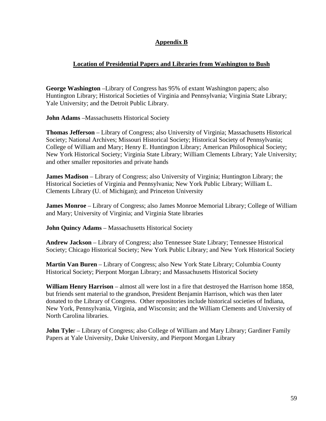### **Appendix B**

### **Location of Presidential Papers and Libraries from Washington to Bush**

**George Washington** –Library of Congress has 95% of extant Washington papers; also Huntington Library; Historical Societies of Virginia and Pennsylvania; Virginia State Library; Yale University; and the Detroit Public Library.

**John Adams** –Massachusetts Historical Society

**Thomas Jefferson** – Library of Congress; also University of Virginia; Massachusetts Historical Society; National Archives; Missouri Historical Society; Historical Society of Pennsylvania; College of William and Mary; Henry E. Huntington Library; American Philosophical Society; New York Historical Society; Virginia State Library; William Clements Library; Yale University; and other smaller repositories and private hands

**James Madison** – Library of Congress; also University of Virginia; Huntington Library; the Historical Societies of Virginia and Pennsylvania; New York Public Library; William L. Clements Library (U. of Michigan); and Princeton University

**James Monroe** – Library of Congress; also James Monroe Memorial Library; College of William and Mary; University of Virginia; and Virginia State libraries

**John Quincy Adams** – Massachusetts Historical Society

**Andrew Jackson** – Library of Congress; also Tennessee State Library; Tennessee Historical Society; Chicago Historical Society; New York Public Library; and New York Historical Society

**Martin Van Buren** – Library of Congress; also New York State Library; Columbia County Historical Society; Pierpont Morgan Library; and Massachusetts Historical Society

**William Henry Harrison** – almost all were lost in a fire that destroyed the Harrison home 1858, but friends sent material to the grandson, President Benjamin Harrison, which was then later donated to the Library of Congress. Other repositories include historical societies of Indiana, New York, Pennsylvania, Virginia, and Wisconsin; and the William Clements and University of North Carolina libraries.

**John Tyle**r – Library of Congress; also College of William and Mary Library; Gardiner Family Papers at Yale University, Duke University, and Pierpont Morgan Library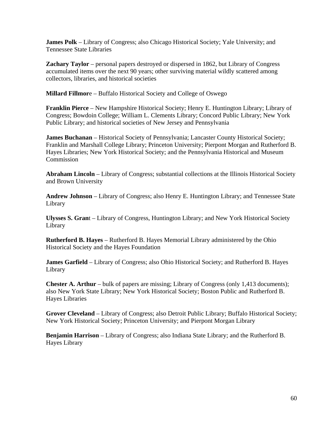**James Polk** – Library of Congress; also Chicago Historical Society; Yale University; and Tennessee State Libraries

**Zachary Taylor** – personal papers destroyed or dispersed in 1862, but Library of Congress accumulated items over the next 90 years; other surviving material wildly scattered among collectors, libraries, and historical societies

**Millard Fillmor**e – Buffalo Historical Society and College of Oswego

**Franklin Pierce** – New Hampshire Historical Society; Henry E. Huntington Library; Library of Congress; Bowdoin College; William L. Clements Library; Concord Public Library; New York Public Library; and historical societies of New Jersey and Pennsylvania

**James Buchanan** – Historical Society of Pennsylvania; Lancaster County Historical Society; Franklin and Marshall College Library; Princeton University; Pierpont Morgan and Rutherford B. Hayes Libraries; New York Historical Society; and the Pennsylvania Historical and Museum Commission

**Abraham Lincoln** – Library of Congress; substantial collections at the Illinois Historical Society and Brown University

**Andrew Johnson** – Library of Congress; also Henry E. Huntington Library; and Tennessee State Library

**Ulysses S. Gran**t – Library of Congress, Huntington Library; and New York Historical Society Library

**Rutherford B. Hayes** – Rutherford B. Hayes Memorial Library administered by the Ohio Historical Society and the Hayes Foundation

**James Garfield** – Library of Congress; also Ohio Historical Society; and Rutherford B. Hayes Library

**Chester A. Arthur** – bulk of papers are missing; Library of Congress (only 1,413 documents); also New York State Library; New York Historical Society; Boston Public and Rutherford B. Hayes Libraries

**Grover Cleveland** – Library of Congress; also Detroit Public Library; Buffalo Historical Society; New York Historical Society; Princeton University; and Pierpont Morgan Library

**Benjamin Harrison** – Library of Congress; also Indiana State Library; and the Rutherford B. Hayes Library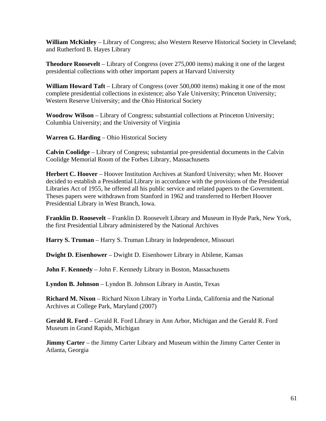**William McKinley** – Library of Congress; also Western Reserve Historical Society in Cleveland; and Rutherford B. Hayes Library

**Theodore Roosevelt** – Library of Congress (over 275,000 items) making it one of the largest presidential collections with other important papers at Harvard University

**William Howard Taft** – Library of Congress (over 500,000 items) making it one of the most complete presidential collections in existence; also Yale University; Princeton University; Western Reserve University; and the Ohio Historical Society

**Woodrow Wilson** – Library of Congress; substantial collections at Princeton University; Columbia University; and the University of Virginia

**Warren G. Harding** – Ohio Historical Society

**Calvin Coolidge** – Library of Congress; substantial pre-presidential documents in the Calvin Coolidge Memorial Room of the Forbes Library, Massachusetts

**Herbert C. Hoover** – Hoover Institution Archives at Stanford University; when Mr. Hoover decided to establish a Presidential Library in accordance with the provisions of the Presidential Libraries Act of 1955, he offered all his public service and related papers to the Government. Theses papers were withdrawn from Stanford in 1962 and transferred to Herbert Hoover Presidential Library in West Branch, Iowa.

**Franklin D. Roosevelt** – Franklin D. Roosevelt Library and Museum in Hyde Park, New York, the first Presidential Library administered by the National Archives

**Harry S. Truman** – Harry S. Truman Library in Independence, Missouri

**Dwight D. Eisenhower** – Dwight D. Eisenhower Library in Abilene, Kansas

**John F. Kennedy** – John F. Kennedy Library in Boston, Massachusetts

**Lyndon B. Johnson** – Lyndon B. Johnson Library in Austin, Texas

**Richard M. Nixon** – Richard Nixon Library in Yorba Linda, California and the National Archives at College Park, Maryland (2007)

**Gerald R. Ford** – Gerald R. Ford Library in Ann Arbor, Michigan and the Gerald R. Ford Museum in Grand Rapids, Michigan

**Jimmy Carter** – the Jimmy Carter Library and Museum within the Jimmy Carter Center in Atlanta, Georgia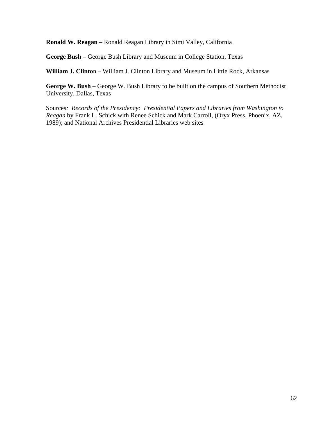**Ronald W. Reagan** – Ronald Reagan Library in Simi Valley, California

**George Bush** – George Bush Library and Museum in College Station, Texas

**William J. Clinto**n – William J. Clinton Library and Museum in Little Rock, Arkansas

**George W. Bush** – George W. Bush Library to be built on the campus of Southern Methodist University, Dallas, Texas

Sources*: Records of the Presidency: Presidential Papers and Libraries from Washington to Reagan* by Frank L. Schick with Renee Schick and Mark Carroll, (Oryx Press, Phoenix, AZ, 1989); and National Archives Presidential Libraries web sites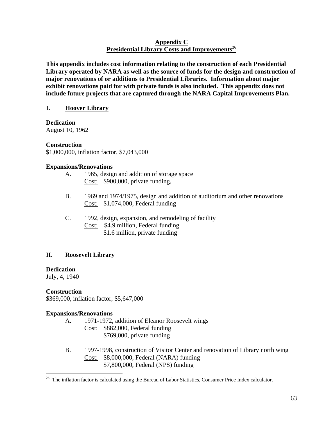### **Appendix C Presidential Library Costs and Improvements<sup>26</sup>**

**This appendix includes cost information relating to the construction of each Presidential Library operated by NARA as well as the source of funds for the design and construction of major renovations of or additions to Presidential Libraries. Information about major exhibit renovations paid for with private funds is also included. This appendix does not include future projects that are captured through the NARA Capital Improvements Plan.** 

### **I. Hoover Library**

**Dedication**  August 10, 1962

### **Construction**

\$1,000,000, inflation factor, \$7,043,000

### **Expansions/Renovations**

- A. 1965, design and addition of storage space Cost: \$900,000, private funding,
- B. 1969 and 1974/1975, design and addition of auditorium and other renovations Cost: \$1,074,000, Federal funding
- C. 1992, design, expansion, and remodeling of facility Cost: \$4.9 million, Federal funding \$1.6 million, private funding

### **II. Roosevelt Library**

### **Dedication**

July, 4, 1940

### **Construction**

 $\overline{a}$ 

\$369,000, inflation factor, \$5,647,000

#### **Expansions/Renovations**

- A. 1971-1972, addition of Eleanor Roosevelt wings
	- Cost: \$882,000, Federal funding \$769,000, private funding
- B. 1997-1998, construction of Visitor Center and renovation of Library north wing Cost: \$8,000,000, Federal (NARA) funding \$7,800,000, Federal (NPS) funding

<sup>&</sup>lt;sup>26</sup> The inflation factor is calculated using the Bureau of Labor Statistics, Consumer Price Index calculator.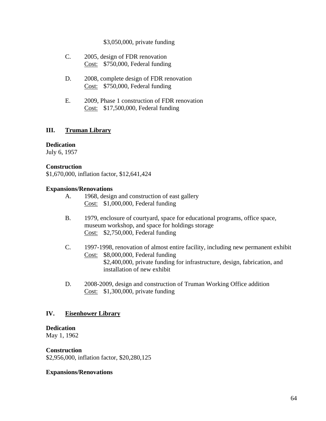### \$3,050,000, private funding

- C. 2005, design of FDR renovation Cost: \$750,000, Federal funding
- D. 2008, complete design of FDR renovation Cost: \$750,000, Federal funding
- E. 2009, Phase 1 construction of FDR renovation Cost: \$17,500,000, Federal funding

### **III. Truman Library**

#### **Dedication**

July 6, 1957

#### **Construction**

\$1,670,000, inflation factor, \$12,641,424

#### **Expansions/Renovations**

- A. 1968, design and construction of east gallery Cost: \$1,000,000, Federal funding
- B. 1979, enclosure of courtyard, space for educational programs, office space, museum workshop, and space for holdings storage Cost: \$2,750,000, Federal funding
- C. 1997-1998, renovation of almost entire facility, including new permanent exhibit Cost: \$8,000,000, Federal funding \$2,400,000, private funding for infrastructure, design, fabrication, and installation of new exhibit
- D. 2008-2009, design and construction of Truman Working Office addition Cost: \$1,300,000, private funding

### **IV. Eisenhower Library**

#### **Dedication**

May 1, 1962

#### **Construction**

\$2,956,000, inflation factor, \$20,280,125

#### **Expansions/Renovations**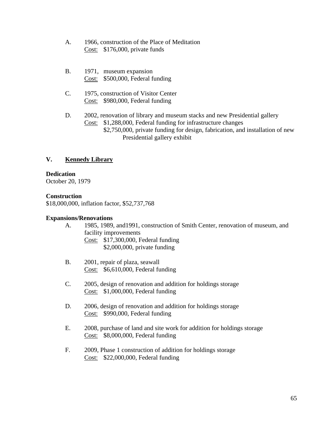- A. 1966, construction of the Place of Meditation Cost: \$176,000, private funds
- B. 1971, museum expansion Cost: \$500,000, Federal funding
- C. 1975, construction of Visitor Center Cost: \$980,000, Federal funding
- D. 2002, renovation of library and museum stacks and new Presidential gallery Cost: \$1,288,000, Federal funding for infrastructure changes
	- \$2,750,000, private funding for design, fabrication, and installation of new Presidential gallery exhibit

### **V. Kennedy Library**

### **Dedication**

October 20, 1979

### **Construction**

\$18,000,000, inflation factor, \$52,737,768

### **Expansions/Renovations**

- A. 1985, 1989, and1991, construction of Smith Center, renovation of museum, and facility improvements Cost: \$17,300,000, Federal funding \$2,000,000, private funding
- B. 2001, repair of plaza, seawall Cost: \$6,610,000, Federal funding
- C. 2005, design of renovation and addition for holdings storage Cost: \$1,000,000, Federal funding
- D. 2006, design of renovation and addition for holdings storage Cost: \$990,000, Federal funding
- E. 2008, purchase of land and site work for addition for holdings storage Cost: \$8,000,000, Federal funding
- F. 2009, Phase 1 construction of addition for holdings storage Cost: \$22,000,000, Federal funding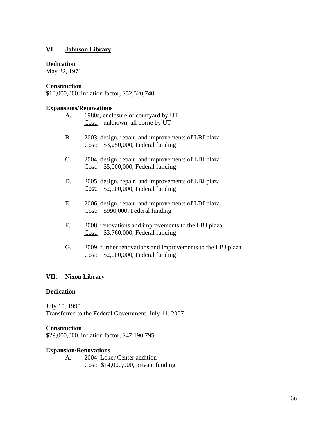### **VI. Johnson Library**

#### **Dedication**

May 22, 1971

### **Construction**

\$10,000,000, inflation factor, \$52,520,740

#### **Expansions/Renovations**

|  | 1980s, enclosure of courtyard by UT |
|--|-------------------------------------|
|  | Cost: unknown, all borne by UT      |

- B. 2003, design, repair, and improvements of LBJ plaza Cost: \$3,250,000, Federal funding
- C. 2004, design, repair, and improvements of LBJ plaza Cost: \$5,000,000, Federal funding
- D. 2005, design, repair, and improvements of LBJ plaza Cost: \$2,000,000, Federal funding
- E. 2006, design, repair, and improvements of LBJ plaza Cost: \$990,000, Federal funding
- F. 2008, renovations and improvements to the LBJ plaza Cost: \$3,760,000, Federal funding
- G. 2009, further renovations and improvements to the LBJ plaza Cost: \$2,000,000, Federal funding

#### **VII. Nixon Library**

#### **Dedication**

July 19, 1990 Transferred to the Federal Government, July 11, 2007

#### **Construction**

\$29,000,000, inflation factor, \$47,190,795

#### **Expansion/Renovations**

A. 2004, Loker Center addition Cost: \$14,000,000, private funding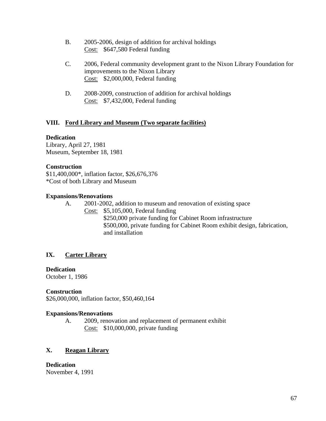- B. 2005-2006, design of addition for archival holdings Cost: \$647,580 Federal funding
- C. 2006, Federal community development grant to the Nixon Library Foundation for improvements to the Nixon Library Cost: \$2,000,000, Federal funding
- D. 2008-2009, construction of addition for archival holdings Cost: \$7,432,000, Federal funding

### **VIII. Ford Library and Museum (Two separate facilities)**

### **Dedication**

Library, April 27, 1981 Museum, September 18, 1981

### **Construction**

\$11,400,000\*, inflation factor, \$26,676,376 \*Cost of both Library and Museum

### **Expansions/Renovations**

A. 2001-2002, addition to museum and renovation of existing space Cost: \$5,105,000, Federal funding \$250,000 private funding for Cabinet Room infrastructure \$500,000, private funding for Cabinet Room exhibit design, fabrication, and installation

### **IX. Carter Library**

#### **Dedication**

October 1, 1986

### **Construction**

\$26,000,000, inflation factor, \$50,460,164

#### **Expansions/Renovations**

A. 2009, renovation and replacement of permanent exhibit Cost: \$10,000,000, private funding

### **X. Reagan Library**

**Dedication**  November 4, 1991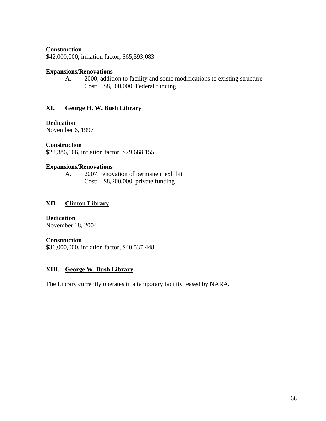### **Construction**

\$42,000,000, inflation factor, \$65,593,083

#### **Expansions/Renovations**

A. 2000, addition to facility and some modifications to existing structure Cost: \$8,000,000, Federal funding

### **XI. George H. W. Bush Library**

### **Dedication**

November 6, 1997

#### **Construction**

\$22,386,166, inflation factor, \$29,668,155

#### **Expansions/Renovations**

A. 2007, renovation of permanent exhibit Cost: \$8,200,000, private funding

### **XII. Clinton Library**

**Dedication**  November 18, 2004

#### **Construction**

\$36,000,000, inflation factor, \$40,537,448

### **XIII. George W. Bush Library**

The Library currently operates in a temporary facility leased by NARA.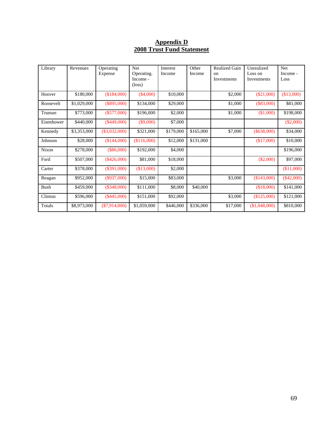### **Appendix D 2008 Trust Fund Statement**

| Library    | Revenues    | Operating<br>Expense | <b>Net</b><br>Operating.<br>Income -<br>$(\text{loss})$ | Interest<br>Income | Other<br>Income | <b>Realized Gain</b><br>$_{\rm on}$<br>Investments | Unrealized<br>Loss on<br>Investments | <b>Net</b><br>Income -<br>Loss |
|------------|-------------|----------------------|---------------------------------------------------------|--------------------|-----------------|----------------------------------------------------|--------------------------------------|--------------------------------|
| Hoover     | \$180,000   | (\$184,000)          | $(\$4,000)$                                             | \$10,000           |                 | \$2,000                                            | $(\$21,000)$                         | (\$13,000)                     |
| Roosevelt  | \$1,029,000 | $(\$895,000)$        | \$134,000                                               | \$29,000           |                 | \$1,000                                            | $(\$83,000)$                         | \$81,000                       |
| Truman     | \$773,000   | $(\$577,000)$        | \$196,000                                               | \$2,000            |                 | \$1,000                                            | (\$1,000)                            | \$198,000                      |
| Eisenhower | \$440,000   | $(\$449,000)$        | $(\$9,000)$                                             | \$7,000            |                 |                                                    |                                      | $(\$2,000)$                    |
| Kennedy    | \$3,353,000 | $(\$3,032,000)$      | \$321,000                                               | \$179,000          | \$165,000       | \$7,000                                            | $(\$638,000)$                        | \$34,000                       |
| Johnson    | \$28,000    | (\$144,000)          | (\$116,000)                                             | \$12,000           | \$131,000       |                                                    | (\$17,000)                           | \$10,000                       |
| Nixon      | \$278,000   | $(\$86,000)$         | \$192,000                                               | \$4,000            |                 |                                                    |                                      | \$196,000                      |
| Ford       | \$507,000   | $(\$426,000)$        | \$81,000                                                | \$18,000           |                 |                                                    | $(\$2,000)$                          | \$97,000                       |
| Carter     | \$378,000   | $(\$391,000)$        | (\$13,000)                                              | \$2,000            |                 |                                                    |                                      | (\$11,000)                     |
| Reagan     | \$952,000   | $(\$937,000)$        | \$15,000                                                | \$83,000           |                 | \$3,000                                            | (\$143,000)                          | $(\$42,000)$                   |
| Bush       | \$459,000   | (\$348,000)          | \$111,000                                               | \$8,000            | \$40,000        |                                                    | (\$18,000)                           | \$141,000                      |
| Clinton    | \$596,000   | $(\$445,000)$        | \$151,000                                               | \$92,000           |                 | \$3,000                                            | (\$125,000)                          | \$121,000                      |
| Totals     | \$8,973,000 | $(\$7,914,000)$      | \$1,059,000                                             | \$446,000          | \$336,000       | \$17,000                                           | (\$1,048,000)                        | \$810,000                      |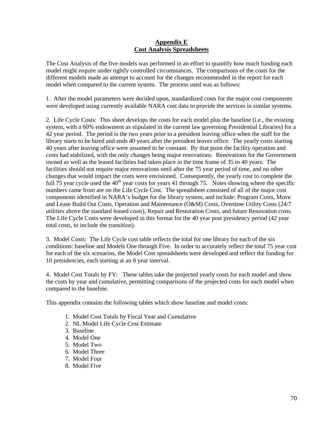### **Appendix E Cost Analysis Spreadsheets**

The Cost Analysis of the five models was performed in an effort to quantify how much funding each model might require under tightly controlled circumstances. The comparisons of the costs for the different models made an attempt to account for the changes recommended in the report for each model when compared to the current system. The process used was as follows:

1. After the model parameters were decided upon, standardized costs for the major cost components were developed using currently available NARA cost data to provide the services in similar systems.

2. Life Cycle Costs: This sheet develops the costs for each model plus the baseline (i.e., the existing system, with a 60% endowment as stipulated in the current law governing Presidential Libraries) for a 42 year period. The period is the two years prior to a president leaving office when the staff for the library starts to be hired and ends 40 years after the president leaves office. The yearly costs starting 40 years after leaving office were assumed to be constant. By that point the facility operation and costs had stabilized, with the only changes being major renovations. Renovations for the Government owned as well as the leased facilities had taken place in the time frame of 35 to 40 years. The facilities should not require major renovations until after the 75 year period of time, and no other changes that would impact the costs were envisioned. Consequently, the yearly cost to complete the full 75 year cycle used the  $40<sup>th</sup>$  year costs for years 41 through 75. Notes showing where the specific numbers came from are on the Life Cycle Cost. The spreadsheet consisted of all of the major cost components identified in NARA's budget for the library system, and include: Program Costs, Move and Lease Build Out Costs, Operation and Maintenance (O&M) Costs, Overtime Utility Costs (24/7 utilities above the standard leased costs), Repair and Restoration Costs, and future Renovation costs. The Life Cycle Costs were developed in this format for the 40 year post presidency period (42 year total costs, to include the transition).

3. Model Costs: The Life Cycle cost table reflects the total for one library for each of the six conditions: baseline and Models One through Five. In order to accurately reflect the total 75 year cost for each of the six scenarios, the Model Cost spreadsheets were developed and reflect the funding for 10 presidencies, each starting at an 8 year interval.

4. Model Cost Totals by FY: These tables take the projected yearly costs for each model and show the costs by year and cumulative, permitting comparisons of the projected costs for each model when compared to the baseline.

This appendix contains the following tables which show baseline and model costs:

- 1. Model Cost Totals by Fiscal Year and Cumulative
- 2. NL Model Life Cycle Cost Estimate
- 3. Baseline
- 4. Model One
- 5. Model Two
- 6. Model Three
- 7. Model Four
- 8. Model Five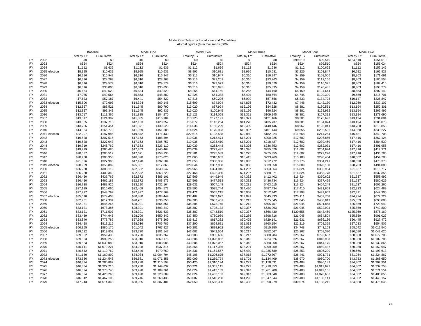### Model Cost Totals by Fiscal Year and Cumulative All cost figures (\$) in thousands (000)

|           |               |             | Baseline    |             | Model One   |             | Model Two   | Model Three |             |             | Model Four               |             | Model Five                 |  |
|-----------|---------------|-------------|-------------|-------------|-------------|-------------|-------------|-------------|-------------|-------------|--------------------------|-------------|----------------------------|--|
|           |               | Total by FY | Cumulative  | Total by FY | Cumulative  | Total by FY | Cumulative  | Total by FY | Cumulative  | Total by FY | Cumulative               | Total by FY | Cumulative                 |  |
| <b>FY</b> | 2022          | \$0         | \$0         | \$0         | \$0         | \$0         | \$0         | \$0         | \$0         | \$99,510    | \$99,510                 | \$154,510   | \$154,510                  |  |
| FY        | 2023          | \$524       | \$524       | \$524       | \$524       | \$524       | \$524       | \$524       | \$524       | \$524       | \$99,510                 | \$524       | \$155,034                  |  |
| FY        | 2024          | \$1,112     | \$1,636     | \$1,112     | \$1,636     | \$1,112     | \$1,636     | \$1,112     | \$1,636     | \$1,112     | \$100,622                | \$1,112     | \$156,146                  |  |
| FY        | 2025 election | \$8,995     | \$10,631    | \$8,995     | \$10,631    | \$8,995     | \$10,631    | \$8,995     | \$10,631    | \$3,225     | \$103,847                | \$6,682     | \$162,828                  |  |
| FY        | 2026          | \$6,316     | \$16,947    | \$6,316     | \$16,947    | \$6,316     | \$16,947    | \$6,316     | \$16,947    | \$4,159     | \$108,006                | \$8,863     | \$171,691                  |  |
| FY        | 2027          | \$6,316     | \$23,263    | \$6,316     | \$23,263    | \$6,316     | \$23,263    | \$6,316     | \$23,263    | \$4,159     | \$112,166                | \$8,863     | \$180,554                  |  |
| <b>FY</b> | 2028          | \$6,316     | \$29,579    | \$6,316     | \$29,579    | \$6,316     | \$29,579    | \$6,316     | \$29,579    | \$4,159     | \$116,325                | \$8,863     | \$189,416                  |  |
| FY        | 2029          | \$6,316     | \$35,895    | \$6,316     | \$35,895    | \$6,316     | \$35,895    | \$6,316     | \$35,895    | \$4,159     | \$120,485                | \$8,863     | \$198,279                  |  |
| <b>FY</b> | 2030          | \$6,634     | \$42,529    | \$6,634     | \$42,529    | \$8,265     | \$44,160    | \$8,265     | \$44,160    | \$4,159     | \$124,644                | \$8,863     | \$207,142                  |  |
| <b>FY</b> | 2031          | \$7,035     | \$49,564    | \$5,853     | \$48,382    | \$7,228     | \$51,388    | \$6,404     | \$50,564    | \$4,745     | \$129,390                | \$9,559     | \$216,701                  |  |
| FY        | 2032          | \$7,623     | \$57,187    | \$6,441     | \$54,822    | \$7,816     | \$59,205    | \$6,992     | \$57,556    | \$5,333     | \$134,723                | \$10,147    | \$226,847                  |  |
| <b>FY</b> | 2033 election | \$15,506    | \$72,693    | \$14,324    | \$69,146    | \$15,699    | \$74,904    | \$14,875    | \$72,432    | \$7,446     | \$142,170                | \$12,260    | \$239,107                  |  |
| FY        | 2034          | \$12,827    | \$85,521    | \$11,645    | \$80,790    | \$13,020    | \$87,924    | \$12,196    | \$84,628    | \$8,381     | \$150,551                | \$13,194    | \$252,301                  |  |
| <b>FY</b> | 2035          | \$12,827    | \$98,348    | \$11,645    | \$92,435    | \$13,020    | \$100,945   | \$12,196    | \$96,824    | \$8,381     | \$158,932                | \$13,194    | \$265,496                  |  |
| <b>FY</b> | 2036          | \$13,017    | \$111,365   | \$11,835    | \$104,270   | \$13,123    | \$114,068   | \$12,321    | \$109,145   | \$8,381     | \$167,312                | \$13,194    | \$278,690                  |  |
| FY        | 2037          | \$13,017    | \$124,382   | \$11,835    | \$116,104   | \$13,123    | \$127,191   | \$12,321    | \$121,466   | \$8,381     | \$175,693                | \$13,194    | \$291,884                  |  |
| <b>FY</b> | 2038          | \$13,335    | \$137,718   | \$12,153    | \$128,257   | \$15,072    | \$142,264   | \$14,270    | \$135,737   | \$8,381     | \$184,074                | \$13,194    | \$305,078                  |  |
| FY        | 2039          |             |             |             | \$139,629   |             |             | \$12,409    |             |             | \$193,041                |             | \$318,858                  |  |
| <b>FY</b> |               | \$13,736    | \$151,454   | \$11,371    |             | \$14,036    | \$156,299   |             | \$148,146   | \$8,967     |                          | \$13,780    |                            |  |
|           | 2040          | \$14,324    | \$165,779   | \$11,959    | \$151,588   | \$14,624    | \$170,923   | \$12,997    | \$161,143   | \$9,555     | \$202,596                | \$14,368    | \$333,227                  |  |
| FY        | 2041 election | \$22,207    | \$187,986   | \$19,842    | \$171,430   | \$22,615    | \$193,538   | \$20,880    | \$182,024   | \$11,668    | \$214,264                | \$16,481    | \$349,708                  |  |
| <b>FY</b> | 2042          | \$19,528    | \$207,515   | \$17,163    | \$188,594   | \$19,936    | \$213,474   | \$18,201    | \$200,225   | \$12,602    | \$226,866                | \$17,416    | \$367,124                  |  |
| <b>FY</b> | 2043          | \$19,528    | \$227,043   | \$17,163    | \$205,757   | \$19,936    | \$233,410   | \$18,201    | \$218,427   | \$12,602    | \$239,469                | \$17,416    | \$384,539                  |  |
| FY        | 2044          | \$19,719    | \$246,762   | \$17,353    | \$223,110   | \$20,039    | \$253,448   | \$18,326    | \$236,753   | \$12,602    | \$252,071                | \$17,416    | \$401,955                  |  |
| <b>FY</b> | 2045          | \$19,719    | \$266,480   | \$17,353    | \$240,464   | \$20,039    | \$273,487   | \$18,326    | \$255,079   | \$12,602    | \$264,674                | \$17,416    | \$419,371                  |  |
| FY        | 2046          | \$20,037    | \$286,517   | \$17,671    | \$258,135   | \$22,101    | \$295,589   | \$20,275    | \$275,355   | \$12,602    | \$277,276                | \$17,416    | \$436,786                  |  |
| <b>FY</b> | 2047          | \$20,438    | \$306,955   | \$16,890    | \$275,026   | \$21,065    | \$316,653   | \$18,415    | \$293,769   | \$13,188    | \$290,464                | \$18,002    | \$454,788                  |  |
| FY        | 2048          | \$21,026    | \$327,980   | \$17,478    | \$292,504   | \$21,653    | \$338,306   | \$19,003    | \$312,772   | \$13,776    | \$304,241                | \$18,590    | \$473,378                  |  |
| FY        | 2049 election | \$28,909    | \$356,889   | \$25,361    | \$317,865   | \$29,644    | \$367,950   | \$26,886    | \$339,658   | \$15,889    | \$320,130                | \$20,703    | \$494,080                  |  |
| FY        | 2050          | \$26,230    | \$383,119   | \$22,682    | \$340,547   | \$26,965    | \$394,915   | \$24,207    | \$363,864   | \$16,824    | \$336,954                | \$21,637    | \$515,717                  |  |
| FY        | 2051          | \$26,230    | \$409,349   | \$22,682    | \$363,229   | \$27,466    | \$422,380   | \$24,207    | \$388,071   | \$16,824    | \$353,778                | \$21,637    | \$537,355                  |  |
| <b>FY</b> | 2052          | \$26,420    | \$435,769   | \$22,872    | \$386,101   | \$27,569    | \$449,949   | \$24,332    | \$412,402   | \$16,824    | \$370,602                | \$21,637    | \$558,992                  |  |
| FY        | 2053          | \$26,420    | \$462,188   | \$22,872    | \$408,973   | \$27,569    | \$477,518   | \$24,332    | \$436,734   | \$16,824    | \$387,425                | \$21,637    | \$580,629                  |  |
| FY        | 2054          | \$26,738    | \$488,926   | \$23,190    | \$432,164   | \$29,631    | \$507,149   | \$26,281    | \$463,015   | \$16,824    | \$404,249                | \$21,637    | \$602,266                  |  |
| <b>FY</b> | 2055          | \$27,139    | \$516,065   | \$22,409    | \$454,572   | \$28,595    | \$535,744   | \$24,420    | \$487,434   | \$17,410    | \$421,659                | \$22,223    | \$624,489                  |  |
| FY        | 2056          | \$27,727    | \$543,792   | \$22,997    | \$477,569   | \$29,471    | \$565,215   | \$25,008    | \$512,442   | \$17,998    | \$439,657                | \$22,811    | \$647,300                  |  |
| <b>FY</b> | 2057 election | \$35,610    | \$579,403   | \$30,880    | \$508,449   | \$37,462    | \$602,677   | \$32,891    | \$545,333   | \$20,111    | \$459,768                | \$24,924    | \$672,224                  |  |
| FY        | 2058          | \$32,931    | \$612,334   | \$28,201    | \$536,650   | \$34,783    | \$637,461   | \$30,212    | \$575,545   | \$21,045    | \$480,813                | \$25,859    | \$698,083                  |  |
| FY        | 2059          | \$32,931    | \$645,265   | \$28,201    | \$564,851   | \$35,284    | \$672,745   | \$30,212    | \$605,757   | \$21,045    | \$501,858                | \$25,859    | \$723,942                  |  |
| FY        | 2060          | \$33,121    | \$678,386   | \$28,391    | \$593,242   | \$35,387    | \$708,132   | \$30,337    | \$636,093   | \$21,045    | \$522,904                | \$25,859    | \$749,800                  |  |
| FY        | 2061          | \$33,121    | \$711,507   | \$28,391    | \$621,633   | \$35,387    | \$743,519   | \$30,337    | \$666,430   | \$120,555   | \$643,459                | \$125,369   | \$875,169                  |  |
| FY        | 2062          | \$33,439    | \$744,946   | \$28,709    | \$650,342   | \$37,450    | \$780,969   | \$32,286    | \$698,716   | \$21,045    | \$664,504                | \$25,859    | \$901,027                  |  |
| FY        | 2063          | \$33,840    | \$778,787   | \$27,928    | \$678,269   | \$36,413    | \$817,382   | \$30,425    | \$729,141   | \$21,631    | \$686,136                | \$26,445    | \$927,472                  |  |
| FY        | 2064          | \$34,428    | \$813,215   | \$28,516    | \$706,785   | \$37,290    | \$854,671   | \$31,013    | \$760,154   | \$22,219    | \$708,355                | \$27,033    | \$954,505                  |  |
| FY        | 2065 election | \$66,955    | \$880,170   | \$61,042    | \$767,827   | \$45,281    | \$899,952   | \$55,696    | \$815,850   | \$34,748    | \$743,103                | \$58,042    | \$1,012,546                |  |
| FY        | 2066          | \$39,632    | \$919,803   | \$33,720    | \$801,547   | \$42,602    | \$942,554   | \$36,217    | \$852,067   | \$25,267    | \$768,370                | \$30,080    | \$1,042,626                |  |
| FY        | 2067          | \$39,632    | \$959,435   | \$33,720    | \$835,267   | \$43,103    | \$985,656   | \$36,217    | \$888,284   | \$25,267    | \$793,637                | \$30,080    | \$1,072,706                |  |
| FY        | 2068          | \$39,823    | \$999,258   | \$33,910    | \$869,176   | \$43,206    | \$1,028,862 | \$36,342    | \$924,626   | \$25,267    | \$818,903                | \$30,080    | \$1,102,786                |  |
| FY        | 2069          | \$39,823    | \$1,039,080 | \$33,910    | \$903,086   | \$43,206    | \$1,072,067 | \$36,342    | \$960,968   | \$25,267    | \$844,170                | \$30,080    | \$1,132,866                |  |
| <b>FY</b> | 2070          | \$40,141    | \$1,079,221 | \$34,228    | \$937,314   | \$45,268    | \$1,117,336 | \$38,291    | \$999,259   | \$25,267    | \$869,437                | \$30,080    | \$1,162,947                |  |
| FY        | 2071          | \$40,542    | \$1,119,762 | \$33,446    | \$970,760   | \$44,231    | \$1,161,567 | \$36,430    | \$1,035,689 | \$25,853    | \$895,290                | \$30,666    | \$1,193,613                |  |
| <b>FY</b> | 2072          | \$41,130    | \$1,160,892 | \$34,034    | \$1,004,794 | \$45,108    | \$1,206,675 | \$37,018    | \$1,072,707 | \$26,441    | \$921,731                | \$31,254    | \$1,224,867                |  |
| <b>FY</b> | 2073 election | \$73,656    | \$1,234,548 | \$66,561    | \$1,071,356 | \$53,099    | \$1,259,774 | \$61,701    | \$1,134,409 | \$38,970    | \$960,700                | \$43,783    | \$1,268,650                |  |
| FY        | 2074          | \$46,334    | \$1,280,882 | \$39,238    | \$1,110,594 |             |             | \$42,222    |             | \$29,488    |                          |             |                            |  |
| FY        | 2075          |             |             |             |             | \$50,420    | \$1,310,194 | \$42,222    | \$1,176,631 |             | \$990,189<br>\$1,019,677 | \$34,302    | \$1,302,951<br>\$1,337,253 |  |
|           |               | \$46,334    | \$1,327,216 | \$39,238    | \$1,149,832 | \$50,921    | \$1,361,115 |             | \$1,218,853 | \$29,488    |                          | \$34,302    | \$1,371,554                |  |
| FY        | 2076          | \$46,524    | \$1,373,740 | \$39,428    | \$1,189,261 | \$51,024    | \$1,412,139 | \$42,347    | \$1,261,200 | \$29,488    | \$1,049,165              | \$34,302    |                            |  |
| FY        | 2077          | \$46,524    | \$1,420,263 | \$39,428    | \$1,228,689 | \$51,024    | \$1,463,163 | \$42,347    | \$1,303,548 | \$29,488    | \$1,078,653              | \$34,302    | \$1,405,856                |  |
| FY        | 2078          | \$46,842    | \$1,467,105 | \$39,746    | \$1,268,436 | \$53,087    | \$1,516,250 | \$44,296    | \$1,347,844 | \$29,488    | \$1,108,141              | \$34,302    | \$1,440,157                |  |
| FY        | 2079          | \$47,243    | \$1,514,348 | \$38,965    | \$1,307,401 | \$52,050    | \$1,568,300 | \$42,435    | \$1,390,279 | \$30,074    | \$1,138,216              | \$34,888    | \$1,475,045                |  |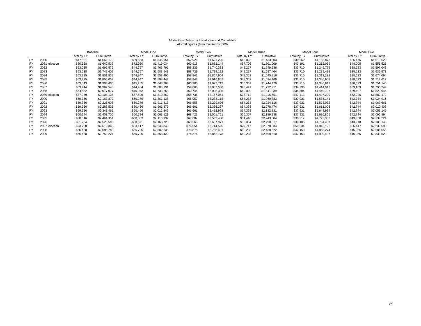### Model Cost Totals by Fiscal Year and Cumulative All cost figures (\$) in thousands (000)

|           |               | Baseline    |             |             | Model One   |             | Model Two   |             | Model Three |             | Model Four  |             | Model Five  |  |
|-----------|---------------|-------------|-------------|-------------|-------------|-------------|-------------|-------------|-------------|-------------|-------------|-------------|-------------|--|
|           |               | Total by FY | Cumulative  | Total by FY | Cumulative  | Total bv FY | Cumulative  | Total by FY | Cumulative  | Total by FY | Cumulative  | Total bv FY | Cumulative  |  |
| <b>FY</b> | 2080          | \$47,831    | \$1,562,179 | \$39,553    | \$1,346,954 | \$52,926    | \$1,621,226 | \$43,023    | \$1,433,303 | \$30,662    | \$1,168,878 | \$35,476    | \$1,510,520 |  |
| <b>FY</b> | 2081 election | \$80,358    | \$1,642,537 | \$72,080    | \$1,419,034 | \$60,918    | \$1,682,144 | \$67,706    | \$1,501,009 | \$43,191    | \$1,212,069 | \$48,005    | \$1,558,525 |  |
| <b>FY</b> | 2082          | \$53,035    | \$1,695,572 | \$44,757    | \$1,463,791 | \$58,239    | \$1,740,383 | \$48,227    | \$1,549,236 | \$33,710    | \$1,245,779 | \$38,523    | \$1,597,048 |  |
| <b>FY</b> | 2083          | \$53,035    | \$1,748,607 | \$44,757    | \$1,508,548 | \$58,739    | \$1,799,122 | \$48,227    | \$1,597,464 | \$33,710    | \$1,279,488 | \$38,523    | \$1,635,571 |  |
| <b>FY</b> | 2084          | \$53,225    | \$1,801,832 | \$44,947    | \$1,553,495 | \$58,842    | \$1,857,964 | \$48,352    | \$1,645,816 | \$33,710    | \$1,313,198 | \$38,523    | \$1,674,094 |  |
| <b>FY</b> | 2085          | \$53,225    | \$1,855,057 | \$44,947    | \$1,598,442 | \$58,842    | \$1,916,807 | \$48,352    | \$1,694,169 | \$33,710    | \$1,346,908 | \$38,523    | \$1,712,617 |  |
| <b>FY</b> | 2086          | \$53,543    | \$1,908,600 | \$45,265    | \$1,643,708 | \$60,905    | \$1,977,712 | \$50,301    | \$1,744,470 | \$33.710    | \$1,380,617 | \$38,523    | \$1,751,140 |  |
| <b>FY</b> | 2087          | \$53,944    | \$1,962,545 | \$44,484    | \$1,688,191 | \$59,868    | \$2,037,580 | \$48,441    | \$1,792,911 | \$34,296    | \$1,414,913 | \$39,109    | \$1,790,249 |  |
| <b>FY</b> | 2088          | \$54,532    | \$2,017,077 | \$45,072    | \$1,733,263 | \$60,745    | \$2,098,325 | \$49,029    | \$1,841,939 | \$34,884    | \$1,449,797 | \$39,697    | \$1,829,946 |  |
| FY        | 2089 election | \$87,059    | \$2,104,136 | \$77,599    | \$1,810,862 | \$68,736    | \$2,167,061 | \$73,712    | \$1,915,651 | \$47,413    | \$1,497,209 | \$52,226    | \$1,882,172 |  |
| <b>FY</b> | 2090          | \$59,736    | \$2,163,872 | \$50,276    | \$1,861,138 | \$66,057    | \$2,233,118 | \$54,233    | \$1,969,883 | \$37,931    | \$1,535,141 | \$42,744    | \$1,924,916 |  |
| <b>FY</b> | 2091          | \$59,736    | \$2,223,608 | \$50,276    | \$1,911,413 | \$66,558    | \$2,299,676 | \$54,233    | \$2,024,116 | \$37,931    | \$1,573,072 | \$42,744    | \$1,967,661 |  |
| <b>FY</b> | 2092          | \$59,926    | \$2,283,535 | \$50,466    | \$1,961,879 | \$66,661    | \$2,366,337 | \$54,358    | \$2,078,474 | \$37,931    | \$1,611,003 | \$42,744    | \$2,010,405 |  |
| <b>FY</b> | 2093          | \$59,926    | \$2,343,461 | \$50,466    | \$2,012,345 | \$66,661    | \$2,432,998 | \$54,358    | \$2,132,831 | \$37,931    | \$1,648,934 | \$42,744    | \$2,053,149 |  |
| <b>FY</b> | 2094          | \$60,244    | \$2,403,706 | \$50,784    | \$2,063,129 | \$68,723    | \$2,501,721 | \$56,307    | \$2,189,138 | \$37,931    | \$1,686,865 | \$42,744    | \$2,095,894 |  |
| <b>FY</b> | 2095          | \$60,646    | \$2,464,351 | \$50,003    | \$2,113,132 | \$67,687    | \$2,569,408 | \$54,446    | \$2,243,584 | \$38,517    | \$1,725,382 | \$43,330    | \$2,139,224 |  |
| <b>FY</b> | 2096          | \$61,234    | \$2,525,585 | \$50,591    | \$2,163,723 | \$68,563    | \$2,637,971 | \$55,034    | \$2,298,617 | \$39,105    | \$1,764,487 | \$43,918    | \$2,183,143 |  |
| <b>FY</b> | 2097 election | \$93,760    | \$2,619,345 | \$83,117    | \$2,246,840 | \$76,554    | \$2,714,526 | \$79,717    | \$2,378,334 | \$51,634    | \$1,816,122 | \$56,447    | \$2,239,590 |  |
| <b>FY</b> | 2098          | \$66,438    | \$2,685,783 | \$55,795    | \$2,302,635 | \$73,875    | \$2,788,401 | \$60,238    | \$2,438,572 | \$42,153    | \$1,858,274 | \$46,966    | \$2,286,556 |  |
| <b>FY</b> | 2099          | \$66,438    | \$2,752,221 | \$55,795    | \$2,358,429 | \$74,376    | \$2,862,778 | \$60,238    | \$2,498,810 | \$42,153    | \$1,900,427 | \$46,966    | \$2,333,522 |  |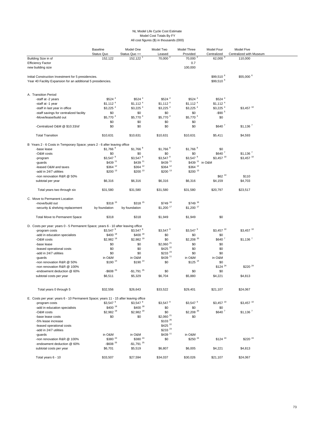### NL Model Life Cycle Cost Estimate Model Cost Totals By FY All cost figures (\$) in thousands (000)

|                                                                                     | <b>Baseline</b>        | Model One               | Model Two              | Model Three                | Model Four            | Model Five              |  |
|-------------------------------------------------------------------------------------|------------------------|-------------------------|------------------------|----------------------------|-----------------------|-------------------------|--|
|                                                                                     | Status Quo             | Status Quo ++           | Leased                 | Provided                   | Centralized           | Centralized with Museum |  |
| Building Size in sf                                                                 | 152,122                | 152,122                 | 70,000 <sup>2</sup>    | 70,000 <sup>2</sup>        | $62,000^3$            | 110,000                 |  |
| <b>Efficiency Factor</b>                                                            |                        |                         |                        | 0.7                        |                       |                         |  |
| new building size                                                                   |                        |                         |                        | 100,000                    |                       |                         |  |
|                                                                                     |                        |                         |                        |                            |                       |                         |  |
| Initial Construction Investment for 5 presidencies.                                 |                        |                         |                        |                            | \$99,510 <sup>6</sup> | \$55,000 6              |  |
| Year 40 Facility Expansion for an additional 5 presidencies.                        |                        |                         |                        |                            | \$99.510 6            |                         |  |
|                                                                                     |                        |                         |                        |                            |                       |                         |  |
| A. Transition Period                                                                |                        |                         |                        |                            |                       |                         |  |
| -staff at -2 years                                                                  | \$524 4                | \$524 4                 | $$524$ <sup>4</sup>    | \$524 <sup>4</sup>         | \$524 4               |                         |  |
| -staff at -1 year                                                                   | $$1,112$ <sup>4</sup>  | $$1,112$ <sup>4</sup>   | $$1,112$ <sup>4</sup>  | $$1,112$ <sup>4</sup>      | $$1,112$ <sup>4</sup> |                         |  |
| -staff in last year in office                                                       | $$3,225$ <sup>4</sup>  | $$3,225$ <sup>4</sup>   | $$3,225$ $^4$          | $$3,225$ <sup>4</sup>      | $$3,225$ $^4$         | $$3,457$ <sup>10</sup>  |  |
| -staff savings for centralized facility                                             | \$0                    | \$0                     | \$0                    | \$0                        | $-$ \$90 $5$          |                         |  |
| -Move/lease/build out                                                               | \$5,770 4              | \$5,770 4               | \$5,770 4              | \$5,770 4                  | \$0                   |                         |  |
|                                                                                     | \$0                    | \$0                     | \$0                    | \$0                        |                       |                         |  |
| -Centralized O&M @ \$10.33/sf                                                       | \$0                    | \$0                     | \$0                    | \$0                        | \$640'                | $$1,136$ <sup>7</sup>   |  |
| <b>Total Transition</b>                                                             | \$10,631               | \$10,631                | \$10,631               | \$10,631                   | \$5,411               | \$4,593                 |  |
| B Years 2 - 6 Costs in Temporary Space; years 2 - 6 after leaving office            |                        |                         |                        |                            |                       |                         |  |
| -base lease                                                                         | \$1,766 <sup>8</sup>   | \$1,766 <sup>8</sup>    | \$1,766 <sup>8</sup>   | \$1,766 <sup>8</sup>       | \$0                   |                         |  |
| -O&M costs                                                                          | \$0                    | \$0                     | \$0                    | \$0                        | $$640$ $^7$           | $$1,136$ <sup>7</sup>   |  |
| -program                                                                            | \$3,547 <sup>9</sup>   | \$3,547 <sup>9</sup>    | \$3,547 <sup>9</sup>   | \$3,547 <sup>9</sup>       | \$3,457 10            | $$3,457$ <sup>10</sup>  |  |
| -guards                                                                             | \$439 11               | \$439 11                | \$439 11               | \$439 <sup>11</sup> in O&M |                       |                         |  |
| -leased O&M and taxes                                                               | \$364 12               | \$364 12                | \$364 12               | $$364$ <sup>12</sup>       |                       |                         |  |
| -add in 24/7 utilities                                                              | \$200 13               | \$200 13                | \$200 13               | \$200 13                   |                       |                         |  |
| -non renovation R&R @ 50%                                                           |                        |                         |                        |                            | \$62 14               | \$110                   |  |
| subtotal per year                                                                   | \$6,316                | \$6,316                 | \$6,316                | \$6,316                    | \$4,159               | \$4,703                 |  |
| Total years two through six                                                         | \$31,580               | \$31,580                | \$31,580               | \$31,580                   | \$20,797              | \$23,517                |  |
| C. Move to Permanent Location                                                       |                        |                         |                        |                            |                       |                         |  |
| -move/build out                                                                     | \$318 15               | \$318 15                | \$749 16               | \$749 16                   |                       |                         |  |
| -security & shelving replacement                                                    | by foundation          | by foundation           | $$1,200$ <sup>17</sup> | \$1,200 17                 |                       |                         |  |
|                                                                                     |                        |                         |                        |                            |                       |                         |  |
| Total Move to Permanent Space                                                       | \$318                  | \$318                   | \$1,949                | \$1,949                    | \$0                   |                         |  |
| D. Costs per year: years 0 - 5 Permanent Space; years 6 - 10 after leaving office   |                        |                         |                        |                            |                       |                         |  |
| -program costs                                                                      | $$3,547$ <sup>9</sup>  | $$3,547$ <sup>9</sup>   | \$3,547 <sup>9</sup>   | \$3,547 <sup>9</sup>       | \$3,457 10            | \$3,457 10              |  |
| -add in education specialists                                                       | \$400 18               | \$400 18                | \$0                    | \$0                        | \$0                   |                         |  |
| -O&M costs                                                                          | $$2,982$ <sup>19</sup> | $$2,982$ <sup>19</sup>  | \$0                    | \$2,208 20                 | $$640$ $^7$           | $$1,136$ <sup>7</sup>   |  |
| -base lease                                                                         | \$0                    | \$0                     | \$2,060 <sup>21</sup>  | \$0                        | \$0                   |                         |  |
| -leased operational costs                                                           | \$0                    | \$0                     | \$425 22               | \$0                        | \$0                   |                         |  |
| -add in 24/7 utilities                                                              | \$0                    | \$0                     | \$233 23               | \$0                        | \$0                   |                         |  |
| -guards                                                                             | in O&M                 | in O&M                  | \$439 11               | in O&M                     | in O&M                |                         |  |
| -non renovation R&R @ 50%                                                           | \$190 14               | \$190 14                | \$0                    | \$125 14                   | \$0                   |                         |  |
| -non renovation R&R @ 100%                                                          |                        |                         |                        |                            | $$124$ <sup>24</sup>  | \$220 24                |  |
| -endowment deduction @ 60%                                                          | $-$ \$608 $^{25}$      | $-$1,791$ <sup>25</sup> | \$0                    | \$0                        | \$0                   |                         |  |
| subtotal costs per year                                                             | \$6,511                | \$5,329                 | \$6,704                | \$5,880                    | \$4,221               | \$4,813                 |  |
| Total years 0 through 5                                                             | \$32,556               | \$26,643                | \$33,522               | \$29,401                   | \$21,107              | \$24,067                |  |
| E. Costs per year: years 6 - 10 Permanent Space; years 11 - 15 after leaving office |                        |                         |                        |                            |                       |                         |  |
| -program costs                                                                      | \$3,547 <sup>9</sup>   | $$3.547$ <sup>9</sup>   | \$3,547 <sup>9</sup>   | \$3,547 9                  | \$3,457 10            | $$3,457$ <sup>10</sup>  |  |
| -add in education specialists                                                       | \$400 18               | \$400 18                | \$0                    | \$0                        | \$0                   |                         |  |
| -O&M costs                                                                          | \$2.982 19             | $$2,982$ <sup>19</sup>  | \$0                    | \$2,208 20                 | \$640 <sup>7</sup>    | $$1,136$ <sup>7</sup>   |  |
| -base lease costs                                                                   | \$0                    | \$0                     | $$2,060$ <sup>21</sup> | \$0                        |                       |                         |  |
| -5% lease increase                                                                  |                        |                         | \$103 26               |                            |                       |                         |  |
| -leased operational costs                                                           |                        |                         | \$425 22               |                            |                       |                         |  |
| -add in 24/7 utilities                                                              |                        |                         | \$233 23               |                            |                       |                         |  |
|                                                                                     | in O&M                 | in O&M                  | \$439 11               | in O&M                     |                       |                         |  |
| -guards                                                                             | \$380 <sup>24</sup>    | \$380 <sup>24</sup>     |                        | $$250$ $^{24}$             | $$124$ <sup>24</sup>  | \$220 24                |  |
| -non renovation R&R @ 100%                                                          | $-$ \$608 $^{25}$      | $-$ \$1,791 $^{25}$     | \$0                    |                            |                       |                         |  |
| -endowment deduction @ 60%                                                          |                        |                         |                        |                            |                       |                         |  |
| subtotal costs per year                                                             | \$6,701                | \$5,519                 | \$6,807                | \$6,005                    | \$4,221               | \$4,813                 |  |
| Total years 6 - 10                                                                  | \$33,507               | \$27,594                | \$34,037               | \$30,026                   | \$21,107              | \$24,067                |  |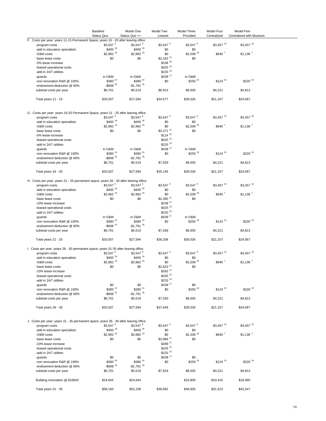|                                                                                      | <b>Baseline</b><br>Status Quo | Model One<br>Status Quo ++    | Model Two<br>Leased    | Model Three<br>Provided | Model Four<br>Centralized | Model Five<br>Centralized with Museum |  |
|--------------------------------------------------------------------------------------|-------------------------------|-------------------------------|------------------------|-------------------------|---------------------------|---------------------------------------|--|
| F. Costs per year: years 11-15 Permanent Space; years 16 - 20 after leaving office   |                               |                               |                        |                         |                           |                                       |  |
| -program costs                                                                       | \$3,547 <sup>9</sup>          | $$3.547$ <sup>9</sup>         | \$3,547 <sup>9</sup>   | $$3,547$ <sup>9</sup>   | \$3,457 10                | $$3,457$ <sup>10</sup>                |  |
| -add in education specialists                                                        | \$400 18                      | \$400 18                      | \$0                    | \$0                     |                           |                                       |  |
| -O&M costs                                                                           | \$2,982 19                    | \$2,982 19                    | \$0                    | $$2,208$ <sup>20</sup>  | $$640$ $^7$               | $$1,136$ <sup>7</sup>                 |  |
| -base lease costs                                                                    | \$0                           | \$0                           | $$2,163$ <sup>21</sup> | \$0                     |                           |                                       |  |
| -5% lease increase                                                                   |                               |                               | \$108 26               |                         |                           |                                       |  |
| -leased operational costs                                                            |                               |                               | \$425 22               |                         |                           |                                       |  |
| -add in 24/7 utilities                                                               |                               |                               | \$233 23               |                         |                           |                                       |  |
| -guards                                                                              | in O&M                        | in O&M                        | \$439 11               | in O&M                  |                           |                                       |  |
| -non renovation R&R @ 100%                                                           | \$380 <sup>24</sup>           | \$380 <sup>24</sup>           | \$0                    | \$250 24                | $$124$ <sup>24</sup>      | \$220 24                              |  |
| -endowment deduction @ 60%                                                           | $-$ \$608 $^{25}$             | $-$ \$1,791 $^{25}$           |                        |                         |                           |                                       |  |
| subtotal costs per year                                                              | \$6,701                       | \$5,519                       | \$6,915                | \$6,005                 | \$4,221                   | \$4,813                               |  |
|                                                                                      |                               |                               |                        |                         |                           |                                       |  |
| Total years 11 - 15                                                                  | \$33,507                      | \$27,594                      | \$34,577               | \$30,026                | \$21,107                  | \$24,067                              |  |
|                                                                                      |                               |                               |                        |                         |                           |                                       |  |
| G. Costs per year: years 16-20 Permanent Space; years 21 - 25 after leaving office   |                               |                               |                        |                         |                           |                                       |  |
| -program costs                                                                       | $$3.547$ <sup>9</sup>         | $$3.547$ <sup>9</sup>         | \$3,547 <sup>9</sup>   | \$3,547 <sup>9</sup>    | \$3,457 10                | $$3,457$ <sup>10</sup>                |  |
| -add in education specialists                                                        | \$400 18                      | \$400 18                      | \$0                    | \$0                     |                           |                                       |  |
| -O&M costs                                                                           | \$2,982 19                    | \$2,982 19                    | \$0                    | $$2,208$ <sup>20</sup>  | $$640$ $^7$               | $$1,136$ <sup>7</sup>                 |  |
| -base lease costs                                                                    | \$0                           | \$0                           | $$2,271$ $^{21}$       | \$0                     |                           |                                       |  |
| -5% lease increase                                                                   |                               |                               | $$114$ $^{26}$         |                         |                           |                                       |  |
| -leased operational costs                                                            |                               |                               | \$425 22               |                         |                           |                                       |  |
| -add in 24/7 utilities                                                               |                               |                               | \$233 23               |                         |                           |                                       |  |
| -guards                                                                              | in O&M                        | in O&M                        | \$439 11               | in O&M                  |                           |                                       |  |
| -non renovation R&R @ 100%                                                           | \$380 <sup>24</sup>           | \$380 <sup>24</sup>           | \$0                    | \$250 24                | $$124$ $^{24}$            | \$220 24                              |  |
| -endowment deduction @ 60%                                                           | $-$ \$608 $^{25}$             | $-$1,791$ <sup>25</sup>       |                        |                         |                           |                                       |  |
| subtotal costs per year                                                              | \$6,701                       | \$5,519                       | \$7,029                | \$6,005                 | \$4,221                   | \$4,813                               |  |
|                                                                                      |                               |                               |                        |                         |                           |                                       |  |
| Total years 16 - 20                                                                  | \$33,507                      | \$27,594                      | \$35,145               | \$30,026                | \$21,107                  | \$24,067                              |  |
| H. Costs per year: years 21 - 25 permanent space; years 26 - 30 after leaving office |                               |                               |                        |                         |                           |                                       |  |
| -program costs                                                                       | \$3,547 <sup>9</sup>          | $$3.547$ <sup>9</sup>         | \$3,547 <sup>9</sup>   | $$3,547$ <sup>9</sup>   | \$3,457 10                | \$3,457 10                            |  |
| -add in education specialists                                                        | \$400 18                      | \$400 18                      | \$0                    | \$0                     |                           |                                       |  |
| -O&M costs                                                                           | $$2,982$ <sup>19</sup>        | $$2,982$ <sup>19</sup>        | \$0                    | $$2,208$ <sup>20</sup>  | $$640$ $^7$               | $$1,136$ <sup>7</sup>                 |  |
| -base lease costs                                                                    | \$0                           | \$0                           | $$2,385$ <sup>21</sup> | \$0                     |                           |                                       |  |
| -10% lease increase                                                                  |                               |                               | \$238 27               |                         |                           |                                       |  |
| -leased operational costs                                                            |                               |                               | \$425 22               |                         |                           |                                       |  |
|                                                                                      |                               |                               | \$233 23               |                         |                           |                                       |  |
| -add in 24/7 utilities                                                               |                               |                               | \$439 11               |                         |                           |                                       |  |
| -guards                                                                              | in O&M                        | in O&M<br>\$380 <sup>24</sup> |                        | in O&M<br>\$250 24      |                           | \$220 24                              |  |
| -non renovation R&R @ 100%                                                           | \$380 <sup>24</sup>           |                               | \$0                    |                         | $$124$ <sup>24</sup>      |                                       |  |
| -endowment deduction @ 60%                                                           | $-$ \$608 $^{25}$             | $-$ \$1,791 $^{25}$           |                        |                         |                           |                                       |  |
| subtotal costs per year                                                              | \$6,701                       | \$5,519                       | \$7,268                | \$6,005                 | \$4,221                   | \$4,813                               |  |
| Total years 21 - 25                                                                  | \$33,507                      | \$27,594                      | \$36,338               | \$30,026                | \$21,107                  | \$24,067                              |  |
| I. Costs per year: years 26 - 30 permanent space; years 31-35 after leaving office   |                               |                               |                        |                         |                           |                                       |  |
|                                                                                      | \$3,547 <sup>9</sup>          | $$3,547$ <sup>9</sup>         | $$3,547$ <sup>9</sup>  | $$3,547$ <sup>9</sup>   | $$3,457$ <sup>10</sup>    | $$3,457$ <sup>10</sup>                |  |
| -program costs                                                                       | \$400 18                      | \$400 18                      |                        |                         |                           |                                       |  |
| -add in education specialists                                                        | \$2.982 19                    |                               | \$0                    | \$0                     |                           |                                       |  |
| -O&M costs                                                                           |                               | \$2,982 19                    | \$0                    | $$2,208$ <sup>20</sup>  | \$640 7                   | $$1.136$ <sup>7</sup>                 |  |
| -base lease costs                                                                    | \$0                           | \$0                           | $$2,623$ <sup>21</sup> | \$0                     |                           |                                       |  |
| -10% lease increase                                                                  |                               |                               | \$262 <sup>27</sup>    |                         |                           |                                       |  |
| -leased operational costs                                                            |                               |                               | \$425 22               |                         |                           |                                       |  |
| -add in 24/7 utilities                                                               |                               |                               | \$233 23               |                         |                           |                                       |  |
| -guards                                                                              | \$0                           | \$0                           | \$439 11               | \$0                     |                           |                                       |  |
| -non renovation R&R @ 100%                                                           | \$380 <sup>24</sup>           | \$380 <sup>24</sup>           | \$0                    | $$250$ $^{24}$          | $$124$ <sup>24</sup>      | \$220 24                              |  |
| -endowment deduction @ 60%                                                           | $-$ \$608 $^{25}$             | $-$ \$1,791 $^{25}$           |                        |                         |                           |                                       |  |
| subtotal costs per year                                                              | \$6,701                       | \$5,519                       | \$7,530                | \$6,005                 | \$4,221                   | \$4,813                               |  |
| Total years 26 - 30                                                                  | \$33,507                      | \$27,594                      | \$37,649               | \$30,026                | \$21,107                  | \$24,067                              |  |
|                                                                                      |                               |                               |                        |                         |                           |                                       |  |
| J. Costs per year: years 31 - 35 permanent space; years 36 - 40 after leaving office |                               |                               |                        |                         |                           |                                       |  |
| -program costs                                                                       | \$3,547 <sup>9</sup>          | $$3.547$ <sup>9</sup>         | $$3,547$ <sup>9</sup>  | $$3,547$ <sup>9</sup>   | $$3,457$ <sup>10</sup>    | $$3,457$ <sup>10</sup>                |  |
| -add in education specialists                                                        | \$400 18                      | \$400 18                      | \$0                    | \$0                     |                           |                                       |  |
| -O&M costs                                                                           | $$2,982$ <sup>19</sup>        | $$2,982$ <sup>19</sup>        | \$0                    | $$2,208$ <sup>20</sup>  | $$640$ $^7$               | $$1,136$ <sup>7</sup>                 |  |
| -base lease costs                                                                    | \$0                           | \$0                           | \$2,886 21             | \$0                     |                           |                                       |  |
| -10% lease increase                                                                  |                               |                               | \$289 27               |                         |                           |                                       |  |
| -leased operational costs                                                            |                               |                               | \$425 22               |                         |                           |                                       |  |
|                                                                                      |                               |                               | \$233 23               |                         |                           |                                       |  |
| -add in 24/7 utilities                                                               |                               |                               |                        |                         |                           |                                       |  |
| -guards                                                                              | \$0                           | \$0                           | \$439 11               | \$0                     |                           |                                       |  |
| -non renovation R&R @ 100%                                                           | \$380 <sup>24</sup>           | \$380 <sup>24</sup>           | \$0                    | \$250 24                | $$124$ $^{24}$            | \$220 24                              |  |
| -endowment deduction @ 60%                                                           | $-$ \$608 $^{25}$             | $-$ \$1,791 $^{25}$           |                        |                         |                           |                                       |  |
| subtotal costs per year                                                              | \$6,701                       | \$5,519                       | \$7,818                | \$6,005                 | \$4,221                   | \$4,813                               |  |
|                                                                                      | \$24,644                      | \$24,644                      |                        |                         | \$10,416                  | \$18,480                              |  |
| Building renovation @ \$168/sf                                                       |                               |                               |                        | \$16,800                |                           |                                       |  |
| Total years 31 - 35                                                                  | \$58,150                      | \$52,238                      | \$39,092               | \$46,826                | \$31,523                  | \$42,547                              |  |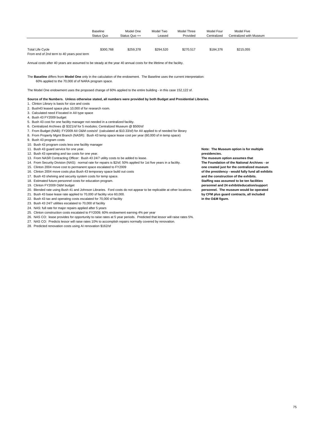<span id="page-74-0"></span>

|                                                                                                                                                                                                                                                                                                                                                                                                                                                                                                                                                                                                                                                                                                                                                                                                                                                                                                                                                                                                                                                                                                                                                                                                                                                                                                                                                                                                                                                                                                                                                                                                                                                                                                                                                                                                                                                                                                                                       | <b>Baseline</b><br>Status Quo | Model One<br>Status Quo ++ | Model Two<br>Leased | Model Three<br>Provided | Model Four<br>Centralized           | <b>Model Five</b><br>Centralized with Museum                                                                                                                                                                                                                                                                                                                                                                                                              |
|---------------------------------------------------------------------------------------------------------------------------------------------------------------------------------------------------------------------------------------------------------------------------------------------------------------------------------------------------------------------------------------------------------------------------------------------------------------------------------------------------------------------------------------------------------------------------------------------------------------------------------------------------------------------------------------------------------------------------------------------------------------------------------------------------------------------------------------------------------------------------------------------------------------------------------------------------------------------------------------------------------------------------------------------------------------------------------------------------------------------------------------------------------------------------------------------------------------------------------------------------------------------------------------------------------------------------------------------------------------------------------------------------------------------------------------------------------------------------------------------------------------------------------------------------------------------------------------------------------------------------------------------------------------------------------------------------------------------------------------------------------------------------------------------------------------------------------------------------------------------------------------------------------------------------------------|-------------------------------|----------------------------|---------------------|-------------------------|-------------------------------------|-----------------------------------------------------------------------------------------------------------------------------------------------------------------------------------------------------------------------------------------------------------------------------------------------------------------------------------------------------------------------------------------------------------------------------------------------------------|
|                                                                                                                                                                                                                                                                                                                                                                                                                                                                                                                                                                                                                                                                                                                                                                                                                                                                                                                                                                                                                                                                                                                                                                                                                                                                                                                                                                                                                                                                                                                                                                                                                                                                                                                                                                                                                                                                                                                                       |                               |                            |                     |                         |                                     |                                                                                                                                                                                                                                                                                                                                                                                                                                                           |
| <b>Total Life Cycle</b><br>From end of 2nd term to 40 years post term                                                                                                                                                                                                                                                                                                                                                                                                                                                                                                                                                                                                                                                                                                                                                                                                                                                                                                                                                                                                                                                                                                                                                                                                                                                                                                                                                                                                                                                                                                                                                                                                                                                                                                                                                                                                                                                                 | \$300,768                     | \$259,378                  | \$294,520           | \$270.517               | \$184.376                           | \$215.055                                                                                                                                                                                                                                                                                                                                                                                                                                                 |
| Annual costs after 40 years are assumed to be steady at the year 40 annual costs for the lifetime of the facility.                                                                                                                                                                                                                                                                                                                                                                                                                                                                                                                                                                                                                                                                                                                                                                                                                                                                                                                                                                                                                                                                                                                                                                                                                                                                                                                                                                                                                                                                                                                                                                                                                                                                                                                                                                                                                    |                               |                            |                     |                         |                                     |                                                                                                                                                                                                                                                                                                                                                                                                                                                           |
| The Baseline differs from Model One only in the calculation of the endowment. The Baseline uses the current interpretation:<br>60% applied to the 70,000 sf of NARA program space.                                                                                                                                                                                                                                                                                                                                                                                                                                                                                                                                                                                                                                                                                                                                                                                                                                                                                                                                                                                                                                                                                                                                                                                                                                                                                                                                                                                                                                                                                                                                                                                                                                                                                                                                                    |                               |                            |                     |                         |                                     |                                                                                                                                                                                                                                                                                                                                                                                                                                                           |
| The Model One endowment uses the proposed change of 60% applied to the entire building - in this case 152,122 sf.                                                                                                                                                                                                                                                                                                                                                                                                                                                                                                                                                                                                                                                                                                                                                                                                                                                                                                                                                                                                                                                                                                                                                                                                                                                                                                                                                                                                                                                                                                                                                                                                                                                                                                                                                                                                                     |                               |                            |                     |                         |                                     |                                                                                                                                                                                                                                                                                                                                                                                                                                                           |
| Source of the Numbers. Unless otherwise stated, all numbers were provided by both Budget and Presidential Libraries.<br>1. Clinton Library is basis for size and costs<br>2. Bush43 leased space plus 10,000 sf for research room.<br>3. Calculated need if located in All type space<br>4. Bush 43 FY2009 budget<br>5. Bush 43 cost for one facility manager not needed in a centralized facility.<br>6. Centralized Archives @ \$321/sf for 5 modules: Centralized Museum @ \$500/sf<br>7. From Budget (NAB): FY2009 All O&M costs/sf (calculated at \$10.33/sf) for All applied to sf needed for library<br>8. From Property Mgmt Branch (NASR): Bush 43 temp space lease cost per year (60,000 sf in temp space)<br>9. Bush 43 program costs<br>10. Bush 43 program costs less one facility manager<br>11. Bush 43 quard service for one year.<br>12. Bush 43 operating and tax costs for one year.<br>13. From NASR Contracting Officer: Bush 43 24/7 utility costs to be added to lease.<br>14. From Security Division (NAS): normal rate for repairs is \$2/sf; 50% applied for 1st five years in a facility.<br>15. Clinton 2004 move cost to permanent space escalated to FY2009<br>16. Clinton 2004 move costs plus Bush 43 temporary space build out costs<br>17. Bush 43 shelving and security system costs for temp space.<br>18. Estimated future personnel costs for education program.<br>19. Clinton FY2009 O&M budget<br>20. Blended rate using Bush 41 and Johnson Libraries. Ford costs do not appear to be replicable at other locations.<br>21. Bush 43 base lease rate applied to 70,000 sf facility vice 60,000.<br>22. Bush 43 tax and operating costs escalated for 70,000 sf facility<br>23. Bush 43 24/7 utilities escalated to 70,000 sf facility<br>24. NAS: full rate for major repairs applied after 5 years<br>25. Clinton construction costs escalated to FY2009; 60% endowment earning 4% per year |                               |                            |                     |                         | presidencies.<br>in the O&M figure. | Note: The Museum option is for multiple<br>The museum option assumes that<br>The Foundation of the National Archives - or<br>one created just for the centralized museum<br>of the presidency - would fully fund all exhibits<br>and the construction of the exhibits.<br>Staffing was assumed to be ten facilities<br>personnel and 24 exhibit/education/support<br>personnel. The museum would be operated<br>by CFM plus guard contracts, all included |

- 26. NAS CO: lease provides for opportunity to raise rates at 5 year periods. Predicted that lessor will raise rates 5%.
- 27. NAS CO: Predicts lessor will raise rates 10% to accomplish repairs normally covered by renovation.
- 28. Predicted renovation costs using AI renovation \$162/sf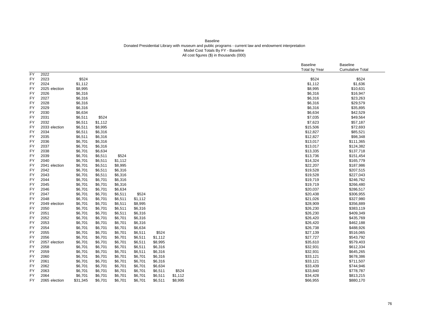### Baseline Donated Presidential Library with museum and public programs - current law and endowment interpretation Model Cost Totals By FY - Baseline All cost figures (\$) in thousands (000)

|           |               |          |         |         |         |         |         |  | <b>Baseline</b> | Baseline                |
|-----------|---------------|----------|---------|---------|---------|---------|---------|--|-----------------|-------------------------|
|           |               |          |         |         |         |         |         |  | Total by Year   | <b>Cumulative Total</b> |
| <b>FY</b> | 2022          |          |         |         |         |         |         |  |                 |                         |
| <b>FY</b> | 2023          | \$524    |         |         |         |         |         |  | \$524           | \$524                   |
| FY        | 2024          | \$1,112  |         |         |         |         |         |  | \$1,112         | \$1,636                 |
| FY        | 2025 election | \$8,995  |         |         |         |         |         |  | \$8,995         | \$10,631                |
| FY        | 2026          | \$6,316  |         |         |         |         |         |  | \$6,316         | \$16,947                |
| FY        | 2027          | \$6,316  |         |         |         |         |         |  | \$6,316         | \$23,263                |
| FY        | 2028          | \$6,316  |         |         |         |         |         |  | \$6,316         | \$29,579                |
| FY        | 2029          | \$6,316  |         |         |         |         |         |  | \$6,316         | \$35,895                |
| <b>FY</b> | 2030          | \$6,634  |         |         |         |         |         |  | \$6,634         | \$42,529                |
| FY        | 2031          | \$6,511  | \$524   |         |         |         |         |  | \$7,035         | \$49,564                |
| FY        | 2032          | \$6,511  | \$1,112 |         |         |         |         |  | \$7,623         | \$57,187                |
| <b>FY</b> | 2033 election | \$6,511  | \$8,995 |         |         |         |         |  | \$15,506        | \$72,693                |
| FY        | 2034          | \$6,511  | \$6,316 |         |         |         |         |  | \$12,827        | \$85,521                |
| FY        | 2035          | \$6,511  | \$6,316 |         |         |         |         |  | \$12,827        | \$98,348                |
| FY        | 2036          | \$6,701  | \$6,316 |         |         |         |         |  | \$13,017        | \$111,365               |
| FY        | 2037          | \$6,701  | \$6,316 |         |         |         |         |  | \$13,017        | \$124,382               |
| FY        | 2038          | \$6,701  | \$6,634 |         |         |         |         |  | \$13,335        | \$137,718               |
| <b>FY</b> | 2039          | \$6,701  | \$6,511 | \$524   |         |         |         |  | \$13,736        | \$151,454               |
| FY        | 2040          | \$6,701  | \$6,511 | \$1,112 |         |         |         |  | \$14,324        | \$165,779               |
| FY        | 2041 election | \$6,701  | \$6,511 | \$8,995 |         |         |         |  | \$22,207        | \$187,986               |
| FY        | 2042          | \$6,701  | \$6,511 | \$6,316 |         |         |         |  | \$19,528        | \$207,515               |
| FY        | 2043          | \$6,701  | \$6,511 | \$6,316 |         |         |         |  | \$19,528        | \$227,043               |
| FY        | 2044          | \$6,701  | \$6,701 | \$6,316 |         |         |         |  | \$19,719        | \$246,762               |
| FY        | 2045          | \$6,701  | \$6,701 | \$6,316 |         |         |         |  | \$19,719        | \$266,480               |
| FY        | 2046          | \$6,701  | \$6,701 | \$6,634 |         |         |         |  | \$20,037        | \$286,517               |
| FY        | 2047          | \$6,701  | \$6,701 | \$6,511 | \$524   |         |         |  | \$20,438        | \$306,955               |
| FY        | 2048          | \$6,701  | \$6,701 | \$6,511 | \$1,112 |         |         |  | \$21,026        | \$327,980               |
| FY        | 2049 election | \$6,701  | \$6,701 | \$6,511 | \$8,995 |         |         |  | \$28,909        | \$356,889               |
| <b>FY</b> | 2050          | \$6,701  | \$6,701 | \$6,511 | \$6,316 |         |         |  | \$26,230        | \$383,119               |
| FY        | 2051          | \$6,701  | \$6,701 | \$6,511 | \$6,316 |         |         |  | \$26,230        | \$409,349               |
| FY        | 2052          | \$6,701  | \$6,701 | \$6,701 | \$6,316 |         |         |  | \$26,420        | \$435,769               |
| FY        | 2053          | \$6,701  | \$6,701 | \$6,701 | \$6,316 |         |         |  | \$26,420        | \$462,188               |
| <b>FY</b> | 2054          | \$6,701  | \$6,701 | \$6,701 | \$6,634 |         |         |  | \$26,738        | \$488,926               |
| <b>FY</b> | 2055          | \$6,701  | \$6,701 | \$6,701 | \$6,511 | \$524   |         |  | \$27,139        | \$516,065               |
| FY        | 2056          | \$6,701  | \$6,701 | \$6,701 | \$6,511 | \$1,112 |         |  | \$27,727        | \$543,792               |
| FY        | 2057 election | \$6,701  | \$6,701 | \$6,701 | \$6,511 | \$8,995 |         |  | \$35,610        | \$579,403               |
| <b>FY</b> | 2058          | \$6,701  | \$6,701 | \$6,701 | \$6,511 | \$6,316 |         |  | \$32,931        | \$612,334               |
| FY        | 2059          | \$6,701  | \$6,701 | \$6,701 | \$6,511 | \$6,316 |         |  | \$32,931        | \$645,265               |
| FY        | 2060          | \$6,701  | \$6,701 | \$6,701 | \$6,701 | \$6,316 |         |  | \$33,121        | \$678,386               |
| FY        | 2061          | \$6,701  | \$6,701 | \$6,701 | \$6,701 | \$6,316 |         |  | \$33,121        | \$711,507               |
| FY        | 2062          | \$6,701  | \$6,701 | \$6,701 | \$6,701 | \$6,634 |         |  | \$33,439        | \$744,946               |
| FY        | 2063          | \$6,701  | \$6,701 | \$6,701 | \$6,701 | \$6,511 | \$524   |  | \$33,840        | \$778,787               |
| <b>FY</b> | 2064          | \$6,701  | \$6,701 | \$6,701 | \$6,701 | \$6,511 | \$1,112 |  | \$34,428        | \$813,215               |
| FY        | 2065 election | \$31,345 | \$6,701 | \$6,701 | \$6,701 | \$6,511 | \$8,995 |  | \$66,955        | \$880,170               |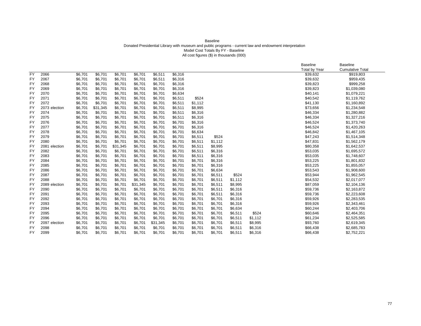### Baseline Donated Presidential Library with museum and public programs - current law and endowment interpretation Model Cost Totals By FY - Baseline All cost figures (\$) in thousands (000)

|           |               |         |          |          |          |          |         |         |         |         |         | <b>Baseline</b><br><b>Total by Year</b> | <b>Baseline</b><br><b>Cumulative Total</b> |
|-----------|---------------|---------|----------|----------|----------|----------|---------|---------|---------|---------|---------|-----------------------------------------|--------------------------------------------|
| <b>FY</b> | 2066          | \$6,701 | \$6,701  | \$6,701  | \$6,701  | \$6,511  | \$6,316 |         |         |         |         | \$39,632                                | \$919,803                                  |
| <b>FY</b> | 2067          | \$6,701 | \$6,701  | \$6,701  | \$6,701  | \$6,511  | \$6,316 |         |         |         |         | \$39,632                                | \$959,435                                  |
| <b>FY</b> | 2068          | \$6,701 | \$6,701  | \$6,701  | \$6,701  | \$6,701  | \$6,316 |         |         |         |         | \$39,823                                | \$999,258                                  |
| <b>FY</b> | 2069          | \$6,701 | \$6,701  | \$6,701  | \$6,701  | \$6,701  | \$6,316 |         |         |         |         | \$39,823                                | \$1,039,080                                |
| <b>FY</b> | 2070          | \$6,701 | \$6,701  | \$6,701  | \$6,701  | \$6,701  | \$6,634 |         |         |         |         | \$40,141                                | \$1,079,221                                |
| <b>FY</b> | 2071          | \$6,701 | \$6,701  | \$6,701  | \$6,701  | \$6,701  | \$6,511 | \$524   |         |         |         | \$40,542                                | \$1,119,762                                |
| <b>FY</b> | 2072          | \$6,701 | \$6,701  | \$6,701  | \$6,701  | \$6,701  | \$6,511 | \$1,112 |         |         |         | \$41,130                                | \$1,160,892                                |
| <b>FY</b> | 2073 election | \$6,701 | \$31,345 | \$6,701  | \$6,701  | \$6,701  | \$6,511 | \$8,995 |         |         |         | \$73,656                                | \$1,234,548                                |
| FY        | 2074          | \$6,701 | \$6,701  | \$6,701  | \$6,701  | \$6,701  | \$6,511 | \$6,316 |         |         |         | \$46,334                                | \$1,280,882                                |
| <b>FY</b> | 2075          | \$6,701 | \$6,701  | \$6,701  | \$6,701  | \$6,701  | \$6,511 | \$6,316 |         |         |         | \$46,334                                | \$1,327,216                                |
| <b>FY</b> | 2076          | \$6,701 | \$6,701  | \$6,701  | \$6,701  | \$6,701  | \$6,701 | \$6,316 |         |         |         | \$46,524                                | \$1,373,740                                |
| <b>FY</b> | 2077          | \$6,701 | \$6,701  | \$6,701  | \$6,701  | \$6,701  | \$6,701 | \$6,316 |         |         |         | \$46,524                                | \$1,420,263                                |
| <b>FY</b> | 2078          | \$6,701 | \$6,701  | \$6,701  | \$6,701  | \$6,701  | \$6,701 | \$6,634 |         |         |         | \$46,842                                | \$1,467,105                                |
| <b>FY</b> | 2079          | \$6,701 | \$6,701  | \$6,701  | \$6,701  | \$6,701  | \$6,701 | \$6,511 | \$524   |         |         | \$47,243                                | \$1,514,348                                |
| FY        | 2080          | \$6,701 | \$6,701  | \$6,701  | \$6,701  | \$6,701  | \$6,701 | \$6,511 | \$1,112 |         |         | \$47,831                                | \$1,562,179                                |
| <b>FY</b> | 2081 election | \$6,701 | \$6,701  | \$31,345 | \$6,701  | \$6,701  | \$6,701 | \$6,511 | \$8,995 |         |         | \$80,358                                | \$1,642,537                                |
| <b>FY</b> | 2082          | \$6,701 | \$6,701  | \$6,701  | \$6,701  | \$6,701  | \$6,701 | \$6,511 | \$6,316 |         |         | \$53,035                                | \$1,695,572                                |
| <b>FY</b> | 2083          | \$6,701 | \$6,701  | \$6,701  | \$6,701  | \$6,701  | \$6,701 | \$6,511 | \$6,316 |         |         | \$53,035                                | \$1,748,607                                |
| <b>FY</b> | 2084          | \$6,701 | \$6,701  | \$6,701  | \$6,701  | \$6,701  | \$6,701 | \$6,701 | \$6,316 |         |         | \$53,225                                | \$1,801,832                                |
| <b>FY</b> | 2085          | \$6,701 | \$6,701  | \$6,701  | \$6,701  | \$6,701  | \$6,701 | \$6,701 | \$6,316 |         |         | \$53,225                                | \$1,855,057                                |
| <b>FY</b> | 2086          | \$6,701 | \$6,701  | \$6,701  | \$6,701  | \$6,701  | \$6,701 | \$6,701 | \$6,634 |         |         | \$53,543                                | \$1,908,600                                |
| <b>FY</b> | 2087          | \$6,701 | \$6,701  | \$6,701  | \$6,701  | \$6,701  | \$6,701 | \$6,701 | \$6,511 | \$524   |         | \$53,944                                | \$1,962,545                                |
| <b>FY</b> | 2088          | \$6,701 | \$6,701  | \$6.701  | \$6,701  | \$6,701  | \$6,701 | \$6,701 | \$6,511 | \$1,112 |         | \$54,532                                | \$2,017,077                                |
| <b>FY</b> | 2089 election | \$6,701 | \$6,701  | \$6,701  | \$31,345 | \$6,701  | \$6,701 | \$6,701 | \$6,511 | \$8,995 |         | \$87,059                                | \$2,104,136                                |
| <b>FY</b> | 2090          | \$6,701 | \$6,701  | \$6,701  | \$6,701  | \$6,701  | \$6,701 | \$6,701 | \$6,511 | \$6,316 |         | \$59,736                                | \$2,163,872                                |
| <b>FY</b> | 2091          | \$6,701 | \$6,701  | \$6,701  | \$6,701  | \$6,701  | \$6,701 | \$6,701 | \$6,511 | \$6,316 |         | \$59,736                                | \$2,223,608                                |
| <b>FY</b> | 2092          | \$6,701 | \$6,701  | \$6,701  | \$6,701  | \$6,701  | \$6,701 | \$6,701 | \$6,701 | \$6,316 |         | \$59,926                                | \$2,283,535                                |
| <b>FY</b> | 2093          | \$6,701 | \$6,701  | \$6,701  | \$6,701  | \$6,701  | \$6,701 | \$6,701 | \$6,701 | \$6,316 |         | \$59,926                                | \$2,343,461                                |
| <b>FY</b> | 2094          | \$6,701 | \$6,701  | \$6,701  | \$6,701  | \$6,701  | \$6,701 | \$6,701 | \$6,701 | \$6,634 |         | \$60,244                                | \$2,403,706                                |
| <b>FY</b> | 2095          | \$6,701 | \$6,701  | \$6,701  | \$6,701  | \$6,701  | \$6,701 | \$6,701 | \$6,701 | \$6,511 | \$524   | \$60,646                                | \$2,464,351                                |
| <b>FY</b> | 2096          | \$6,701 | \$6,701  | \$6,701  | \$6,701  | \$6,701  | \$6,701 | \$6,701 | \$6,701 | \$6,511 | \$1,112 | \$61,234                                | \$2,525,585                                |
| <b>FY</b> | 2097 election | \$6,701 | \$6,701  | \$6,701  | \$6,701  | \$31,345 | \$6,701 | \$6,701 | \$6,701 | \$6,511 | \$8,995 | \$93,760                                | \$2,619,345                                |
| FY        | 2098          | \$6,701 | \$6,701  | \$6,701  | \$6,701  | \$6,701  | \$6,701 | \$6,701 | \$6,701 | \$6,511 | \$6,316 | \$66,438                                | \$2,685,783                                |
| <b>FY</b> | 2099          | \$6,701 | \$6,701  | \$6,701  | \$6,701  | \$6,701  | \$6,701 | \$6,701 | \$6,701 | \$6,511 | \$6,316 | \$66,438                                | \$2,752,221                                |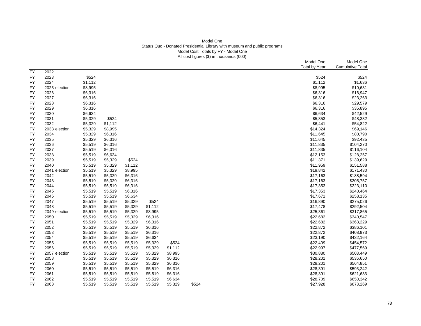# Model One Status Quo - Donated Presidential Library with museum and public programs Model Cost Totals by FY - Model One All cost figures (\$) in thousands (000)

|           |               |         |         |         |         |         |       | Model One<br><b>Total by Year</b> | Model One<br><b>Cumulative Total</b> |
|-----------|---------------|---------|---------|---------|---------|---------|-------|-----------------------------------|--------------------------------------|
| <b>FY</b> | 2022          |         |         |         |         |         |       |                                   |                                      |
| FY        | 2023          | \$524   |         |         |         |         |       | \$524                             | \$524                                |
| FY        | 2024          | \$1,112 |         |         |         |         |       | \$1,112                           | \$1,636                              |
| <b>FY</b> | 2025 election | \$8,995 |         |         |         |         |       | \$8,995                           | \$10,631                             |
| FY        | 2026          | \$6,316 |         |         |         |         |       | \$6,316                           | \$16,947                             |
| FY        | 2027          | \$6,316 |         |         |         |         |       | \$6,316                           | \$23,263                             |
| FY        | 2028          | \$6,316 |         |         |         |         |       | \$6,316                           | \$29,579                             |
| FY        | 2029          | \$6,316 |         |         |         |         |       | \$6,316                           | \$35,895                             |
| <b>FY</b> | 2030          | \$6,634 |         |         |         |         |       | \$6,634                           | \$42,529                             |
| FY        | 2031          | \$5,329 | \$524   |         |         |         |       | \$5,853                           | \$48,382                             |
| FY        | 2032          | \$5,329 | \$1,112 |         |         |         |       | \$6,441                           | \$54,822                             |
| FY        | 2033 election | \$5,329 | \$8,995 |         |         |         |       | \$14,324                          | \$69,146                             |
| FY        | 2034          | \$5,329 | \$6,316 |         |         |         |       | \$11,645                          | \$80,790                             |
| FY        | 2035          | \$5,329 | \$6,316 |         |         |         |       | \$11,645                          | \$92,435                             |
| FY        | 2036          | \$5,519 | \$6,316 |         |         |         |       | \$11,835                          | \$104,270                            |
| FY        | 2037          | \$5,519 | \$6,316 |         |         |         |       | \$11,835                          | \$116,104                            |
| FY        | 2038          | \$5,519 | \$6,634 |         |         |         |       | \$12,153                          | \$128,257                            |
| FY        | 2039          | \$5,519 | \$5,329 | \$524   |         |         |       | \$11,371                          | \$139,629                            |
| FY        | 2040          | \$5,519 | \$5,329 | \$1,112 |         |         |       | \$11,959                          | \$151,588                            |
| FY        | 2041 election | \$5,519 | \$5,329 | \$8,995 |         |         |       | \$19,842                          | \$171,430                            |
| FY        | 2042          | \$5,519 | \$5,329 | \$6,316 |         |         |       | \$17,163                          | \$188,594                            |
| FY        | 2043          | \$5,519 | \$5,329 | \$6,316 |         |         |       | \$17,163                          | \$205,757                            |
| FY        | 2044          | \$5,519 | \$5,519 | \$6,316 |         |         |       | \$17,353                          | \$223,110                            |
| FY        | 2045          | \$5,519 | \$5,519 | \$6,316 |         |         |       | \$17,353                          | \$240,464                            |
| FY        | 2046          | \$5,519 | \$5,519 | \$6,634 |         |         |       | \$17,671                          | \$258,135                            |
| FY        | 2047          | \$5,519 | \$5,519 | \$5,329 | \$524   |         |       | \$16,890                          | \$275,026                            |
| FY        | 2048          | \$5,519 | \$5,519 | \$5,329 | \$1,112 |         |       | \$17,478                          | \$292,504                            |
| FY        | 2049 election | \$5,519 | \$5,519 | \$5,329 | \$8,995 |         |       | \$25,361                          | \$317,865                            |
| FY        | 2050          | \$5,519 | \$5,519 | \$5,329 | \$6,316 |         |       | \$22,682                          | \$340,547                            |
| <b>FY</b> | 2051          | \$5,519 | \$5,519 | \$5,329 | \$6,316 |         |       | \$22,682                          | \$363,229                            |
| FY        | 2052          | \$5,519 | \$5,519 | \$5,519 | \$6,316 |         |       | \$22,872                          | \$386,101                            |
| FY        | 2053          | \$5,519 | \$5,519 | \$5,519 | \$6,316 |         |       | \$22,872                          | \$408,973                            |
| FY        | 2054          | \$5,519 | \$5,519 | \$5,519 | \$6,634 |         |       | \$23,190                          | \$432,164                            |
| FY        | 2055          | \$5,519 | \$5,519 | \$5,519 | \$5,329 | \$524   |       | \$22,409                          | \$454,572                            |
| FY        | 2056          | \$5,519 | \$5,519 | \$5,519 | \$5,329 | \$1,112 |       | \$22,997                          | \$477,569                            |
| FY        | 2057 election | \$5,519 | \$5,519 | \$5,519 | \$5,329 | \$8,995 |       | \$30,880                          | \$508,449                            |
| FY        | 2058          | \$5,519 | \$5,519 | \$5,519 | \$5,329 | \$6,316 |       | \$28,201                          | \$536,650                            |
| FY        | 2059          | \$5,519 | \$5,519 | \$5,519 | \$5,329 | \$6,316 |       | \$28,201                          | \$564,851                            |
| FY        | 2060          | \$5,519 | \$5,519 | \$5,519 | \$5,519 | \$6,316 |       | \$28,391                          | \$593,242                            |
| FY        | 2061          | \$5,519 | \$5,519 | \$5,519 | \$5,519 | \$6,316 |       | \$28,391                          | \$621,633                            |
| FY        | 2062          | \$5,519 | \$5,519 | \$5,519 | \$5,519 | \$6,634 |       | \$28,709                          | \$650,342                            |
| FY        | 2063          | \$5,519 | \$5,519 | \$5,519 | \$5,519 | \$5,329 | \$524 | \$27,928                          | \$678,269                            |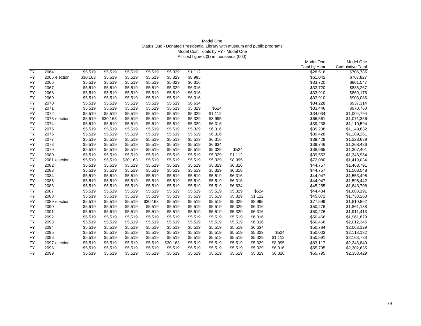# Model One Status Quo - Donated Presidential Library with museum and public programs Model Cost Totals by FY - Model One All cost figures (\$) in thousands (000)

|           |               |          |          |          |          |          |         |         |         |         |         | Model One            | Model One               |
|-----------|---------------|----------|----------|----------|----------|----------|---------|---------|---------|---------|---------|----------------------|-------------------------|
|           |               |          |          |          |          |          |         |         |         |         |         | <b>Total by Year</b> | <b>Cumulative Total</b> |
| <b>FY</b> | 2064          | \$5,519  | \$5,519  | \$5,519  | \$5,519  | \$5,329  | \$1,112 |         |         |         |         | \$28,516             | \$706,785               |
| <b>FY</b> | 2065 election | \$30,163 | \$5,519  | \$5,519  | \$5,519  | \$5,329  | \$8,995 |         |         |         |         | \$61,042             | \$767,827               |
| <b>FY</b> | 2066          | \$5,519  | \$5,519  | \$5,519  | \$5,519  | \$5,329  | \$6,316 |         |         |         |         | \$33,720             | \$801,547               |
| FY        | 2067          | \$5,519  | \$5,519  | \$5,519  | \$5,519  | \$5,329  | \$6,316 |         |         |         |         | \$33,720             | \$835,267               |
| <b>FY</b> | 2068          | \$5,519  | \$5,519  | \$5,519  | \$5,519  | \$5,519  | \$6,316 |         |         |         |         | \$33,910             | \$869,176               |
| <b>FY</b> | 2069          | \$5,519  | \$5,519  | \$5,519  | \$5,519  | \$5,519  | \$6,316 |         |         |         |         | \$33,910             | \$903,086               |
| <b>FY</b> | 2070          | \$5,519  | \$5,519  | \$5,519  | \$5,519  | \$5,519  | \$6,634 |         |         |         |         | \$34,228             | \$937,314               |
| <b>FY</b> | 2071          | \$5,519  | \$5,519  | \$5,519  | \$5,519  | \$5,519  | \$5,329 | \$524   |         |         |         | \$33,446             | \$970,760               |
| <b>FY</b> | 2072          | \$5,519  | \$5,519  | \$5,519  | \$5,519  | \$5,519  | \$5,329 | \$1,112 |         |         |         | \$34,034             | \$1,004,794             |
| <b>FY</b> | 2073 election | \$5,519  | \$30,163 | \$5,519  | \$5,519  | \$5,519  | \$5,329 | \$8,995 |         |         |         | \$66,561             | \$1,071,356             |
| <b>FY</b> | 2074          | \$5,519  | \$5,519  | \$5,519  | \$5,519  | \$5,519  | \$5,329 | \$6,316 |         |         |         | \$39,238             | \$1,110,594             |
| <b>FY</b> | 2075          | \$5,519  | \$5,519  | \$5,519  | \$5,519  | \$5,519  | \$5,329 | \$6,316 |         |         |         | \$39,238             | \$1,149,832             |
| <b>FY</b> | 2076          | \$5,519  | \$5,519  | \$5,519  | \$5,519  | \$5,519  | \$5,519 | \$6,316 |         |         |         | \$39,428             | \$1,189,261             |
| <b>FY</b> | 2077          | \$5,519  | \$5,519  | \$5,519  | \$5,519  | \$5,519  | \$5,519 | \$6,316 |         |         |         | \$39,428             | \$1,228,689             |
| <b>FY</b> | 2078          | \$5,519  | \$5,519  | \$5,519  | \$5,519  | \$5,519  | \$5,519 | \$6,634 |         |         |         | \$39,746             | \$1,268,436             |
| FY        | 2079          | \$5,519  | \$5,519  | \$5,519  | \$5,519  | \$5,519  | \$5,519 | \$5,329 | \$524   |         |         | \$38,965             | \$1,307,401             |
| FY        | 2080          | \$5,519  | \$5,519  | \$5,519  | \$5,519  | \$5,519  | \$5,519 | \$5,329 | \$1,112 |         |         | \$39,553             | \$1,346,954             |
| <b>FY</b> | 2081 election | \$5,519  | \$5,519  | \$30,163 | \$5,519  | \$5,519  | \$5,519 | \$5,329 | \$8,995 |         |         | \$72,080             | \$1,419,034             |
| FY        | 2082          | \$5,519  | \$5,519  | \$5,519  | \$5,519  | \$5,519  | \$5,519 | \$5,329 | \$6,316 |         |         | \$44,757             | \$1,463,791             |
| <b>FY</b> | 2083          | \$5,519  | \$5,519  | \$5,519  | \$5,519  | \$5,519  | \$5,519 | \$5,329 | \$6,316 |         |         | \$44,757             | \$1,508,548             |
| FY        | 2084          | \$5,519  | \$5,519  | \$5,519  | \$5,519  | \$5,519  | \$5,519 | \$5,519 | \$6,316 |         |         | \$44,947             | \$1,553,495             |
| <b>FY</b> | 2085          | \$5,519  | \$5,519  | \$5,519  | \$5,519  | \$5,519  | \$5,519 | \$5,519 | \$6,316 |         |         | \$44,947             | \$1,598,442             |
| <b>FY</b> | 2086          | \$5,519  | \$5,519  | \$5,519  | \$5,519  | \$5,519  | \$5,519 | \$5,519 | \$6,634 |         |         | \$45,265             | \$1,643,708             |
| FY        | 2087          | \$5,519  | \$5,519  | \$5,519  | \$5,519  | \$5,519  | \$5,519 | \$5,519 | \$5,329 | \$524   |         | \$44,484             | \$1,688,191             |
| <b>FY</b> | 2088          | \$5,519  | \$5,519  | \$5,519  | \$5,519  | \$5,519  | \$5,519 | \$5,519 | \$5,329 | \$1,112 |         | \$45,072             | \$1,733,263             |
| <b>FY</b> | 2089 election | \$5,519  | \$5,519  | \$5,519  | \$30,163 | \$5,519  | \$5,519 | \$5,519 | \$5,329 | \$8,995 |         | \$77,599             | \$1,810,862             |
| FY        | 2090          | \$5,519  | \$5,519  | \$5,519  | \$5,519  | \$5,519  | \$5,519 | \$5,519 | \$5,329 | \$6,316 |         | \$50,276             | \$1,861,138             |
| FY        | 2091          | \$5,519  | \$5,519  | \$5,519  | \$5,519  | \$5,519  | \$5,519 | \$5,519 | \$5,329 | \$6,316 |         | \$50,276             | \$1,911,413             |
| <b>FY</b> | 2092          | \$5,519  | \$5,519  | \$5,519  | \$5,519  | \$5,519  | \$5,519 | \$5,519 | \$5,519 | \$6,316 |         | \$50,466             | \$1,961,879             |
| <b>FY</b> | 2093          | \$5,519  | \$5,519  | \$5,519  | \$5,519  | \$5,519  | \$5,519 | \$5,519 | \$5,519 | \$6,316 |         | \$50,466             | \$2,012,345             |
| <b>FY</b> | 2094          | \$5,519  | \$5,519  | \$5,519  | \$5,519  | \$5,519  | \$5,519 | \$5,519 | \$5,519 | \$6,634 |         | \$50,784             | \$2,063,129             |
| <b>FY</b> | 2095          | \$5,519  | \$5,519  | \$5,519  | \$5,519  | \$5,519  | \$5,519 | \$5,519 | \$5,519 | \$5,329 | \$524   | \$50,003             | \$2,113,132             |
| <b>FY</b> | 2096          | \$5,519  | \$5,519  | \$5,519  | \$5,519  | \$5,519  | \$5,519 | \$5,519 | \$5,519 | \$5,329 | \$1,112 | \$50,591             | \$2,163,723             |
| <b>FY</b> | 2097 election | \$5,519  | \$5,519  | \$5,519  | \$5,519  | \$30,163 | \$5,519 | \$5,519 | \$5,519 | \$5,329 | \$8,995 | \$83,117             | \$2,246,840             |
| <b>FY</b> | 2098          | \$5,519  | \$5,519  | \$5,519  | \$5,519  | \$5,519  | \$5,519 | \$5,519 | \$5,519 | \$5,329 | \$6,316 | \$55,795             | \$2,302,635             |
| <b>FY</b> | 2099          | \$5,519  | \$5,519  | \$5,519  | \$5,519  | \$5,519  | \$5,519 | \$5,519 | \$5,519 | \$5,329 | \$6,316 | \$55,795             | \$2,358,429             |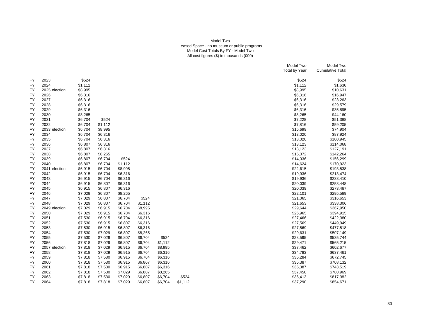### Model Two Leased Space - no museum or public programs Model Cost Totals By FY - Model Two All cost figures (\$) in thousands (000)

|                 |                       |                    |                    |         |         |         |         |  | Model Two            | Model Two               |
|-----------------|-----------------------|--------------------|--------------------|---------|---------|---------|---------|--|----------------------|-------------------------|
|                 |                       |                    |                    |         |         |         |         |  | <b>Total by Year</b> | <b>Cumulative Total</b> |
|                 |                       |                    |                    |         |         |         |         |  |                      |                         |
| FY              | 2023                  | \$524              |                    |         |         |         |         |  | \$524                | \$524                   |
| <b>FY</b>       | 2024                  | \$1,112            |                    |         |         |         |         |  | \$1,112              | \$1,636                 |
| <b>FY</b>       | 2025 election         | \$8,995            |                    |         |         |         |         |  | \$8,995              | \$10,631                |
| <b>FY</b>       | 2026                  | \$6,316            |                    |         |         |         |         |  | \$6,316              | \$16,947                |
| FY              | 2027<br>2028          | \$6,316            |                    |         |         |         |         |  | \$6,316              | \$23,263                |
| FY<br><b>FY</b> | 2029                  | \$6,316            |                    |         |         |         |         |  | \$6,316              | \$29,579                |
| <b>FY</b>       |                       | \$6,316            |                    |         |         |         |         |  | \$6,316              | \$35,895                |
|                 | 2030                  | \$8,265<br>\$6,704 |                    |         |         |         |         |  | \$8,265<br>\$7,228   | \$44,160                |
| FY<br><b>FY</b> | 2031<br>2032          |                    | \$524              |         |         |         |         |  |                      | \$51,388                |
|                 |                       | \$6,704            | \$1,112            |         |         |         |         |  | \$7,816              | \$59,205                |
| FY<br><b>FY</b> | 2033 election<br>2034 | \$6,704<br>\$6,704 | \$8,995            |         |         |         |         |  | \$15,699             | \$74,904                |
| <b>FY</b>       | 2035                  | \$6,704            | \$6,316            |         |         |         |         |  | \$13,020<br>\$13,020 | \$87,924<br>\$100,945   |
|                 |                       |                    | \$6,316            |         |         |         |         |  |                      |                         |
| FY<br><b>FY</b> | 2036<br>2037          | \$6,807<br>\$6,807 | \$6,316<br>\$6,316 |         |         |         |         |  | \$13,123<br>\$13,123 | \$114,068<br>\$127,191  |
| <b>FY</b>       | 2038                  | \$6,807            | \$8,265            |         |         |         |         |  | \$15,072             | \$142,264               |
|                 | 2039                  |                    | \$6,704            | \$524   |         |         |         |  |                      |                         |
| FY<br><b>FY</b> | 2040                  | \$6,807<br>\$6,807 | \$6,704            | \$1,112 |         |         |         |  | \$14,036<br>\$14,624 | \$156,299<br>\$170,923  |
| <b>FY</b>       |                       | \$6,915            | \$6,704            | \$8,995 |         |         |         |  | \$22,615             | \$193,538               |
| <b>FY</b>       | 2041 election<br>2042 | \$6,915            | \$6,704            | \$6,316 |         |         |         |  | \$19,936             | \$213,474               |
| <b>FY</b>       | 2043                  | \$6,915            | \$6,704            | \$6,316 |         |         |         |  | \$19,936             | \$233,410               |
| FY              | 2044                  | \$6,915            | \$6,807            | \$6,316 |         |         |         |  | \$20,039             | \$253,448               |
| <b>FY</b>       | 2045                  | \$6,915            | \$6,807            | \$6,316 |         |         |         |  | \$20,039             | \$273,487               |
| <b>FY</b>       | 2046                  | \$7,029            | \$6,807            | \$8,265 |         |         |         |  | \$22,101             | \$295,589               |
| <b>FY</b>       | 2047                  | \$7,029            | \$6,807            | \$6,704 | \$524   |         |         |  | \$21,065             | \$316,653               |
| FY              | 2048                  | \$7,029            | \$6,807            | \$6,704 | \$1,112 |         |         |  | \$21,653             | \$338,306               |
| FY              | 2049 election         | \$7,029            | \$6,915            | \$6,704 | \$8,995 |         |         |  | \$29,644             | \$367,950               |
| <b>FY</b>       | 2050                  | \$7,029            | \$6,915            | \$6,704 | \$6,316 |         |         |  | \$26,965             | \$394,915               |
| <b>FY</b>       | 2051                  | \$7,530            | \$6,915            | \$6,704 | \$6,316 |         |         |  | \$27,466             | \$422,380               |
| FY              | 2052                  | \$7,530            | \$6,915            | \$6,807 | \$6,316 |         |         |  | \$27,569             | \$449,949               |
| FY              | 2053                  | \$7,530            | \$6,915            | \$6,807 | \$6,316 |         |         |  | \$27,569             | \$477,518               |
| FY              | 2054                  | \$7,530            | \$7,029            | \$6,807 | \$8,265 |         |         |  | \$29,631             | \$507,149               |
| <b>FY</b>       | 2055                  | \$7,530            | \$7,029            | \$6,807 | \$6,704 | \$524   |         |  | \$28,595             | \$535,744               |
| FY              | 2056                  | \$7,818            | \$7,029            | \$6,807 | \$6,704 | \$1,112 |         |  | \$29,471             | \$565,215               |
| FY              | 2057 election         | \$7,818            | \$7,029            | \$6,915 | \$6,704 | \$8,995 |         |  | \$37,462             | \$602,677               |
| <b>FY</b>       | 2058                  | \$7,818            | \$7,029            | \$6,915 | \$6,704 | \$6,316 |         |  | \$34,783             | \$637,461               |
| <b>FY</b>       | 2059                  | \$7,818            | \$7,530            | \$6,915 | \$6,704 | \$6,316 |         |  | \$35,284             | \$672,745               |
| <b>FY</b>       | 2060                  | \$7,818            | \$7,530            | \$6,915 | \$6,807 | \$6,316 |         |  | \$35,387             | \$708,132               |
| FY              | 2061                  | \$7,818            | \$7,530            | \$6,915 | \$6,807 | \$6,316 |         |  | \$35,387             | \$743,519               |
| FY              | 2062                  | \$7,818            | \$7,530            | \$7,029 | \$6,807 | \$8,265 |         |  | \$37,450             | \$780,969               |
| <b>FY</b>       | 2063                  | \$7,818            | \$7,530            | \$7,029 | \$6,807 | \$6,704 | \$524   |  | \$36,413             | \$817,382               |
| FY              | 2064                  | \$7,818            | \$7,818            | \$7,029 | \$6,807 | \$6,704 | \$1,112 |  | \$37,290             | \$854,671               |
|                 |                       |                    |                    |         |         |         |         |  |                      |                         |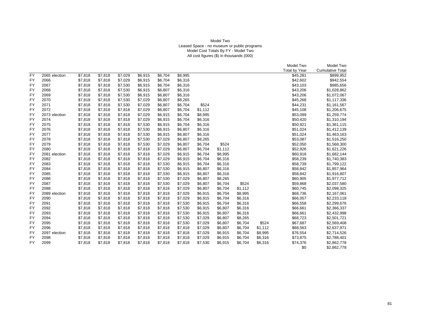### Model Two Leased Space - no museum or public programs Model Cost Totals By FY - Model Two All cost figures (\$) in thousands (000)

|           |               |         |         |         |         |         |         |         |         |         |         | Model Two            | Model Two               |
|-----------|---------------|---------|---------|---------|---------|---------|---------|---------|---------|---------|---------|----------------------|-------------------------|
|           |               |         |         |         |         |         |         |         |         |         |         | <b>Total by Year</b> | <b>Cumulative Total</b> |
| <b>FY</b> | 2065 election | \$7,818 | \$7,818 | \$7,029 | \$6,915 | \$6,704 | \$8,995 |         |         |         |         | \$45,281             | \$899,952               |
| <b>FY</b> | 2066          | \$7,818 | \$7,818 | \$7,029 | \$6,915 | \$6,704 | \$6,316 |         |         |         |         | \$42,602             | \$942,554               |
| <b>FY</b> | 2067          | \$7,818 | \$7,818 | \$7,530 | \$6,915 | \$6,704 | \$6,316 |         |         |         |         | \$43,103             | \$985,656               |
| <b>FY</b> | 2068          | \$7,818 | \$7,818 | \$7,530 | \$6,915 | \$6,807 | \$6,316 |         |         |         |         | \$43,206             | \$1,028,862             |
| <b>FY</b> | 2069          | \$7,818 | \$7,818 | \$7,530 | \$6,915 | \$6,807 | \$6,316 |         |         |         |         | \$43,206             | \$1,072,067             |
| <b>FY</b> | 2070          | \$7,818 | \$7,818 | \$7,530 | \$7,029 | \$6,807 | \$8,265 |         |         |         |         | \$45,268             | \$1,117,336             |
| <b>FY</b> | 2071          | \$7,818 | \$7,818 | \$7,530 | \$7,029 | \$6,807 | \$6,704 | \$524   |         |         |         | \$44,231             | \$1,161,567             |
| <b>FY</b> | 2072          | \$7,818 | \$7,818 | \$7,818 | \$7,029 | \$6,807 | \$6,704 | \$1,112 |         |         |         | \$45,108             | \$1,206,675             |
| <b>FY</b> | 2073 election | \$7,818 | \$7,818 | \$7,818 | \$7,029 | \$6,915 | \$6,704 | \$8,995 |         |         |         | \$53,099             | \$1,259,774             |
| <b>FY</b> | 2074          | \$7,818 | \$7,818 | \$7,818 | \$7,029 | \$6,915 | \$6,704 | \$6,316 |         |         |         | \$50,420             | \$1,310,194             |
| <b>FY</b> | 2075          | \$7,818 | \$7,818 | \$7,818 | \$7,530 | \$6,915 | \$6,704 | \$6,316 |         |         |         | \$50,921             | \$1,361,115             |
| <b>FY</b> | 2076          | \$7,818 | \$7,818 | \$7,818 | \$7,530 | \$6,915 | \$6,807 | \$6,316 |         |         |         | \$51,024             | \$1,412,139             |
| <b>FY</b> | 2077          | \$7,818 | \$7,818 | \$7,818 | \$7,530 | \$6,915 | \$6,807 | \$6,316 |         |         |         | \$51,024             | \$1,463,163             |
| <b>FY</b> | 2078          | \$7,818 | \$7,818 | \$7,818 | \$7,530 | \$7,029 | \$6,807 | \$8,265 |         |         |         | \$53,087             | \$1,516,250             |
| <b>FY</b> | 2079          | \$7,818 | \$7,818 | \$7,818 | \$7,530 | \$7,029 | \$6,807 | \$6,704 | \$524   |         |         | \$52,050             | \$1,568,300             |
| <b>FY</b> | 2080          | \$7,818 | \$7,818 | \$7,818 | \$7,818 | \$7,029 | \$6,807 | \$6,704 | \$1,112 |         |         | \$52,926             | \$1,621,226             |
| <b>FY</b> | 2081 election | \$7,818 | \$7,818 | \$7,818 | \$7,818 | \$7,029 | \$6,915 | \$6,704 | \$8,995 |         |         | \$60,918             | \$1,682,144             |
| <b>FY</b> | 2082          | \$7,818 | \$7,818 | \$7,818 | \$7,818 | \$7,029 | \$6,915 | \$6,704 | \$6,316 |         |         | \$58,239             | \$1,740,383             |
| <b>FY</b> | 2083          | \$7,818 | \$7,818 | \$7,818 | \$7,818 | \$7,530 | \$6,915 | \$6,704 | \$6,316 |         |         | \$58,739             | \$1,799,122             |
| <b>FY</b> | 2084          | \$7,818 | \$7,818 | \$7,818 | \$7,818 | \$7,530 | \$6,915 | \$6,807 | \$6,316 |         |         | \$58,842             | \$1,857,964             |
| <b>FY</b> | 2085          | \$7,818 | \$7,818 | \$7,818 | \$7,818 | \$7,530 | \$6,915 | \$6,807 | \$6,316 |         |         | \$58,842             | \$1,916,807             |
| <b>FY</b> | 2086          | \$7,818 | \$7,818 | \$7,818 | \$7,818 | \$7,530 | \$7,029 | \$6,807 | \$8,265 |         |         | \$60,905             | \$1,977,712             |
| FY        | 2087          | \$7,818 | \$7,818 | \$7,818 | \$7,818 | \$7,530 | \$7,029 | \$6,807 | \$6,704 | \$524   |         | \$59,868             | \$2,037,580             |
| <b>FY</b> | 2088          | \$7,818 | \$7,818 | \$7,818 | \$7,818 | \$7,818 | \$7,029 | \$6,807 | \$6,704 | \$1,112 |         | \$60,745             | \$2,098,325             |
| <b>FY</b> | 2089 election | \$7,818 | \$7,818 | \$7,818 | \$7,818 | \$7,818 | \$7,029 | \$6,915 | \$6,704 | \$8,995 |         | \$68,736             | \$2,167,061             |
| <b>FY</b> | 2090          | \$7,818 | \$7,818 | \$7,818 | \$7,818 | \$7,818 | \$7,029 | \$6,915 | \$6,704 | \$6,316 |         | \$66,057             | \$2,233,118             |
| <b>FY</b> | 2091          | \$7,818 | \$7,818 | \$7,818 | \$7,818 | \$7,818 | \$7,530 | \$6,915 | \$6,704 | \$6,316 |         | \$66,558             | \$2,299,676             |
| <b>FY</b> | 2092          | \$7,818 | \$7,818 | \$7,818 | \$7,818 | \$7,818 | \$7,530 | \$6,915 | \$6,807 | \$6,316 |         | \$66,661             | \$2,366,337             |
| FY        | 2093          | \$7,818 | \$7,818 | \$7,818 | \$7,818 | \$7,818 | \$7,530 | \$6,915 | \$6,807 | \$6,316 |         | \$66,661             | \$2,432,998             |
| <b>FY</b> | 2094          | \$7,818 | \$7,818 | \$7,818 | \$7,818 | \$7,818 | \$7,530 | \$7,029 | \$6,807 | \$8,265 |         | \$68,723             | \$2,501,721             |
| <b>FY</b> | 2095          | \$7,818 | \$7,818 | \$7,818 | \$7,818 | \$7,818 | \$7,530 | \$7,029 | \$6,807 | \$6,704 | \$524   | \$67,687             | \$2,569,408             |
| <b>FY</b> | 2096          | \$7,818 | \$7,818 | \$7,818 | \$7,818 | \$7,818 | \$7,818 | \$7,029 | \$6,807 | \$6,704 | \$1,112 | \$68,563             | \$2,637,971             |
| FY        | 2097 election | \$7,818 | \$7,818 | \$7,818 | \$7,818 | \$7,818 | \$7,818 | \$7,029 | \$6,915 | \$6,704 | \$8,995 | \$76,554             | \$2,714,526             |
| FY        | 2098          | \$7,818 | \$7,818 | \$7,818 | \$7,818 | \$7,818 | \$7,818 | \$7,029 | \$6,915 | \$6,704 | \$6,316 | \$73,875             | \$2,788,401             |
| <b>FY</b> | 2099          | \$7,818 | \$7,818 | \$7,818 | \$7,818 | \$7,818 | \$7,818 | \$7,530 | \$6,915 | \$6,704 | \$6,316 | \$74,376             | \$2,862,778             |
|           |               |         |         |         |         |         |         |         |         |         |         | \$0                  | \$2,862,778             |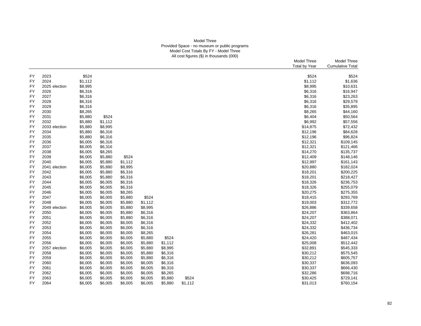## Model Three Provided Space - no museum or public programs Model Cost Totals By FY - Model Three All cost figures (\$) in thousands (000)

|           |               |                    |         |                    |                    |                    |         | Model Three<br>Total by Year | Model Three<br><b>Cumulative Total</b> |
|-----------|---------------|--------------------|---------|--------------------|--------------------|--------------------|---------|------------------------------|----------------------------------------|
| FY        | 2023          | \$524              |         |                    |                    |                    |         | \$524                        | \$524                                  |
| FY        | 2024          | \$1,112            |         |                    |                    |                    |         | \$1,112                      | \$1,636                                |
| FY        | 2025 election | \$8,995            |         |                    |                    |                    |         | \$8,995                      | \$10,631                               |
| <b>FY</b> | 2026          | \$6,316            |         |                    |                    |                    |         | \$6,316                      | \$16,947                               |
| FY        | 2027          | \$6,316            |         |                    |                    |                    |         | \$6,316                      | \$23,263                               |
| FY        | 2028          | \$6,316            |         |                    |                    |                    |         | \$6,316                      | \$29,579                               |
| <b>FY</b> | 2029          | \$6,316            |         |                    |                    |                    |         | \$6,316                      | \$35,895                               |
| FY        | 2030          | \$8,265            |         |                    |                    |                    |         | \$8,265                      | \$44,160                               |
| FY        | 2031          | \$5,880            | \$524   |                    |                    |                    |         | \$6,404                      | \$50,564                               |
| <b>FY</b> | 2032          | \$5,880            | \$1,112 |                    |                    |                    |         | \$6,992                      | \$57,556                               |
| FY        | 2033 election | \$5,880            | \$8,995 |                    |                    |                    |         | \$14,875                     | \$72,432                               |
| FY        | 2034          | \$5,880            | \$6,316 |                    |                    |                    |         | \$12,196                     | \$84,628                               |
| <b>FY</b> | 2035          | \$5,880            | \$6,316 |                    |                    |                    |         | \$12,196                     | \$96,824                               |
| FY        | 2036          | \$6,005            | \$6,316 |                    |                    |                    |         | \$12,321                     | \$109,145                              |
| FY        | 2037          | \$6,005            | \$6,316 |                    |                    |                    |         | \$12,321                     | \$121,466                              |
| <b>FY</b> | 2038          | \$6,005            | \$8,265 |                    |                    |                    |         | \$14,270                     | \$135,737                              |
| FY        | 2039          | \$6,005            | \$5,880 | \$524              |                    |                    |         | \$12,409                     | \$148,146                              |
| FY        | 2040          | \$6,005            | \$5,880 | \$1,112            |                    |                    |         | \$12,997                     | \$161,143                              |
| FY        | 2041 election | \$6,005            | \$5,880 | \$8,995            |                    |                    |         | \$20,880                     | \$182,024                              |
| FY        | 2042          | \$6,005            | \$5,880 | \$6,316            |                    |                    |         | \$18,201                     | \$200,225                              |
| FY        | 2043          | \$6,005            | \$5,880 | \$6,316            |                    |                    |         | \$18,201                     | \$218,427                              |
| FY        | 2044          | \$6,005            | \$6,005 | \$6,316            |                    |                    |         | \$18,326                     | \$236,753                              |
| <b>FY</b> | 2045          | \$6,005            | \$6,005 | \$6,316            |                    |                    |         | \$18,326                     | \$255,079                              |
| FY        | 2046          | \$6,005            | \$6,005 | \$8,265            |                    |                    |         | \$20,275                     | \$275,355                              |
| FY        | 2047          | \$6,005            | \$6,005 | \$5,880            | \$524              |                    |         | \$18,415                     | \$293,769                              |
| <b>FY</b> | 2048          | \$6,005            | \$6,005 | \$5,880            | \$1,112            |                    |         | \$19,003                     | \$312,772                              |
| FY        | 2049 election |                    | \$6,005 | \$5,880            | \$8,995            |                    |         | \$26,886                     | \$339,658                              |
| FY        | 2050          | \$6,005<br>\$6,005 | \$6,005 | \$5,880            | \$6,316            |                    |         | \$24,207                     | \$363,864                              |
| <b>FY</b> | 2051          | \$6,005            | \$6,005 | \$5,880            | \$6,316            |                    |         | \$24,207                     | \$388,071                              |
| FY        | 2052          | \$6,005            | \$6,005 | \$6,005            | \$6,316            |                    |         | \$24,332                     | \$412,402                              |
| FY        | 2053          | \$6,005            | \$6,005 | \$6,005            | \$6,316            |                    |         | \$24,332                     | \$436,734                              |
| FY        | 2054          | \$6,005            | \$6,005 | \$6,005            | \$8,265            |                    |         | \$26,281                     | \$463,015                              |
| FY        | 2055          | \$6,005            | \$6,005 | \$6,005            | \$5,880            | \$524              |         | \$24,420                     | \$487,434                              |
|           | 2056          | \$6,005            | \$6,005 | \$6,005            |                    | \$1,112            |         | \$25,008                     | \$512,442                              |
| FY<br>FY  | 2057 election |                    | \$6,005 | \$6,005            | \$5,880<br>\$5,880 | \$8,995            |         |                              | \$545,333                              |
| FY        | 2058          | \$6,005            | \$6,005 | \$6,005            | \$5,880            |                    |         | \$32,891                     | \$575,545                              |
|           |               | \$6,005            |         |                    |                    | \$6,316            |         | \$30,212                     |                                        |
| FY        | 2059          | \$6,005            | \$6,005 | \$6,005            | \$5,880            | \$6,316            |         | \$30,212                     | \$605,757                              |
| FY        | 2060          | \$6,005            | \$6,005 | \$6,005            | \$6,005            | \$6,316            |         | \$30,337                     | \$636,093                              |
| FY<br>FY  | 2061<br>2062  | \$6,005<br>\$6,005 | \$6,005 | \$6,005<br>\$6,005 | \$6,005<br>\$6,005 | \$6,316<br>\$8,265 |         | \$30,337<br>\$32,286         | \$666,430<br>\$698,716                 |
|           | 2063          |                    | \$6,005 |                    |                    |                    |         |                              |                                        |
| FY        |               | \$6,005            | \$6,005 | \$6,005            | \$6,005            | \$5,880            | \$524   | \$30,425                     | \$729,141                              |
| FY        | 2064          | \$6,005            | \$6,005 | \$6,005            | \$6,005            | \$5,880            | \$1,112 | \$31,013                     | \$760,154                              |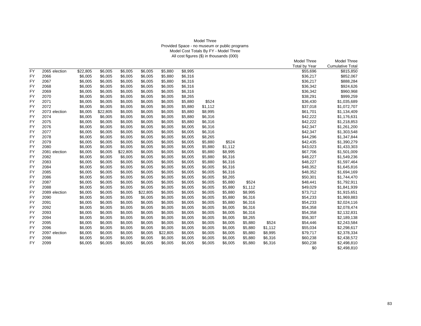## Model Three Provided Space - no museum or public programs Model Cost Totals By FY - Model Three All cost figures (\$) in thousands (000)

|                 |               |          |          |          |          |          |         |         |         |         |         | Model Three          | Model Three             |
|-----------------|---------------|----------|----------|----------|----------|----------|---------|---------|---------|---------|---------|----------------------|-------------------------|
|                 |               |          |          |          |          |          |         |         |         |         |         | <b>Total by Year</b> | <b>Cumulative Total</b> |
| $\overline{FY}$ | 2065 election | \$22,805 | \$6,005  | \$6,005  | \$6,005  | \$5,880  | \$8,995 |         |         |         |         | \$55,696             | \$815,850               |
| <b>FY</b>       | 2066          | \$6,005  | \$6,005  | \$6,005  | \$6,005  | \$5,880  | \$6,316 |         |         |         |         | \$36,217             | \$852,067               |
| <b>FY</b>       | 2067          | \$6,005  | \$6,005  | \$6,005  | \$6,005  | \$5,880  | \$6,316 |         |         |         |         | \$36,217             | \$888,284               |
| FY              | 2068          | \$6,005  | \$6,005  | \$6,005  | \$6,005  | \$6,005  | \$6,316 |         |         |         |         | \$36,342             | \$924,626               |
| FY              | 2069          | \$6,005  | \$6,005  | \$6,005  | \$6,005  | \$6,005  | \$6,316 |         |         |         |         | \$36,342             | \$960,968               |
| FY              | 2070          | \$6,005  | \$6,005  | \$6,005  | \$6,005  | \$6,005  | \$8,265 |         |         |         |         | \$38,291             | \$999,259               |
| FY              | 2071          | \$6,005  | \$6,005  | \$6,005  | \$6,005  | \$6,005  | \$5,880 | \$524   |         |         |         | \$36,430             | \$1,035,689             |
| FY              | 2072          | \$6,005  | \$6,005  | \$6,005  | \$6,005  | \$6,005  | \$5,880 | \$1,112 |         |         |         | \$37,018             | \$1,072,707             |
| FY              | 2073 election | \$6,005  | \$22,805 | \$6,005  | \$6,005  | \$6,005  | \$5,880 | \$8,995 |         |         |         | \$61,701             | \$1,134,409             |
| <b>FY</b>       | 2074          | \$6,005  | \$6,005  | \$6,005  | \$6,005  | \$6,005  | \$5,880 | \$6,316 |         |         |         | \$42,222             | \$1,176,631             |
| FY              | 2075          | \$6,005  | \$6,005  | \$6,005  | \$6,005  | \$6,005  | \$5,880 | \$6,316 |         |         |         | \$42,222             | \$1,218,853             |
| FY              | 2076          | \$6,005  | \$6,005  | \$6,005  | \$6,005  | \$6,005  | \$6,005 | \$6,316 |         |         |         | \$42,347             | \$1,261,200             |
| <b>FY</b>       | 2077          | \$6,005  | \$6,005  | \$6,005  | \$6,005  | \$6,005  | \$6,005 | \$6,316 |         |         |         | \$42,347             | \$1,303,548             |
| <b>FY</b>       | 2078          | \$6,005  | \$6,005  | \$6,005  | \$6,005  | \$6,005  | \$6,005 | \$8,265 |         |         |         | \$44,296             | \$1,347,844             |
| <b>FY</b>       | 2079          | \$6,005  | \$6,005  | \$6,005  | \$6,005  | \$6,005  | \$6,005 | \$5,880 | \$524   |         |         | \$42,435             | \$1,390,279             |
| FY              | 2080          | \$6,005  | \$6,005  | \$6,005  | \$6,005  | \$6,005  | \$6,005 | \$5,880 | \$1,112 |         |         | \$43,023             | \$1,433,303             |
| FY              | 2081 election | \$6,005  | \$6,005  | \$22,805 | \$6,005  | \$6,005  | \$6,005 | \$5,880 | \$8,995 |         |         | \$67,706             | \$1,501,009             |
| <b>FY</b>       | 2082          | \$6,005  | \$6,005  | \$6,005  | \$6,005  | \$6,005  | \$6,005 | \$5,880 | \$6,316 |         |         | \$48,227             | \$1,549,236             |
| FY              | 2083          | \$6,005  | \$6,005  | \$6,005  | \$6,005  | \$6,005  | \$6,005 | \$5,880 | \$6,316 |         |         | \$48,227             | \$1,597,464             |
| FY              | 2084          | \$6,005  | \$6,005  | \$6,005  | \$6,005  | \$6,005  | \$6,005 | \$6,005 | \$6,316 |         |         | \$48,352             | \$1,645,816             |
| <b>FY</b>       | 2085          | \$6,005  | \$6,005  | \$6,005  | \$6,005  | \$6,005  | \$6,005 | \$6,005 | \$6,316 |         |         | \$48,352             | \$1,694,169             |
| <b>FY</b>       | 2086          | \$6,005  | \$6,005  | \$6,005  | \$6,005  | \$6,005  | \$6,005 | \$6,005 | \$8,265 |         |         | \$50,301             | \$1,744,470             |
| <b>FY</b>       | 2087          | \$6,005  | \$6,005  | \$6,005  | \$6,005  | \$6,005  | \$6,005 | \$6,005 | \$5,880 | \$524   |         | \$48,441             | \$1,792,911             |
| FY              | 2088          | \$6,005  | \$6,005  | \$6,005  | \$6,005  | \$6,005  | \$6,005 | \$6,005 | \$5,880 | \$1,112 |         | \$49,029             | \$1,841,939             |
| <b>FY</b>       | 2089 election | \$6,005  | \$6,005  | \$6,005  | \$22,805 | \$6,005  | \$6,005 | \$6,005 | \$5,880 | \$8,995 |         | \$73,712             | \$1,915,651             |
| <b>FY</b>       | 2090          | \$6,005  | \$6,005  | \$6,005  | \$6,005  | \$6,005  | \$6,005 | \$6,005 | \$5,880 | \$6,316 |         | \$54,233             | \$1,969,883             |
| FY              | 2091          | \$6,005  | \$6,005  | \$6,005  | \$6,005  | \$6,005  | \$6,005 | \$6,005 | \$5,880 | \$6,316 |         | \$54,233             | \$2,024,116             |
| FY              | 2092          | \$6,005  | \$6,005  | \$6,005  | \$6,005  | \$6,005  | \$6,005 | \$6,005 | \$6,005 | \$6,316 |         | \$54,358             | \$2,078,474             |
| <b>FY</b>       | 2093          | \$6,005  | \$6,005  | \$6,005  | \$6,005  | \$6,005  | \$6,005 | \$6,005 | \$6,005 | \$6,316 |         | \$54,358             | \$2,132,831             |
| FY              | 2094          | \$6,005  | \$6,005  | \$6,005  | \$6,005  | \$6,005  | \$6,005 | \$6,005 | \$6,005 | \$8,265 |         | \$56,307             | \$2,189,138             |
| <b>FY</b>       | 2095          | \$6,005  | \$6,005  | \$6,005  | \$6,005  | \$6,005  | \$6,005 | \$6,005 | \$6,005 | \$5,880 | \$524   | \$54,446             | \$2,243,584             |
| <b>FY</b>       | 2096          | \$6,005  | \$6,005  | \$6,005  | \$6,005  | \$6,005  | \$6,005 | \$6,005 | \$6,005 | \$5,880 | \$1,112 | \$55,034             | \$2,298,617             |
| FY              | 2097 election | \$6,005  | \$6,005  | \$6,005  | \$6,005  | \$22,805 | \$6,005 | \$6,005 | \$6,005 | \$5,880 | \$8,995 | \$79,717             | \$2,378,334             |
| FY              | 2098          | \$6,005  | \$6,005  | \$6,005  | \$6,005  | \$6,005  | \$6,005 | \$6,005 | \$6,005 | \$5,880 | \$6,316 | \$60,238             | \$2,438,572             |
| FY              | 2099          | \$6,005  | \$6,005  | \$6,005  | \$6,005  | \$6,005  | \$6,005 | \$6,005 | \$6,005 | \$5,880 | \$6,316 | \$60,238             | \$2,498,810             |
|                 |               |          |          |          |          |          |         |         |         |         |         | \$0                  | \$2,498,810             |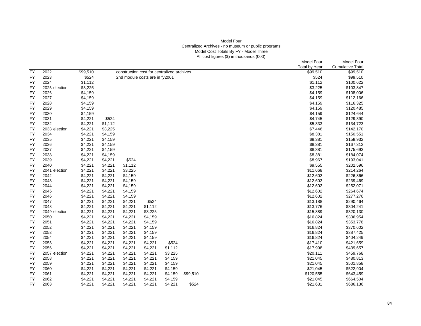# Model Four Centralized Archives - no museum or public programs Model Cost Totals By FY - Model Three All cost figures (\$) in thousands (000)

|                 |                       |                    |                    |                                             |         |         |          |  | Model Four           | Model Four              |
|-----------------|-----------------------|--------------------|--------------------|---------------------------------------------|---------|---------|----------|--|----------------------|-------------------------|
|                 |                       |                    |                    |                                             |         |         |          |  | <b>Total by Year</b> | <b>Cumulative Total</b> |
| <b>FY</b>       | 2022                  | \$99,510           |                    | construction cost for centralized archives. |         |         |          |  | \$99,510             | \$99,510                |
| FY              | 2023                  | \$524              |                    | 2nd module costs are in fy2061              |         |         |          |  | \$524                | \$99,510                |
| FY              | 2024                  | \$1,112            |                    |                                             |         |         |          |  | \$1,112              | \$100,622               |
| FY              | 2025 election         | \$3,225            |                    |                                             |         |         |          |  | \$3,225              | \$103,847               |
| FY              | 2026                  | \$4,159            |                    |                                             |         |         |          |  | \$4,159              | \$108,006               |
| FY              | 2027                  | \$4,159            |                    |                                             |         |         |          |  | \$4,159              | \$112,166               |
| FY              | 2028                  | \$4,159            |                    |                                             |         |         |          |  | \$4,159              | \$116,325               |
| FY              | 2029                  | \$4,159            |                    |                                             |         |         |          |  | \$4,159              | \$120,485               |
| FY              | 2030                  | \$4,159            |                    |                                             |         |         |          |  | \$4,159              | \$124,644               |
| FY              | 2031                  | \$4,221            | \$524              |                                             |         |         |          |  | \$4,745              | \$129,390               |
| FY              | 2032                  | \$4,221            | \$1,112            |                                             |         |         |          |  | \$5,333              | \$134,723               |
|                 |                       |                    |                    |                                             |         |         |          |  |                      |                         |
| FY<br><b>FY</b> | 2033 election<br>2034 | \$4,221<br>\$4,221 | \$3,225<br>\$4,159 |                                             |         |         |          |  | \$7,446              | \$142,170               |
|                 |                       |                    |                    |                                             |         |         |          |  | \$8,381              | \$150,551               |
| FY              | 2035                  | \$4,221            | \$4,159            |                                             |         |         |          |  | \$8,381              | \$158,932               |
| <b>FY</b>       | 2036                  | \$4,221            | \$4,159            |                                             |         |         |          |  | \$8,381              | \$167,312               |
| FY              | 2037                  | \$4,221            | \$4,159            |                                             |         |         |          |  | \$8,381              | \$175,693               |
| FY              | 2038                  | \$4,221            | \$4,159            |                                             |         |         |          |  | \$8,381              | \$184,074               |
| FY              | 2039                  | \$4,221            | \$4,221            | \$524                                       |         |         |          |  | \$8,967              | \$193,041               |
| FY              | 2040                  | \$4,221            | \$4,221            | \$1,112                                     |         |         |          |  | \$9,555              | \$202,596               |
| <b>FY</b>       | 2041 election         | \$4,221            | \$4,221            | \$3,225                                     |         |         |          |  | \$11,668             | \$214,264               |
| FY              | 2042                  | \$4,221            | \$4,221            | \$4,159                                     |         |         |          |  | \$12,602             | \$226,866               |
| FY              | 2043                  | \$4,221            | \$4,221            | \$4,159                                     |         |         |          |  | \$12,602             | \$239,469               |
| FY              | 2044                  | \$4,221            | \$4,221            | \$4,159                                     |         |         |          |  | \$12,602             | \$252,071               |
| FY              | 2045                  | \$4,221            | \$4,221            | \$4,159                                     |         |         |          |  | \$12,602             | \$264,674               |
| FY              | 2046                  | \$4,221            | \$4,221            | \$4,159                                     |         |         |          |  | \$12,602             | \$277,276               |
| FY              | 2047                  | \$4,221            | \$4,221            | \$4,221                                     | \$524   |         |          |  | \$13,188             | \$290,464               |
| FY              | 2048                  | \$4,221            | \$4,221            | \$4,221                                     | \$1,112 |         |          |  | \$13,776             | \$304,241               |
| FY              | 2049 election         | \$4,221            | \$4,221            | \$4,221                                     | \$3,225 |         |          |  | \$15,889             | \$320,130               |
| FY              | 2050                  | \$4,221            | \$4,221            | \$4,221                                     | \$4,159 |         |          |  | \$16,824             | \$336,954               |
| <b>FY</b>       | 2051                  | \$4,221            | \$4,221            | \$4,221                                     | \$4,159 |         |          |  | \$16,824             | \$353,778               |
| FY              | 2052                  | \$4,221            | \$4,221            | \$4,221                                     | \$4,159 |         |          |  | \$16,824             | \$370,602               |
| FY              | 2053                  | \$4,221            | \$4,221            | \$4,221                                     | \$4,159 |         |          |  | \$16,824             | \$387,425               |
| FY              | 2054                  | \$4,221            | \$4,221            | \$4,221                                     | \$4,159 |         |          |  | \$16,824             | \$404,249               |
| FY              | 2055                  | \$4,221            | \$4,221            | \$4,221                                     | \$4,221 | \$524   |          |  | \$17,410             | \$421,659               |
| FY              | 2056                  | \$4,221            | \$4,221            | \$4,221                                     | \$4,221 | \$1,112 |          |  | \$17,998             | \$439,657               |
| <b>FY</b>       | 2057 election         | \$4,221            | \$4,221            | \$4,221                                     | \$4,221 | \$3,225 |          |  | \$20,111             | \$459,768               |
| FY              | 2058                  | \$4,221            | \$4,221            | \$4,221                                     | \$4,221 | \$4,159 |          |  | \$21,045             | \$480,813               |
| FY              | 2059                  | \$4,221            | \$4,221            | \$4,221                                     | \$4,221 | \$4,159 |          |  | \$21,045             | \$501,858               |
| FY              | 2060                  | \$4,221            | \$4,221            | \$4,221                                     | \$4,221 | \$4,159 |          |  | \$21,045             | \$522,904               |
| FY              | 2061                  | \$4,221            | \$4,221            | \$4,221                                     | \$4,221 | \$4,159 | \$99,510 |  | \$120,555            | \$643,459               |
| FY              | 2062                  | \$4,221            | \$4,221            | \$4,221                                     | \$4,221 | \$4,159 |          |  | \$21,045             | \$664,504               |
| FY.             | 2063                  | \$4,221            | \$4,221            | \$4,221                                     | \$4,221 | \$4,221 | \$524    |  | \$21,631             | \$686,136               |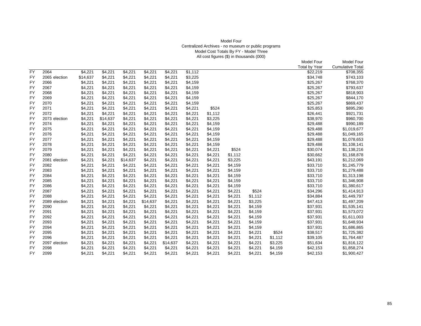# Model Four Centralized Archives - no museum or public programs Model Cost Totals By FY - Model Three All cost figures (\$) in thousands (000)

|           |               |          |          |          |          |          |         |         |         |         |         | <b>Model Four</b>    | <b>Model Four</b>       |
|-----------|---------------|----------|----------|----------|----------|----------|---------|---------|---------|---------|---------|----------------------|-------------------------|
|           |               |          |          |          |          |          |         |         |         |         |         | <b>Total by Year</b> | <b>Cumulative Total</b> |
| <b>FY</b> | 2064          | \$4,221  | \$4,221  | \$4,221  | \$4,221  | \$4,221  | \$1,112 |         |         |         |         | \$22,219             | \$708,355               |
| FY        | 2065 election | \$14,637 | \$4,221  | \$4,221  | \$4,221  | \$4,221  | \$3,225 |         |         |         |         | \$34,748             | \$743,103               |
| FY        | 2066          | \$4,221  | \$4,221  | \$4,221  | \$4,221  | \$4,221  | \$4,159 |         |         |         |         | \$25,267             | \$768,370               |
| <b>FY</b> | 2067          | \$4,221  | \$4,221  | \$4,221  | \$4,221  | \$4,221  | \$4,159 |         |         |         |         | \$25,267             | \$793,637               |
| FY        | 2068          | \$4,221  | \$4,221  | \$4,221  | \$4,221  | \$4,221  | \$4,159 |         |         |         |         | \$25,267             | \$818,903               |
| FY        | 2069          | \$4,221  | \$4,221  | \$4,221  | \$4,221  | \$4,221  | \$4,159 |         |         |         |         | \$25,267             | \$844,170               |
| FY        | 2070          | \$4,221  | \$4,221  | \$4,221  | \$4,221  | \$4,221  | \$4,159 |         |         |         |         | \$25,267             | \$869,437               |
| FY        | 2071          | \$4,221  | \$4,221  | \$4,221  | \$4,221  | \$4,221  | \$4,221 | \$524   |         |         |         | \$25,853             | \$895,290               |
| FY        | 2072          | \$4,221  | \$4,221  | \$4,221  | \$4,221  | \$4,221  | \$4,221 | \$1,112 |         |         |         | \$26,441             | \$921,731               |
| <b>FY</b> | 2073 election | \$4,221  | \$14,637 | \$4,221  | \$4,221  | \$4,221  | \$4,221 | \$3,225 |         |         |         | \$38,970             | \$960,700               |
| <b>FY</b> | 2074          | \$4,221  | \$4,221  | \$4,221  | \$4,221  | \$4,221  | \$4,221 | \$4,159 |         |         |         | \$29,488             | \$990,189               |
| <b>FY</b> | 2075          | \$4,221  | \$4,221  | \$4,221  | \$4,221  | \$4,221  | \$4,221 | \$4,159 |         |         |         | \$29,488             | \$1,019,677             |
| <b>FY</b> | 2076          | \$4,221  | \$4,221  | \$4,221  | \$4,221  | \$4,221  | \$4,221 | \$4,159 |         |         |         | \$29,488             | \$1,049,165             |
| <b>FY</b> | 2077          | \$4,221  | \$4,221  | \$4,221  | \$4,221  | \$4,221  | \$4,221 | \$4,159 |         |         |         | \$29,488             | \$1,078,653             |
| <b>FY</b> | 2078          | \$4,221  | \$4,221  | \$4,221  | \$4,221  | \$4,221  | \$4,221 | \$4,159 |         |         |         | \$29,488             | \$1,108,141             |
| <b>FY</b> | 2079          | \$4,221  | \$4,221  | \$4,221  | \$4,221  | \$4,221  | \$4,221 | \$4,221 | \$524   |         |         | \$30,074             | \$1,138,216             |
| <b>FY</b> | 2080          | \$4,221  | \$4,221  | \$4,221  | \$4,221  | \$4,221  | \$4,221 | \$4,221 | \$1,112 |         |         | \$30,662             | \$1,168,878             |
| FY        | 2081 election | \$4,221  | \$4,221  | \$14,637 | \$4,221  | \$4,221  | \$4,221 | \$4,221 | \$3,225 |         |         | \$43,191             | \$1,212,069             |
| <b>FY</b> | 2082          | \$4,221  | \$4,221  | \$4,221  | \$4,221  | \$4,221  | \$4,221 | \$4,221 | \$4,159 |         |         | \$33,710             | \$1,245,779             |
| <b>FY</b> | 2083          | \$4,221  | \$4,221  | \$4,221  | \$4,221  | \$4,221  | \$4,221 | \$4,221 | \$4,159 |         |         | \$33,710             | \$1,279,488             |
| <b>FY</b> | 2084          | \$4,221  | \$4,221  | \$4,221  | \$4,221  | \$4,221  | \$4,221 | \$4,221 | \$4,159 |         |         | \$33,710             | \$1,313,198             |
| <b>FY</b> | 2085          | \$4,221  | \$4,221  | \$4,221  | \$4,221  | \$4,221  | \$4,221 | \$4,221 | \$4,159 |         |         | \$33,710             | \$1,346,908             |
| <b>FY</b> | 2086          | \$4,221  | \$4,221  | \$4,221  | \$4,221  | \$4,221  | \$4,221 | \$4,221 | \$4,159 |         |         | \$33,710             | \$1,380,617             |
| <b>FY</b> | 2087          | \$4,221  | \$4,221  | \$4,221  | \$4,221  | \$4,221  | \$4,221 | \$4,221 | \$4,221 | \$524   |         | \$34,296             | \$1,414,913             |
| <b>FY</b> | 2088          | \$4,221  | \$4,221  | \$4,221  | \$4,221  | \$4,221  | \$4,221 | \$4,221 | \$4,221 | \$1,112 |         | \$34,884             | \$1,449,797             |
| FY        | 2089 election | \$4,221  | \$4,221  | \$4,221  | \$14,637 | \$4,221  | \$4,221 | \$4,221 | \$4,221 | \$3,225 |         | \$47,413             | \$1,497,209             |
| FY        | 2090          | \$4,221  | \$4,221  | \$4,221  | \$4,221  | \$4,221  | \$4,221 | \$4,221 | \$4,221 | \$4,159 |         | \$37,931             | \$1,535,141             |
| <b>FY</b> | 2091          | \$4,221  | \$4,221  | \$4,221  | \$4,221  | \$4,221  | \$4,221 | \$4,221 | \$4,221 | \$4,159 |         | \$37,931             | \$1,573,072             |
| FY        | 2092          | \$4,221  | \$4,221  | \$4,221  | \$4,221  | \$4,221  | \$4,221 | \$4,221 | \$4,221 | \$4,159 |         | \$37,931             | \$1,611,003             |
| <b>FY</b> | 2093          | \$4,221  | \$4,221  | \$4,221  | \$4,221  | \$4,221  | \$4,221 | \$4,221 | \$4,221 | \$4,159 |         | \$37,931             | \$1,648,934             |
| <b>FY</b> | 2094          | \$4,221  | \$4,221  | \$4,221  | \$4,221  | \$4,221  | \$4,221 | \$4,221 | \$4,221 | \$4,159 |         | \$37,931             | \$1,686,865             |
| <b>FY</b> | 2095          | \$4,221  | \$4,221  | \$4,221  | \$4,221  | \$4,221  | \$4,221 | \$4,221 | \$4,221 | \$4,221 | \$524   | \$38,517             | \$1,725,382             |
| <b>FY</b> | 2096          | \$4,221  | \$4,221  | \$4,221  | \$4,221  | \$4,221  | \$4,221 | \$4,221 | \$4,221 | \$4,221 | \$1,112 | \$39,105             | \$1,764,487             |
| <b>FY</b> | 2097 election | \$4,221  | \$4,221  | \$4,221  | \$4,221  | \$14,637 | \$4,221 | \$4,221 | \$4,221 | \$4,221 | \$3,225 | \$51,634             | \$1,816,122             |
| <b>FY</b> | 2098          | \$4,221  | \$4,221  | \$4,221  | \$4,221  | \$4,221  | \$4,221 | \$4,221 | \$4,221 | \$4,221 | \$4,159 | \$42,153             | \$1,858,274             |
| <b>FY</b> | 2099          | \$4,221  | \$4,221  | \$4,221  | \$4,221  | \$4,221  | \$4,221 | \$4,221 | \$4,221 | \$4,221 | \$4,159 | \$42,153             | \$1,900,427             |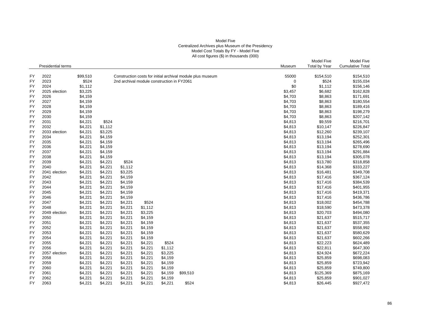### Model Five Centralized Archives plus Museum of the Presidency Model Cost Totals By FY - Model Five All cost figures (\$) in thousands (000)

|           |                           |          |         |                                            |         |         |                                                            |         | Model Five           | <b>Model Five</b>       |
|-----------|---------------------------|----------|---------|--------------------------------------------|---------|---------|------------------------------------------------------------|---------|----------------------|-------------------------|
|           | <b>Presidential terms</b> |          |         |                                            |         |         |                                                            | Museum  | <b>Total by Year</b> | <b>Cumulative Total</b> |
|           |                           |          |         |                                            |         |         |                                                            |         |                      |                         |
| FY        | 2022                      | \$99,510 |         |                                            |         |         | Construction costs for initial archival module plus museum | 55000   | \$154,510            | \$154,510               |
| <b>FY</b> | 2023                      | \$524    |         | 2nd archival module construction in FY2061 |         |         |                                                            | 0       | \$524                | \$155,034               |
| <b>FY</b> | 2024                      | \$1,112  |         |                                            |         |         |                                                            | \$0     | \$1,112              | \$156,146               |
| <b>FY</b> | 2025 election             | \$3,225  |         |                                            |         |         |                                                            | \$3,457 | \$6,682              | \$162,828               |
| <b>FY</b> | 2026                      | \$4,159  |         |                                            |         |         |                                                            | \$4,703 | \$8,863              | \$171,691               |
| <b>FY</b> | 2027                      | \$4,159  |         |                                            |         |         |                                                            | \$4,703 | \$8,863              | \$180,554               |
| FY        | 2028                      | \$4,159  |         |                                            |         |         |                                                            | \$4,703 | \$8,863              | \$189,416               |
| FY        | 2029                      | \$4,159  |         |                                            |         |         |                                                            | \$4,703 | \$8,863              | \$198,279               |
| <b>FY</b> | 2030                      | \$4,159  |         |                                            |         |         |                                                            | \$4,703 | \$8,863              | \$207,142               |
| FY        | 2031                      | \$4,221  | \$524   |                                            |         |         |                                                            | \$4,813 | \$9,559              | \$216,701               |
| <b>FY</b> | 2032                      | \$4,221  | \$1,112 |                                            |         |         |                                                            | \$4,813 | \$10,147             | \$226,847               |
| <b>FY</b> | 2033 election             | \$4,221  | \$3,225 |                                            |         |         |                                                            | \$4,813 | \$12,260             | \$239,107               |
| FY        | 2034                      | \$4,221  | \$4,159 |                                            |         |         |                                                            | \$4,813 | \$13,194             | \$252,301               |
| FY        | 2035                      | \$4,221  | \$4,159 |                                            |         |         |                                                            | \$4,813 | \$13,194             | \$265,496               |
| FY        | 2036                      | \$4,221  | \$4,159 |                                            |         |         |                                                            | \$4,813 | \$13,194             | \$278,690               |
| FY        | 2037                      | \$4,221  | \$4,159 |                                            |         |         |                                                            | \$4,813 | \$13,194             | \$291,884               |
| <b>FY</b> | 2038                      | \$4,221  | \$4,159 |                                            |         |         |                                                            | \$4,813 | \$13,194             | \$305,078               |
| FY        | 2039                      | \$4,221  | \$4,221 | \$524                                      |         |         |                                                            | \$4,813 | \$13,780             | \$318,858               |
| FY        | 2040                      | \$4,221  | \$4,221 | \$1,112                                    |         |         |                                                            | \$4,813 | \$14,368             | \$333,227               |
| <b>FY</b> | 2041 election             | \$4,221  | \$4,221 | \$3,225                                    |         |         |                                                            | \$4,813 | \$16,481             | \$349,708               |
| <b>FY</b> | 2042                      | \$4,221  | \$4,221 | \$4,159                                    |         |         |                                                            | \$4,813 | \$17,416             | \$367,124               |
| FY        | 2043                      | \$4,221  | \$4,221 | \$4,159                                    |         |         |                                                            | \$4,813 | \$17,416             | \$384,539               |
| <b>FY</b> | 2044                      | \$4,221  | \$4,221 | \$4,159                                    |         |         |                                                            | \$4,813 | \$17,416             | \$401,955               |
| FY        | 2045                      | \$4,221  | \$4,221 | \$4,159                                    |         |         |                                                            | \$4,813 | \$17,416             | \$419,371               |
| <b>FY</b> | 2046                      | \$4,221  | \$4,221 | \$4,159                                    |         |         |                                                            | \$4,813 | \$17,416             | \$436,786               |
| <b>FY</b> | 2047                      | \$4,221  | \$4,221 | \$4,221                                    | \$524   |         |                                                            | \$4,813 | \$18,002             | \$454,788               |
| FY        | 2048                      | \$4,221  | \$4,221 | \$4,221                                    | \$1,112 |         |                                                            | \$4,813 | \$18,590             | \$473,378               |
| <b>FY</b> | 2049 election             | \$4,221  | \$4,221 | \$4,221                                    | \$3,225 |         |                                                            | \$4,813 | \$20,703             | \$494,080               |
| <b>FY</b> | 2050                      | \$4,221  | \$4,221 | \$4,221                                    | \$4,159 |         |                                                            | \$4,813 | \$21,637             | \$515,717               |
| FY        | 2051                      | \$4,221  | \$4,221 | \$4,221                                    | \$4,159 |         |                                                            | \$4,813 | \$21,637             | \$537,355               |
| <b>FY</b> | 2052                      | \$4,221  | \$4,221 | \$4,221                                    | \$4,159 |         |                                                            | \$4,813 | \$21,637             | \$558,992               |
| <b>FY</b> | 2053                      | \$4,221  | \$4,221 | \$4,221                                    | \$4,159 |         |                                                            | \$4,813 | \$21,637             | \$580,629               |
| <b>FY</b> | 2054                      | \$4,221  | \$4,221 | \$4,221                                    | \$4,159 |         |                                                            | \$4,813 | \$21,637             | \$602,266               |
| <b>FY</b> | 2055                      | \$4,221  | \$4,221 | \$4,221                                    | \$4,221 | \$524   |                                                            | \$4,813 | \$22,223             | \$624,489               |
| <b>FY</b> | 2056                      | \$4,221  | \$4,221 | \$4,221                                    | \$4,221 | \$1,112 |                                                            | \$4,813 | \$22,811             | \$647,300               |
| FY        | 2057 election             | \$4,221  | \$4,221 | \$4,221                                    | \$4,221 | \$3,225 |                                                            | \$4,813 | \$24,924             | \$672,224               |
| <b>FY</b> | 2058                      |          |         | \$4,221                                    |         | \$4,159 |                                                            |         | \$25,859             |                         |
|           |                           | \$4,221  | \$4,221 |                                            | \$4,221 |         |                                                            | \$4,813 |                      | \$698,083               |
| <b>FY</b> | 2059                      | \$4,221  | \$4,221 | \$4,221                                    | \$4,221 | \$4,159 |                                                            | \$4,813 | \$25,859             | \$723,942               |
| FY        | 2060                      | \$4,221  | \$4,221 | \$4,221                                    | \$4,221 | \$4,159 |                                                            | \$4,813 | \$25,859             | \$749,800               |
| <b>FY</b> | 2061                      | \$4,221  | \$4,221 | \$4,221                                    | \$4,221 | \$4,159 | \$99,510                                                   | \$4,813 | \$125,369            | \$875,169               |
| <b>FY</b> | 2062                      | \$4,221  | \$4,221 | \$4,221                                    | \$4,221 | \$4,159 |                                                            | \$4,813 | \$25,859             | \$901,027               |
| <b>FY</b> | 2063                      | \$4,221  | \$4,221 | \$4,221                                    | \$4,221 | \$4,221 | \$524                                                      | \$4,813 | \$26,445             | \$927,472               |